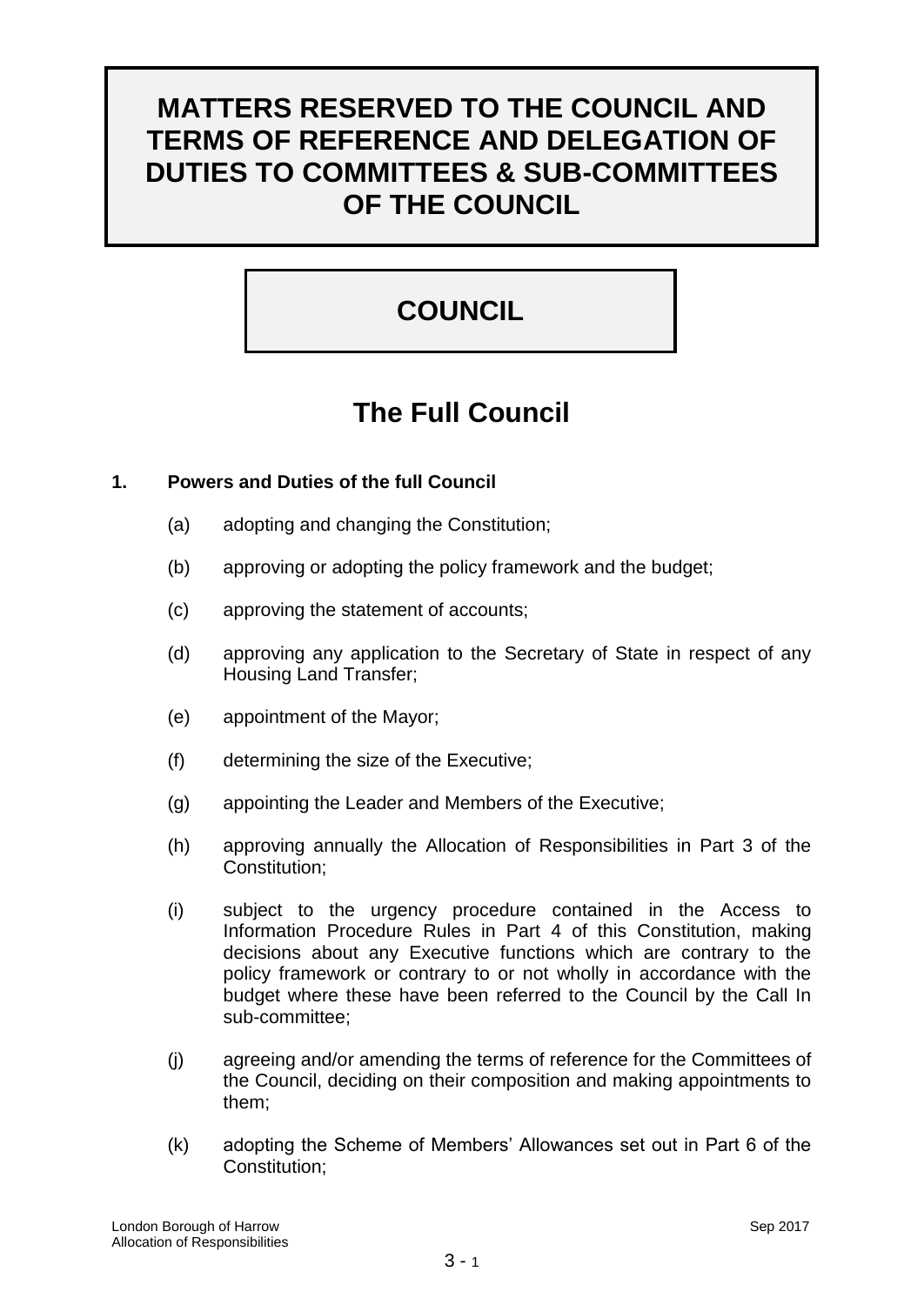# **MATTERS RESERVED TO THE COUNCIL AND TERMS OF REFERENCE AND DELEGATION OF DUTIES TO COMMITTEES & SUB-COMMITTEES OF THE COUNCIL**

# **COUNCIL**

# **The Full Council**

# **1. Powers and Duties of the full Council**

- (a) adopting and changing the Constitution;
- (b) approving or adopting the policy framework and the budget;
- (c) approving the statement of accounts;
- (d) approving any application to the Secretary of State in respect of any Housing Land Transfer;
- (e) appointment of the Mayor;
- (f) determining the size of the Executive;
- (g) appointing the Leader and Members of the Executive;
- (h) approving annually the Allocation of Responsibilities in Part 3 of the Constitution;
- (i) subject to the urgency procedure contained in the Access to Information Procedure Rules in Part 4 of this Constitution, making decisions about any Executive functions which are contrary to the policy framework or contrary to or not wholly in accordance with the budget where these have been referred to the Council by the Call In sub-committee;
- (j) agreeing and/or amending the terms of reference for the Committees of the Council, deciding on their composition and making appointments to them;
- (k) adopting the Scheme of Members' Allowances set out in Part 6 of the Constitution;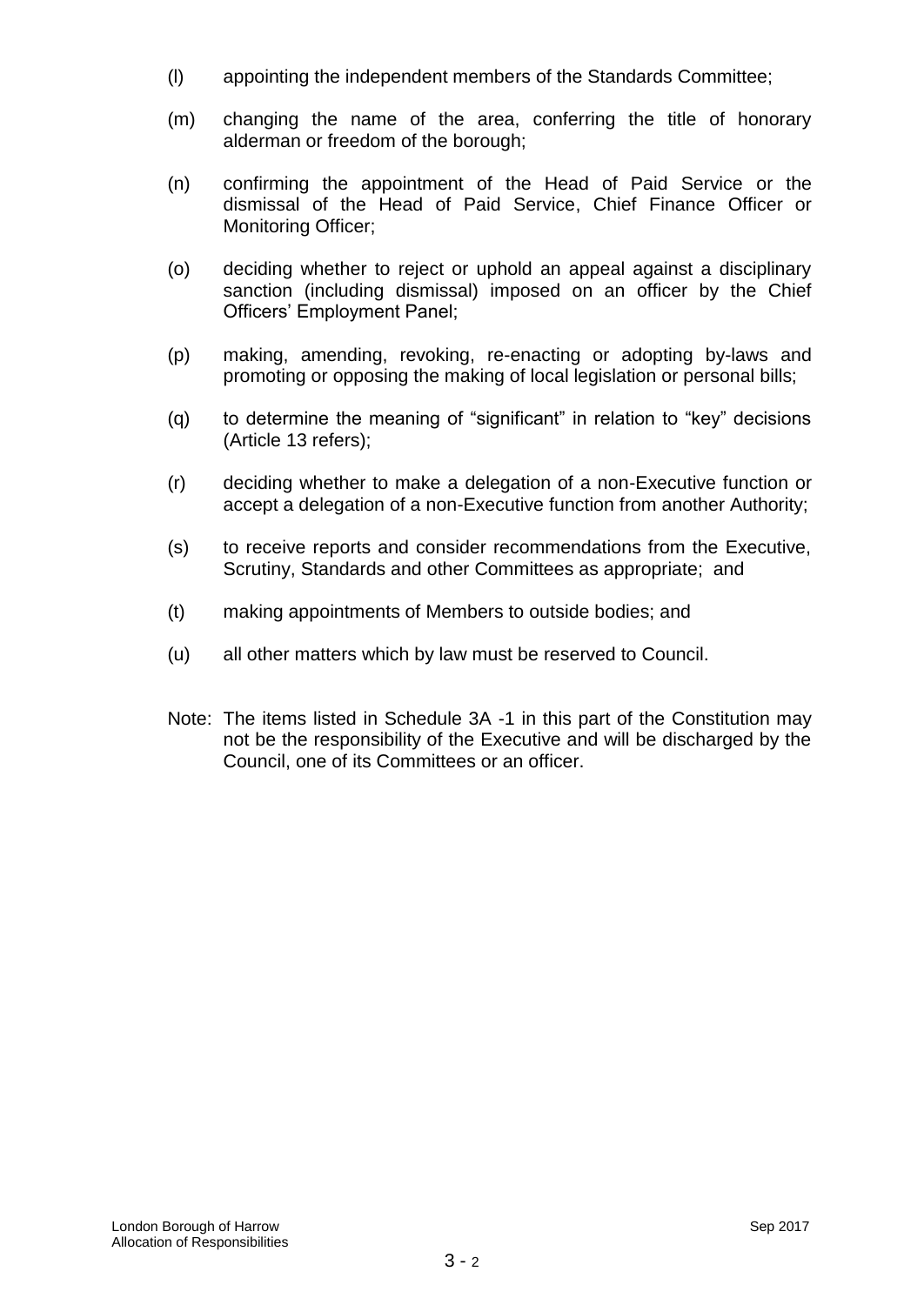- (l) appointing the independent members of the Standards Committee;
- (m) changing the name of the area, conferring the title of honorary alderman or freedom of the borough;
- (n) confirming the appointment of the Head of Paid Service or the dismissal of the Head of Paid Service, Chief Finance Officer or Monitoring Officer;
- (o) deciding whether to reject or uphold an appeal against a disciplinary sanction (including dismissal) imposed on an officer by the Chief Officers' Employment Panel;
- (p) making, amending, revoking, re-enacting or adopting by-laws and promoting or opposing the making of local legislation or personal bills;
- (q) to determine the meaning of "significant" in relation to "key" decisions (Article 13 refers);
- (r) deciding whether to make a delegation of a non-Executive function or accept a delegation of a non-Executive function from another Authority;
- (s) to receive reports and consider recommendations from the Executive, Scrutiny, Standards and other Committees as appropriate; and
- (t) making appointments of Members to outside bodies; and
- (u) all other matters which by law must be reserved to Council.
- Note: The items listed in Schedule 3A -1 in this part of the Constitution may not be the responsibility of the Executive and will be discharged by the Council, one of its Committees or an officer.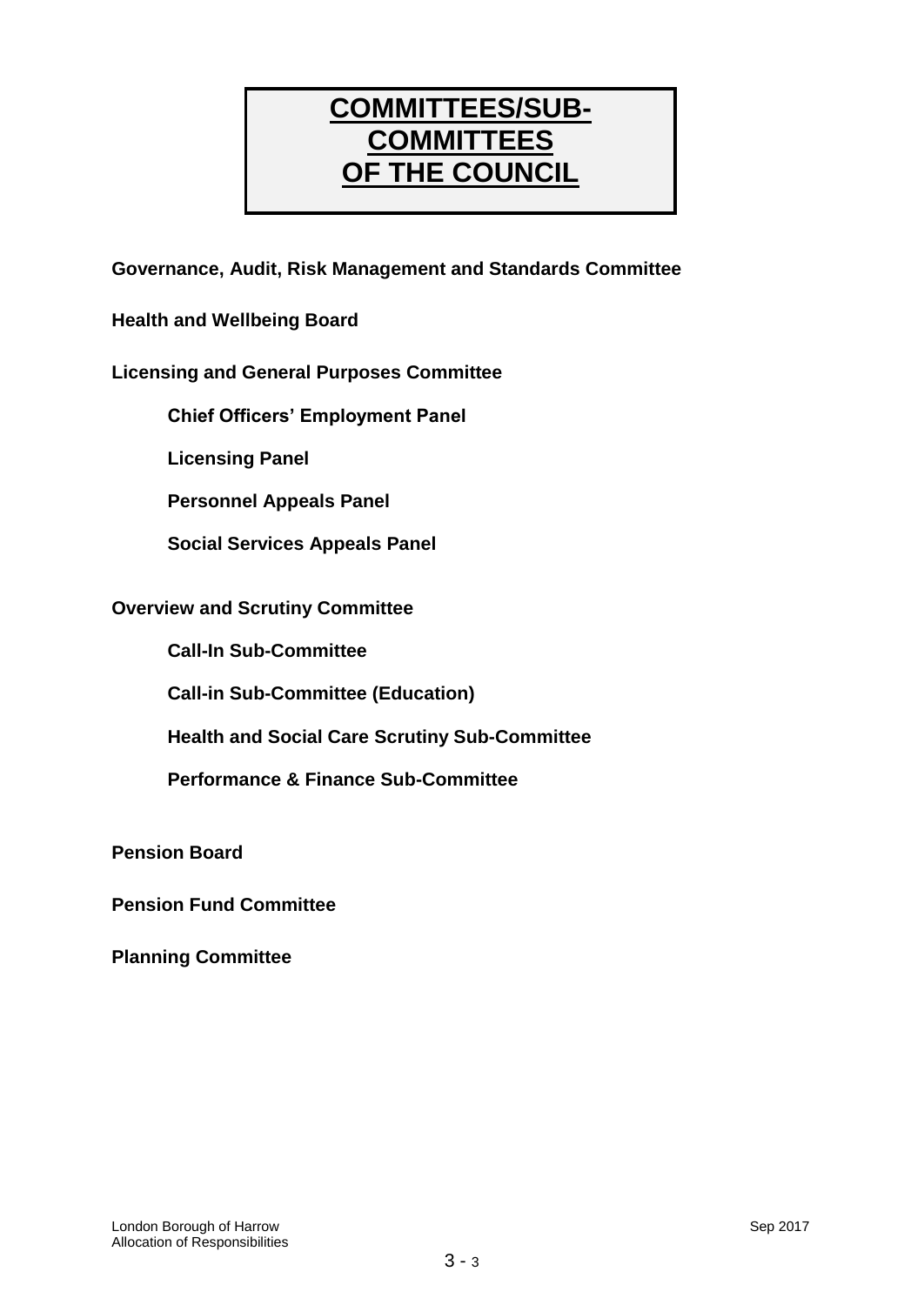# **COMMITTEES/SUB-COMMITTEES OF THE COUNCIL**

**Governance, Audit, Risk Management and Standards Committee**

**Health and Wellbeing Board**

## **Licensing and General Purposes Committee**

**Chief Officers' Employment Panel**

**Licensing Panel**

**Personnel Appeals Panel**

**Social Services Appeals Panel**

## **Overview and Scrutiny Committee**

**Call-In Sub-Committee**

**Call-in Sub-Committee (Education)**

**Health and Social Care Scrutiny Sub-Committee**

**Performance & Finance Sub-Committee**

**Pension Board**

**Pension Fund Committee**

**Planning Committee**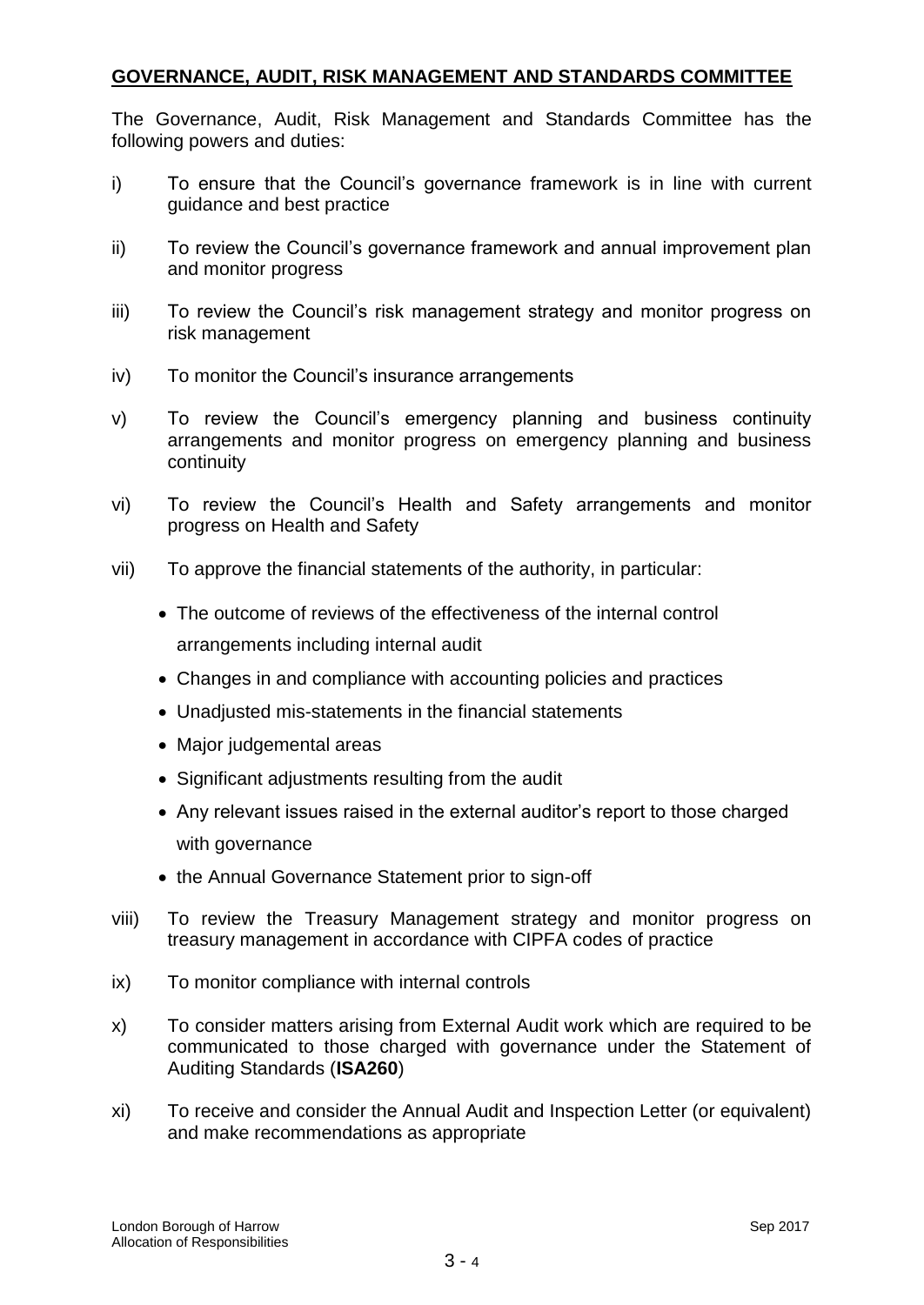## **GOVERNANCE, AUDIT, RISK MANAGEMENT AND STANDARDS COMMITTEE**

The Governance, Audit, Risk Management and Standards Committee has the following powers and duties:

- i) To ensure that the Council's governance framework is in line with current guidance and best practice
- ii) To review the Council's governance framework and annual improvement plan and monitor progress
- iii) To review the Council's risk management strategy and monitor progress on risk management
- iv) To monitor the Council's insurance arrangements
- v) To review the Council's emergency planning and business continuity arrangements and monitor progress on emergency planning and business continuity
- vi) To review the Council's Health and Safety arrangements and monitor progress on Health and Safety
- vii) To approve the financial statements of the authority, in particular:
	- The outcome of reviews of the effectiveness of the internal control arrangements including internal audit
	- Changes in and compliance with accounting policies and practices
	- Unadjusted mis-statements in the financial statements
	- Major judgemental areas
	- Significant adjustments resulting from the audit
	- Any relevant issues raised in the external auditor's report to those charged with governance
	- the Annual Governance Statement prior to sign-off
- viii) To review the Treasury Management strategy and monitor progress on treasury management in accordance with CIPFA codes of practice
- ix) To monitor compliance with internal controls
- x) To consider matters arising from External Audit work which are required to be communicated to those charged with governance under the Statement of Auditing Standards (**ISA260**)
- xi) To receive and consider the Annual Audit and Inspection Letter (or equivalent) and make recommendations as appropriate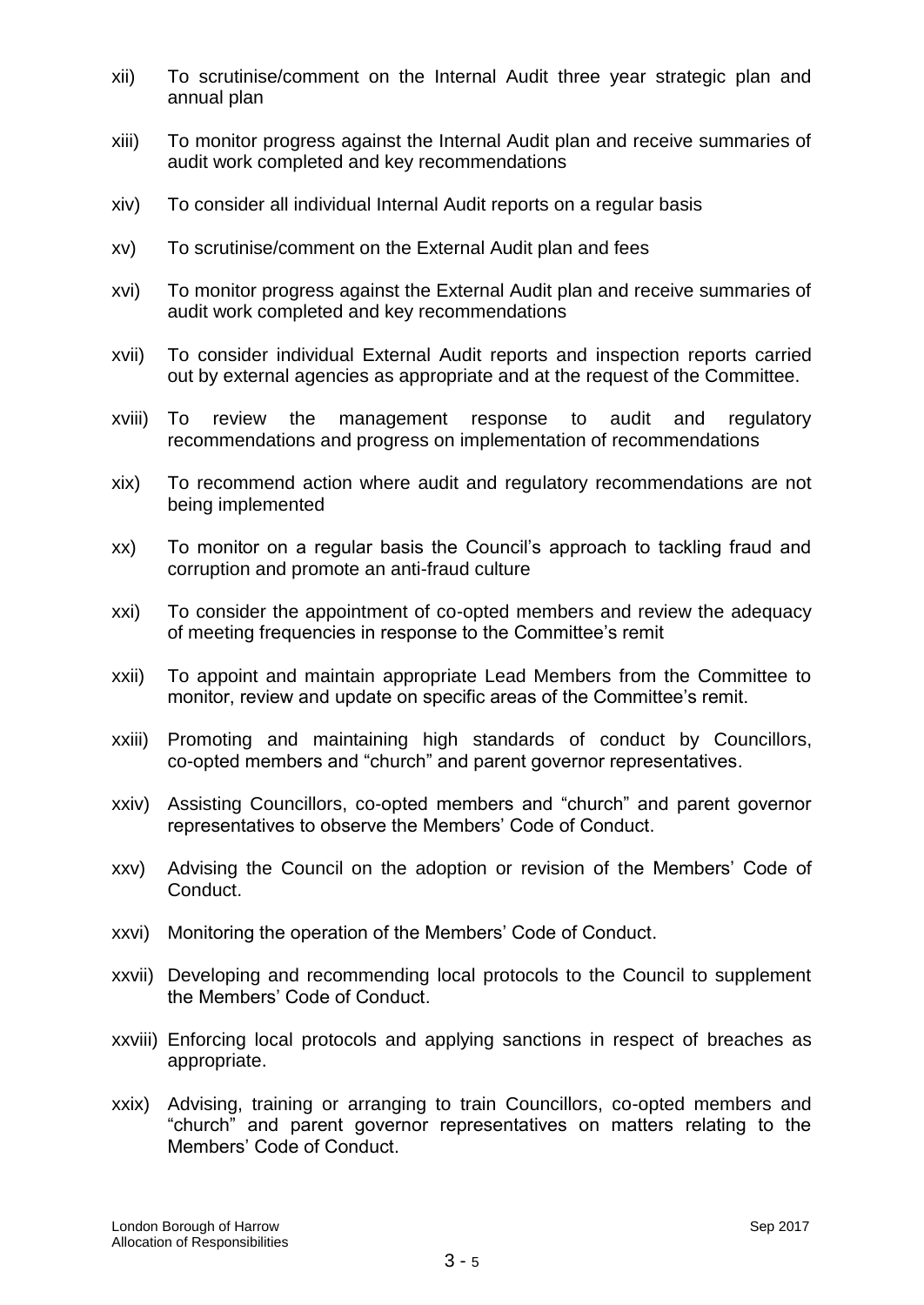- xii) To scrutinise/comment on the Internal Audit three year strategic plan and annual plan
- xiii) To monitor progress against the Internal Audit plan and receive summaries of audit work completed and key recommendations
- xiv) To consider all individual Internal Audit reports on a regular basis
- xv) To scrutinise/comment on the External Audit plan and fees
- xvi) To monitor progress against the External Audit plan and receive summaries of audit work completed and key recommendations
- xvii) To consider individual External Audit reports and inspection reports carried out by external agencies as appropriate and at the request of the Committee.
- xviii) To review the management response to audit and regulatory recommendations and progress on implementation of recommendations
- xix) To recommend action where audit and regulatory recommendations are not being implemented
- xx) To monitor on a regular basis the Council's approach to tackling fraud and corruption and promote an anti-fraud culture
- xxi) To consider the appointment of co-opted members and review the adequacy of meeting frequencies in response to the Committee's remit
- xxii) To appoint and maintain appropriate Lead Members from the Committee to monitor, review and update on specific areas of the Committee's remit.
- xxiii) Promoting and maintaining high standards of conduct by Councillors, co-opted members and "church" and parent governor representatives.
- xxiv) Assisting Councillors, co-opted members and "church" and parent governor representatives to observe the Members' Code of Conduct.
- xxv) Advising the Council on the adoption or revision of the Members' Code of Conduct.
- xxvi) Monitoring the operation of the Members' Code of Conduct.
- xxvii) Developing and recommending local protocols to the Council to supplement the Members' Code of Conduct.
- xxviii) Enforcing local protocols and applying sanctions in respect of breaches as appropriate.
- xxix) Advising, training or arranging to train Councillors, co-opted members and "church" and parent governor representatives on matters relating to the Members' Code of Conduct.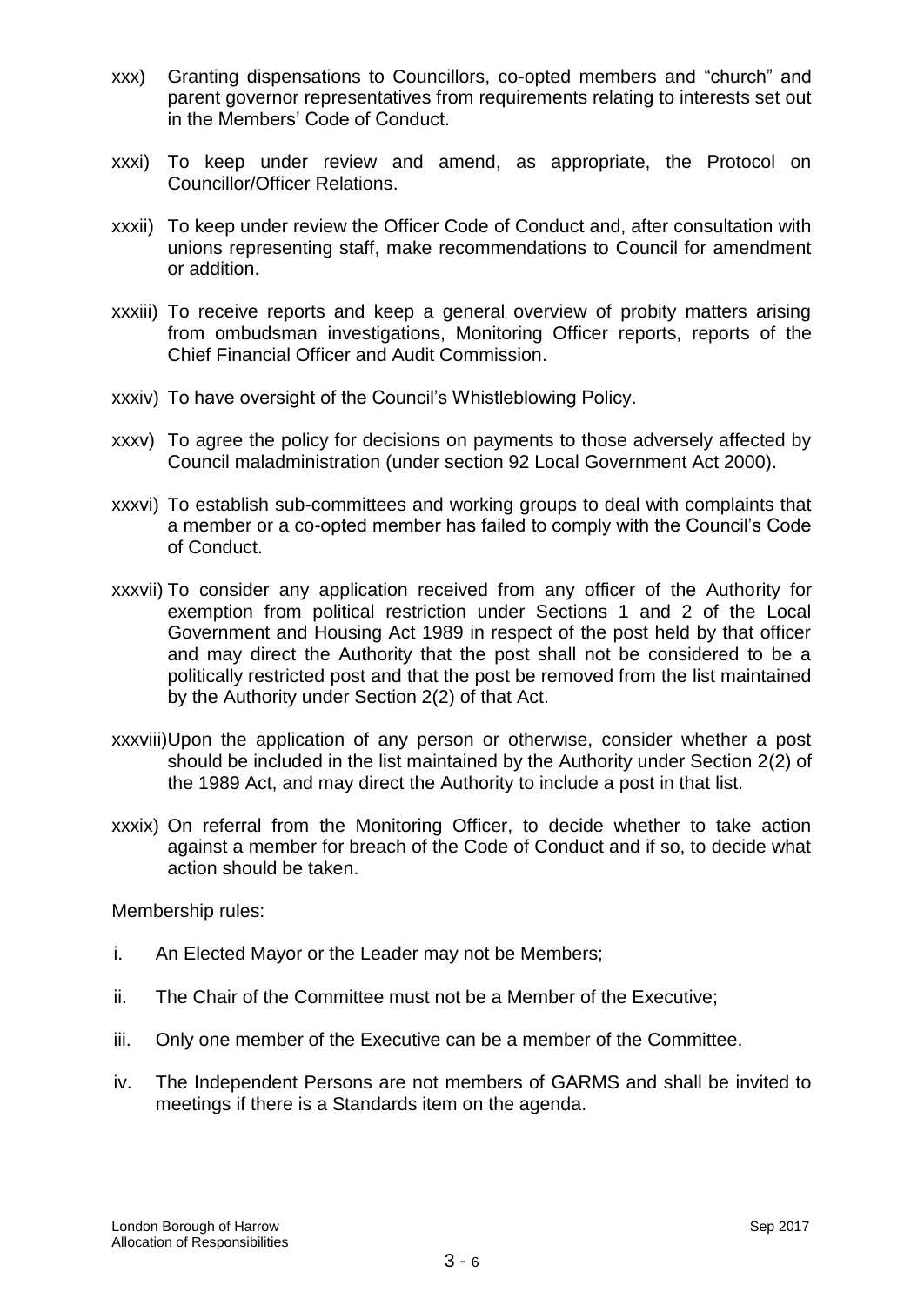- xxx) Granting dispensations to Councillors, co-opted members and "church" and parent governor representatives from requirements relating to interests set out in the Members' Code of Conduct.
- xxxi) To keep under review and amend, as appropriate, the Protocol on Councillor/Officer Relations.
- xxxii) To keep under review the Officer Code of Conduct and, after consultation with unions representing staff, make recommendations to Council for amendment or addition.
- xxxiii) To receive reports and keep a general overview of probity matters arising from ombudsman investigations, Monitoring Officer reports, reports of the Chief Financial Officer and Audit Commission.
- xxxiv) To have oversight of the Council's Whistleblowing Policy.
- xxxv) To agree the policy for decisions on payments to those adversely affected by Council maladministration (under section 92 Local Government Act 2000).
- xxxvi) To establish sub-committees and working groups to deal with complaints that a member or a co-opted member has failed to comply with the Council's Code of Conduct.
- xxxvii) To consider any application received from any officer of the Authority for exemption from political restriction under Sections 1 and 2 of the Local Government and Housing Act 1989 in respect of the post held by that officer and may direct the Authority that the post shall not be considered to be a politically restricted post and that the post be removed from the list maintained by the Authority under Section 2(2) of that Act.
- xxxviii)Upon the application of any person or otherwise, consider whether a post should be included in the list maintained by the Authority under Section 2(2) of the 1989 Act, and may direct the Authority to include a post in that list.
- xxxix) On referral from the Monitoring Officer, to decide whether to take action against a member for breach of the Code of Conduct and if so, to decide what action should be taken.

Membership rules:

- i. An Elected Mayor or the Leader may not be Members;
- ii. The Chair of the Committee must not be a Member of the Executive;
- iii. Only one member of the Executive can be a member of the Committee.
- iv. The Independent Persons are not members of GARMS and shall be invited to meetings if there is a Standards item on the agenda.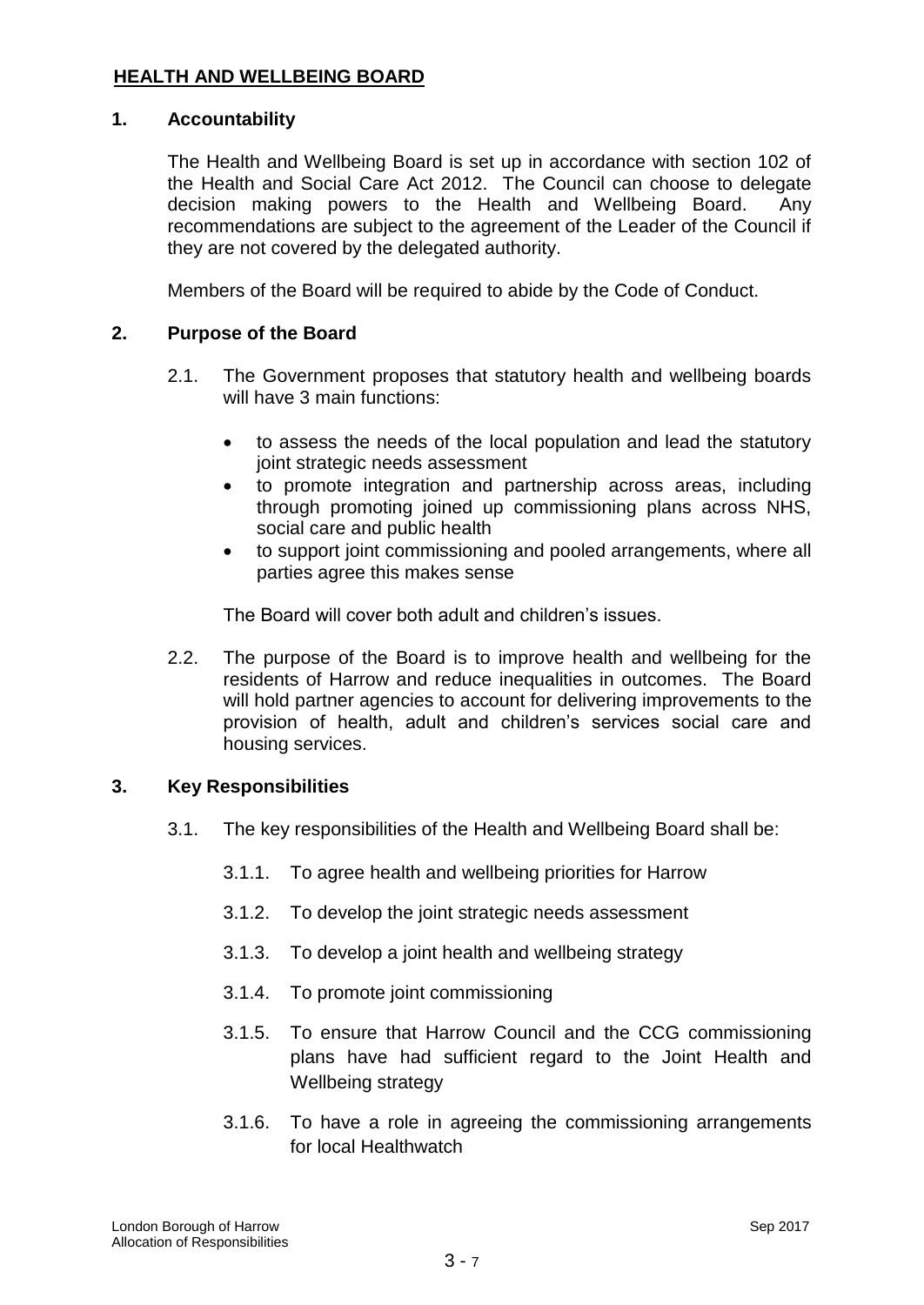## **HEALTH AND WELLBEING BOARD**

## **1. Accountability**

The Health and Wellbeing Board is set up in accordance with section 102 of the Health and Social Care Act 2012. The Council can choose to delegate decision making powers to the Health and Wellbeing Board. Any recommendations are subject to the agreement of the Leader of the Council if they are not covered by the delegated authority.

Members of the Board will be required to abide by the Code of Conduct.

## **2. Purpose of the Board**

- 2.1. The Government proposes that statutory health and wellbeing boards will have 3 main functions:
	- to assess the needs of the local population and lead the statutory joint strategic needs assessment
	- to promote integration and partnership across areas, including through promoting joined up commissioning plans across NHS, social care and public health
	- to support joint commissioning and pooled arrangements, where all parties agree this makes sense

The Board will cover both adult and children's issues.

2.2. The purpose of the Board is to improve health and wellbeing for the residents of Harrow and reduce inequalities in outcomes. The Board will hold partner agencies to account for delivering improvements to the provision of health, adult and children's services social care and housing services.

#### **3. Key Responsibilities**

- 3.1. The key responsibilities of the Health and Wellbeing Board shall be:
	- 3.1.1. To agree health and wellbeing priorities for Harrow
	- 3.1.2. To develop the joint strategic needs assessment
	- 3.1.3. To develop a joint health and wellbeing strategy
	- 3.1.4. To promote joint commissioning
	- 3.1.5. To ensure that Harrow Council and the CCG commissioning plans have had sufficient regard to the Joint Health and Wellbeing strategy
	- 3.1.6. To have a role in agreeing the commissioning arrangements for local Healthwatch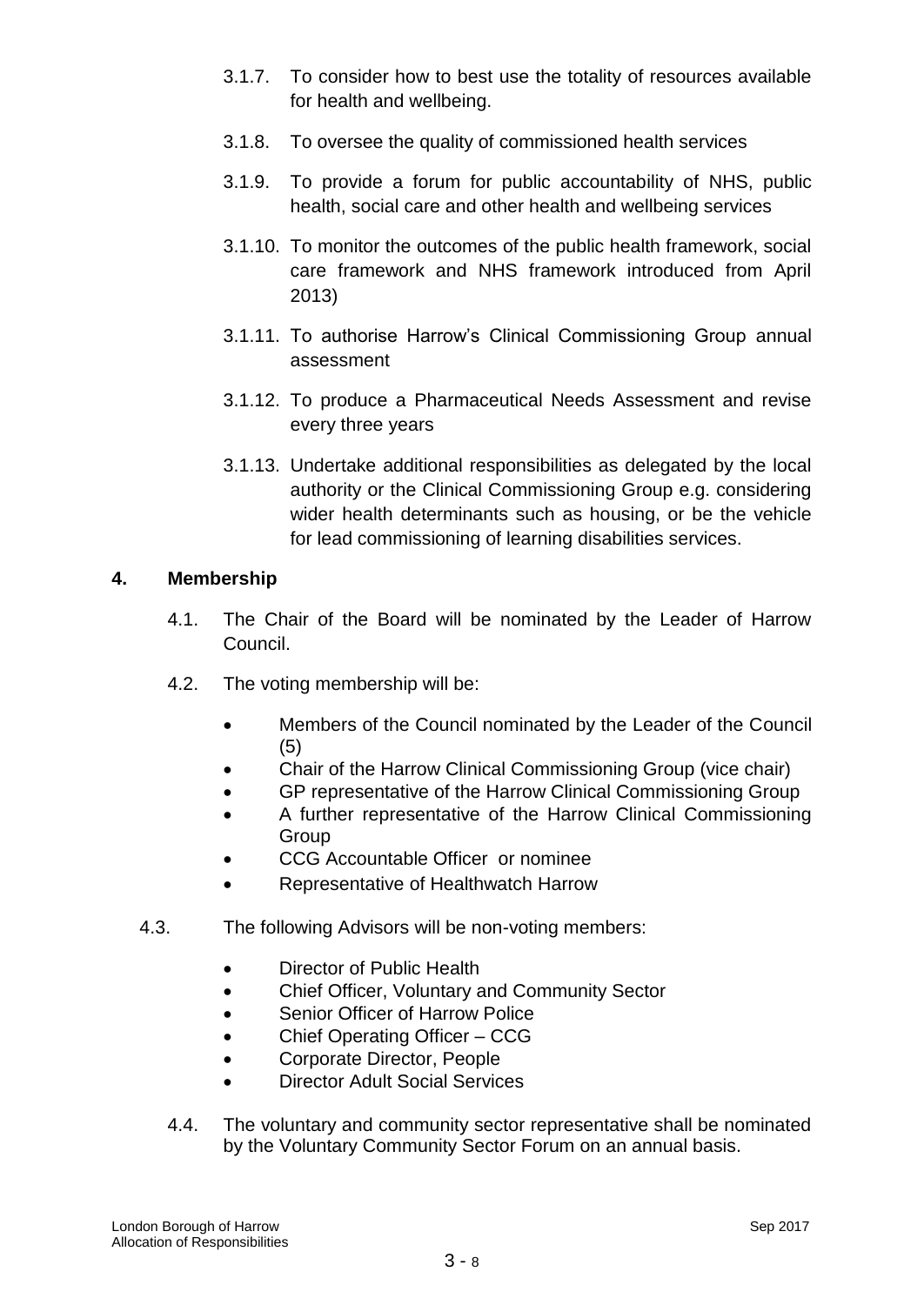- 3.1.7. To consider how to best use the totality of resources available for health and wellbeing.
- 3.1.8. To oversee the quality of commissioned health services
- 3.1.9. To provide a forum for public accountability of NHS, public health, social care and other health and wellbeing services
- 3.1.10. To monitor the outcomes of the public health framework, social care framework and NHS framework introduced from April 2013)
- 3.1.11. To authorise Harrow's Clinical Commissioning Group annual assessment
- 3.1.12. To produce a Pharmaceutical Needs Assessment and revise every three years
- 3.1.13. Undertake additional responsibilities as delegated by the local authority or the Clinical Commissioning Group e.g. considering wider health determinants such as housing, or be the vehicle for lead commissioning of learning disabilities services.

## **4. Membership**

- 4.1. The Chair of the Board will be nominated by the Leader of Harrow Council.
- 4.2. The voting membership will be:
	- Members of the Council nominated by the Leader of the Council (5)
	- Chair of the Harrow Clinical Commissioning Group (vice chair)
	- GP representative of the Harrow Clinical Commissioning Group
	- A further representative of the Harrow Clinical Commissioning **Group**
	- CCG Accountable Officer or nominee
	- Representative of Healthwatch Harrow
- 4.3. The following Advisors will be non-voting members:
	- Director of Public Health
	- Chief Officer, Voluntary and Community Sector
	- Senior Officer of Harrow Police
	- Chief Operating Officer CCG
	- Corporate Director, People
	- Director Adult Social Services
	- 4.4. The voluntary and community sector representative shall be nominated by the Voluntary Community Sector Forum on an annual basis.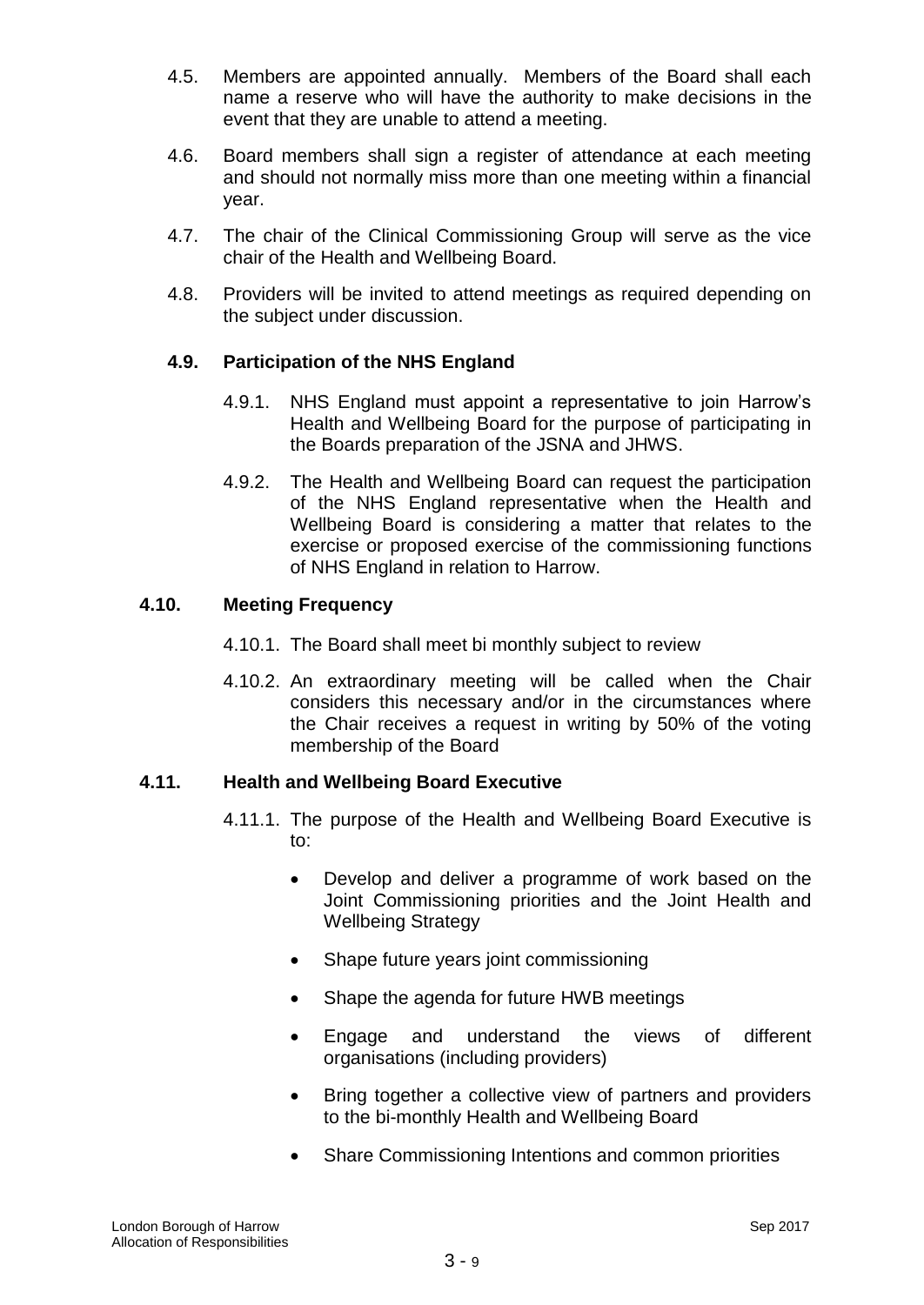- 4.5. Members are appointed annually. Members of the Board shall each name a reserve who will have the authority to make decisions in the event that they are unable to attend a meeting.
- 4.6. Board members shall sign a register of attendance at each meeting and should not normally miss more than one meeting within a financial year.
- 4.7. The chair of the Clinical Commissioning Group will serve as the vice chair of the Health and Wellbeing Board.
- 4.8. Providers will be invited to attend meetings as required depending on the subject under discussion.

# **4.9. Participation of the NHS England**

- 4.9.1. NHS England must appoint a representative to join Harrow's Health and Wellbeing Board for the purpose of participating in the Boards preparation of the JSNA and JHWS.
- 4.9.2. The Health and Wellbeing Board can request the participation of the NHS England representative when the Health and Wellbeing Board is considering a matter that relates to the exercise or proposed exercise of the commissioning functions of NHS England in relation to Harrow.

## **4.10. Meeting Frequency**

- 4.10.1. The Board shall meet bi monthly subject to review
- 4.10.2. An extraordinary meeting will be called when the Chair considers this necessary and/or in the circumstances where the Chair receives a request in writing by 50% of the voting membership of the Board

## **4.11. Health and Wellbeing Board Executive**

- 4.11.1. The purpose of the Health and Wellbeing Board Executive is to:
	- Develop and deliver a programme of work based on the Joint Commissioning priorities and the Joint Health and Wellbeing Strategy
	- Shape future years joint commissioning
	- Shape the agenda for future HWB meetings
	- Engage and understand the views of different organisations (including providers)
	- Bring together a collective view of partners and providers to the bi-monthly Health and Wellbeing Board
	- Share Commissioning Intentions and common priorities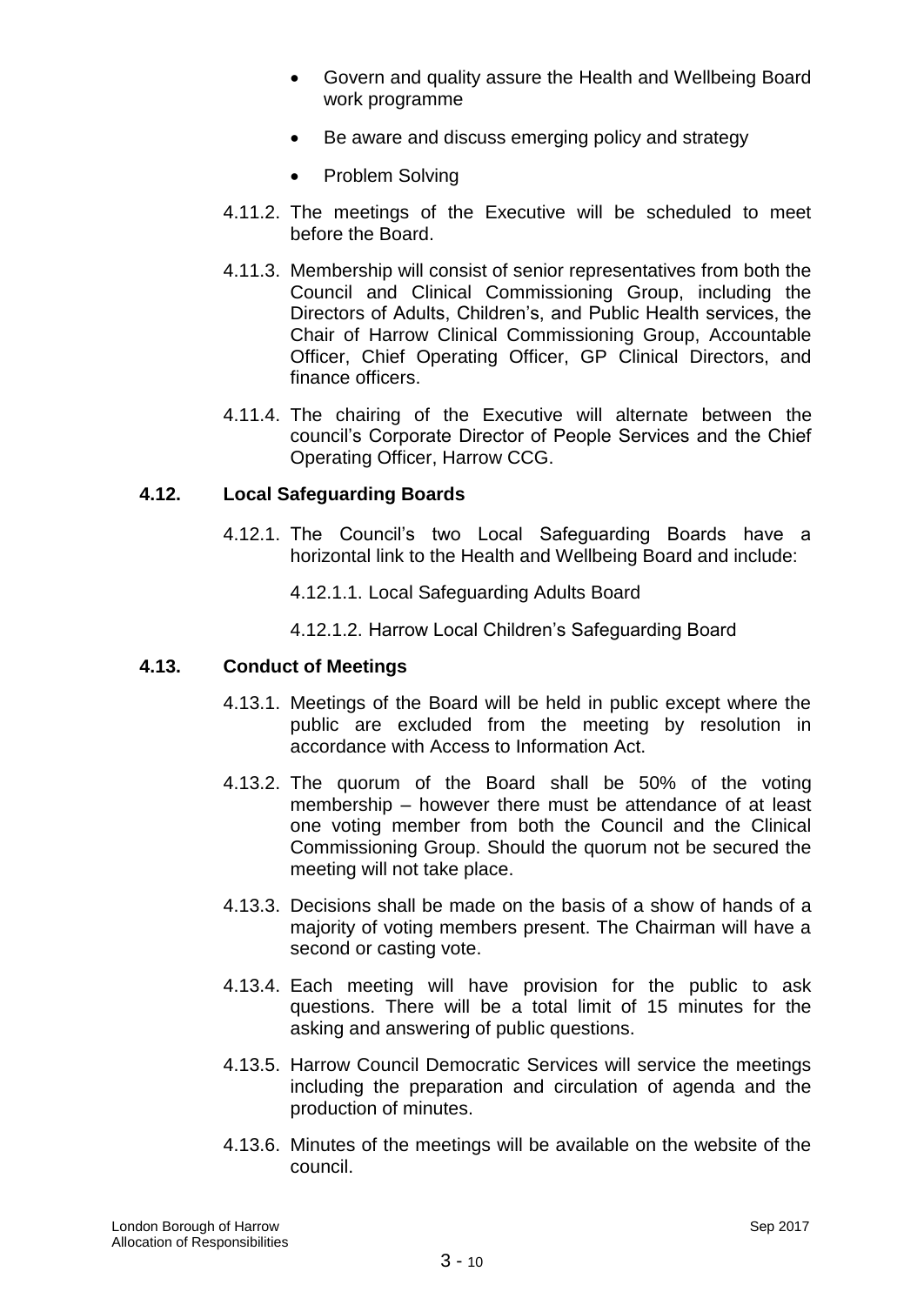- Govern and quality assure the Health and Wellbeing Board work programme
- Be aware and discuss emerging policy and strategy
- Problem Solving
- 4.11.2. The meetings of the Executive will be scheduled to meet before the Board.
- 4.11.3. Membership will consist of senior representatives from both the Council and Clinical Commissioning Group, including the Directors of Adults, Children's, and Public Health services, the Chair of Harrow Clinical Commissioning Group, Accountable Officer, Chief Operating Officer, GP Clinical Directors, and finance officers.
- 4.11.4. The chairing of the Executive will alternate between the council's Corporate Director of People Services and the Chief Operating Officer, Harrow CCG.

## **4.12. Local Safeguarding Boards**

- 4.12.1. The Council's two Local Safeguarding Boards have a horizontal link to the Health and Wellbeing Board and include:
	- 4.12.1.1. Local Safeguarding Adults Board
	- 4.12.1.2. Harrow Local Children's Safeguarding Board

## **4.13. Conduct of Meetings**

- 4.13.1. Meetings of the Board will be held in public except where the public are excluded from the meeting by resolution in accordance with Access to Information Act.
- 4.13.2. The quorum of the Board shall be 50% of the voting membership – however there must be attendance of at least one voting member from both the Council and the Clinical Commissioning Group. Should the quorum not be secured the meeting will not take place.
- 4.13.3. Decisions shall be made on the basis of a show of hands of a majority of voting members present. The Chairman will have a second or casting vote.
- 4.13.4. Each meeting will have provision for the public to ask questions. There will be a total limit of 15 minutes for the asking and answering of public questions.
- 4.13.5. Harrow Council Democratic Services will service the meetings including the preparation and circulation of agenda and the production of minutes.
- 4.13.6. Minutes of the meetings will be available on the website of the council.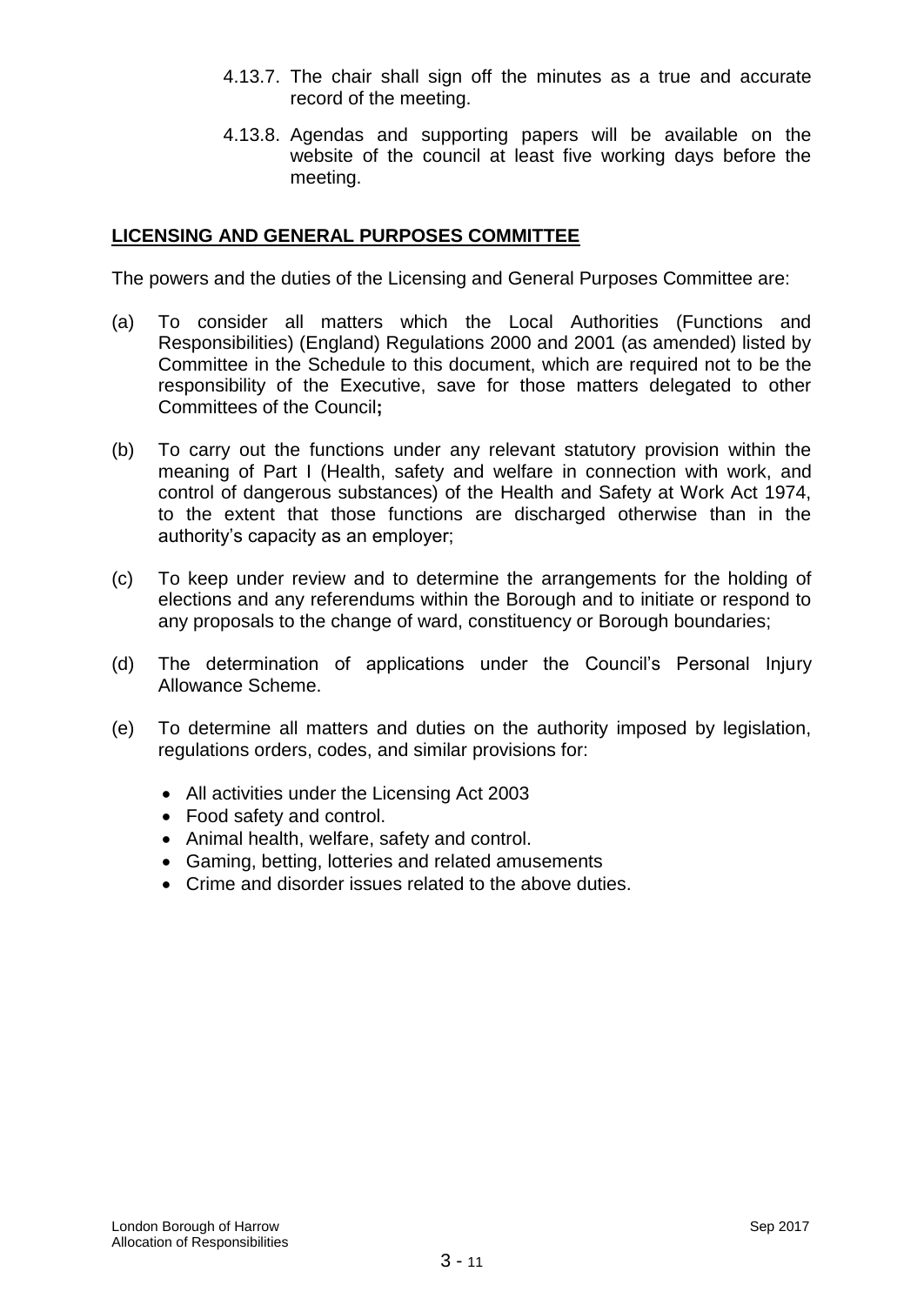- 4.13.7. The chair shall sign off the minutes as a true and accurate record of the meeting.
- 4.13.8. Agendas and supporting papers will be available on the website of the council at least five working days before the meeting.

#### **LICENSING AND GENERAL PURPOSES COMMITTEE**

The powers and the duties of the Licensing and General Purposes Committee are:

- (a) To consider all matters which the Local Authorities (Functions and Responsibilities) (England) Regulations 2000 and 2001 (as amended) listed by Committee in the Schedule to this document, which are required not to be the responsibility of the Executive, save for those matters delegated to other Committees of the Council**;**
- (b) To carry out the functions under any relevant statutory provision within the meaning of Part I (Health, safety and welfare in connection with work, and control of dangerous substances) of the Health and Safety at Work Act 1974, to the extent that those functions are discharged otherwise than in the authority's capacity as an employer;
- (c) To keep under review and to determine the arrangements for the holding of elections and any referendums within the Borough and to initiate or respond to any proposals to the change of ward, constituency or Borough boundaries;
- (d) The determination of applications under the Council's Personal Injury Allowance Scheme.
- (e) To determine all matters and duties on the authority imposed by legislation, regulations orders, codes, and similar provisions for:
	- All activities under the Licensing Act 2003
	- Food safety and control.
	- Animal health, welfare, safety and control.
	- Gaming, betting, lotteries and related amusements
	- Crime and disorder issues related to the above duties.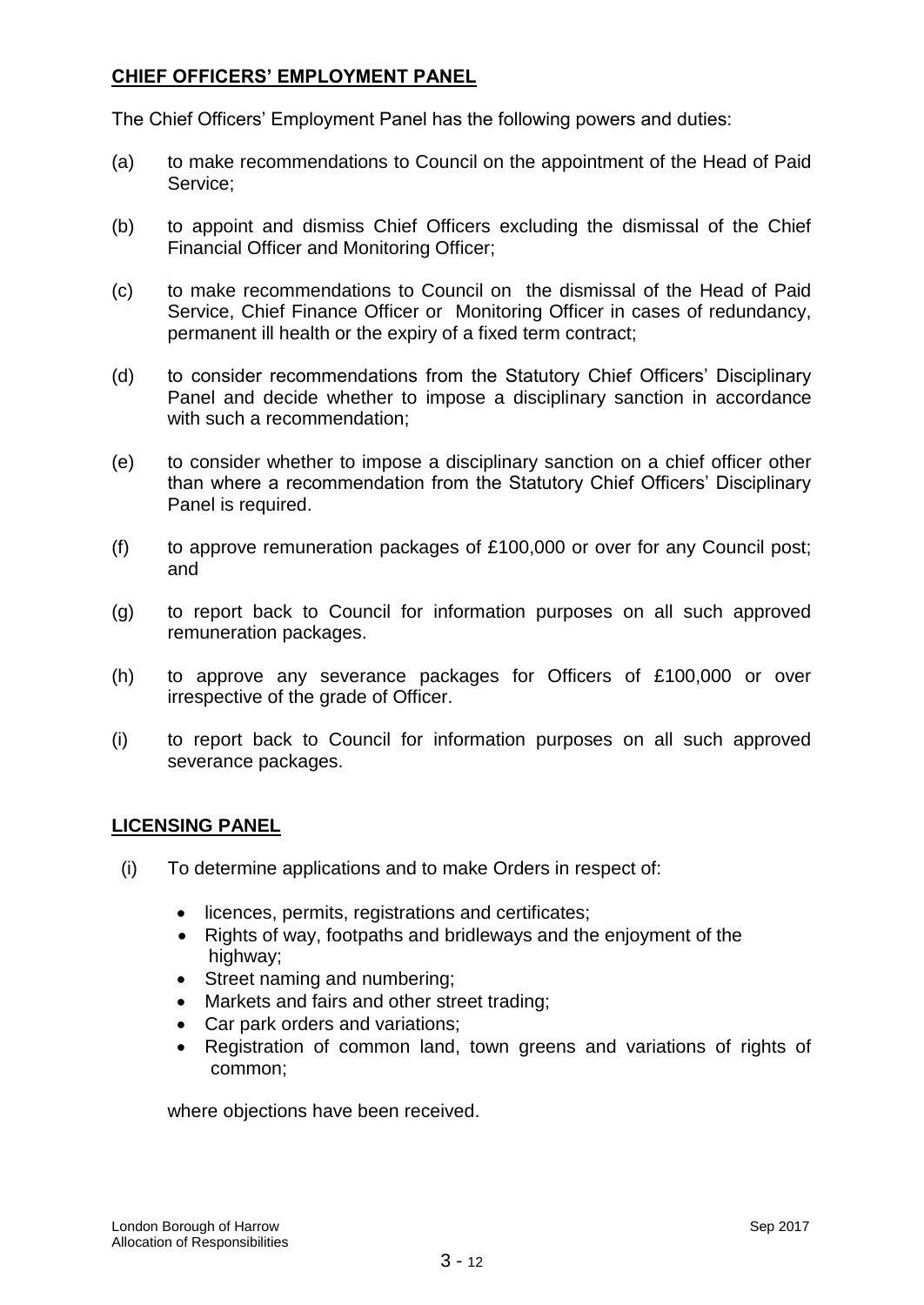## **CHIEF OFFICERS' EMPLOYMENT PANEL**

The Chief Officers' Employment Panel has the following powers and duties:

- (a) to make recommendations to Council on the appointment of the Head of Paid Service;
- (b) to appoint and dismiss Chief Officers excluding the dismissal of the Chief Financial Officer and Monitoring Officer;
- (c) to make recommendations to Council on the dismissal of the Head of Paid Service, Chief Finance Officer or Monitoring Officer in cases of redundancy, permanent ill health or the expiry of a fixed term contract;
- (d) to consider recommendations from the Statutory Chief Officers' Disciplinary Panel and decide whether to impose a disciplinary sanction in accordance with such a recommendation;
- (e) to consider whether to impose a disciplinary sanction on a chief officer other than where a recommendation from the Statutory Chief Officers' Disciplinary Panel is required.
- (f) to approve remuneration packages of £100,000 or over for any Council post; and
- (g) to report back to Council for information purposes on all such approved remuneration packages.
- (h) to approve any severance packages for Officers of £100,000 or over irrespective of the grade of Officer.
- (i) to report back to Council for information purposes on all such approved severance packages.

# **LICENSING PANEL**

- (i) To determine applications and to make Orders in respect of:
	- licences, permits, registrations and certificates;
	- Rights of way, footpaths and bridleways and the enjoyment of the highway;
	- Street naming and numbering;
	- Markets and fairs and other street trading;
	- Car park orders and variations;
	- Registration of common land, town greens and variations of rights of common;

where objections have been received.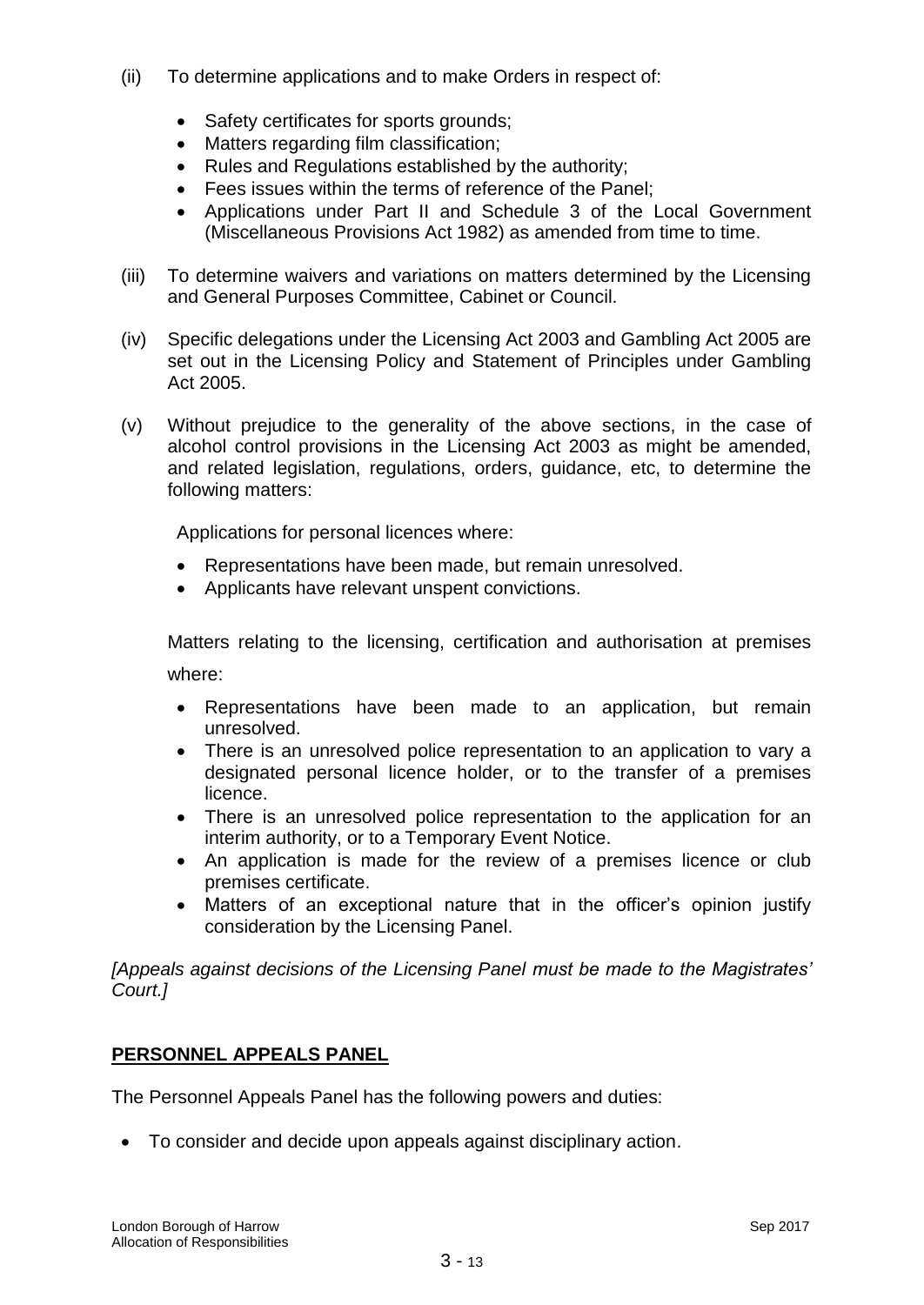- (ii) To determine applications and to make Orders in respect of:
	- Safety certificates for sports grounds;
	- Matters regarding film classification;
	- Rules and Regulations established by the authority;
	- Fees issues within the terms of reference of the Panel;
	- Applications under Part II and Schedule 3 of the Local Government (Miscellaneous Provisions Act 1982) as amended from time to time.
- (iii) To determine waivers and variations on matters determined by the Licensing and General Purposes Committee, Cabinet or Council.
- (iv) Specific delegations under the Licensing Act 2003 and Gambling Act 2005 are set out in the Licensing Policy and Statement of Principles under Gambling Act 2005.
- (v) Without prejudice to the generality of the above sections, in the case of alcohol control provisions in the Licensing Act 2003 as might be amended, and related legislation, regulations, orders, guidance, etc, to determine the following matters:

Applications for personal licences where:

- Representations have been made, but remain unresolved.
- Applicants have relevant unspent convictions.

Matters relating to the licensing, certification and authorisation at premises where:

- Representations have been made to an application, but remain unresolved.
- There is an unresolved police representation to an application to vary a designated personal licence holder, or to the transfer of a premises licence.
- There is an unresolved police representation to the application for an interim authority, or to a Temporary Event Notice.
- An application is made for the review of a premises licence or club premises certificate.
- Matters of an exceptional nature that in the officer's opinion justify consideration by the Licensing Panel.

*[Appeals against decisions of the Licensing Panel must be made to the Magistrates' Court.]*

# **PERSONNEL APPEALS PANEL**

The Personnel Appeals Panel has the following powers and duties:

To consider and decide upon appeals against disciplinary action.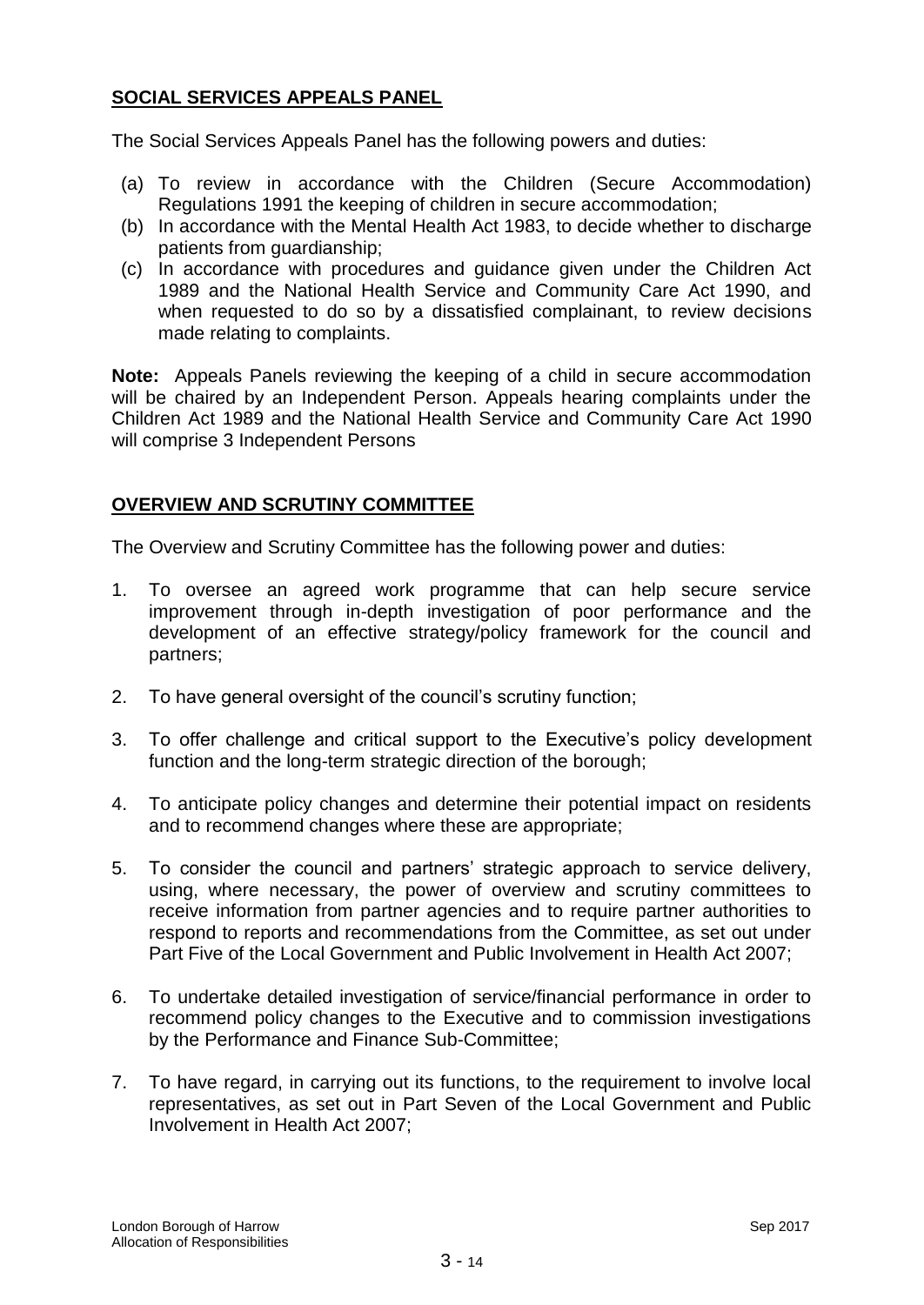# **SOCIAL SERVICES APPEALS PANEL**

The Social Services Appeals Panel has the following powers and duties:

- (a) To review in accordance with the Children (Secure Accommodation) Regulations 1991 the keeping of children in secure accommodation;
- (b) In accordance with the Mental Health Act 1983, to decide whether to discharge patients from guardianship;
- (c) In accordance with procedures and guidance given under the Children Act 1989 and the National Health Service and Community Care Act 1990, and when requested to do so by a dissatisfied complainant, to review decisions made relating to complaints.

**Note:** Appeals Panels reviewing the keeping of a child in secure accommodation will be chaired by an Independent Person. Appeals hearing complaints under the Children Act 1989 and the National Health Service and Community Care Act 1990 will comprise 3 Independent Persons

## **OVERVIEW AND SCRUTINY COMMITTEE**

The Overview and Scrutiny Committee has the following power and duties:

- 1. To oversee an agreed work programme that can help secure service improvement through in-depth investigation of poor performance and the development of an effective strategy/policy framework for the council and partners;
- 2. To have general oversight of the council's scrutiny function;
- 3. To offer challenge and critical support to the Executive's policy development function and the long-term strategic direction of the borough;
- 4. To anticipate policy changes and determine their potential impact on residents and to recommend changes where these are appropriate;
- 5. To consider the council and partners' strategic approach to service delivery, using, where necessary, the power of overview and scrutiny committees to receive information from partner agencies and to require partner authorities to respond to reports and recommendations from the Committee, as set out under Part Five of the Local Government and Public Involvement in Health Act 2007;
- 6. To undertake detailed investigation of service/financial performance in order to recommend policy changes to the Executive and to commission investigations by the Performance and Finance Sub-Committee;
- 7. To have regard, in carrying out its functions, to the requirement to involve local representatives, as set out in Part Seven of the Local Government and Public Involvement in Health Act 2007;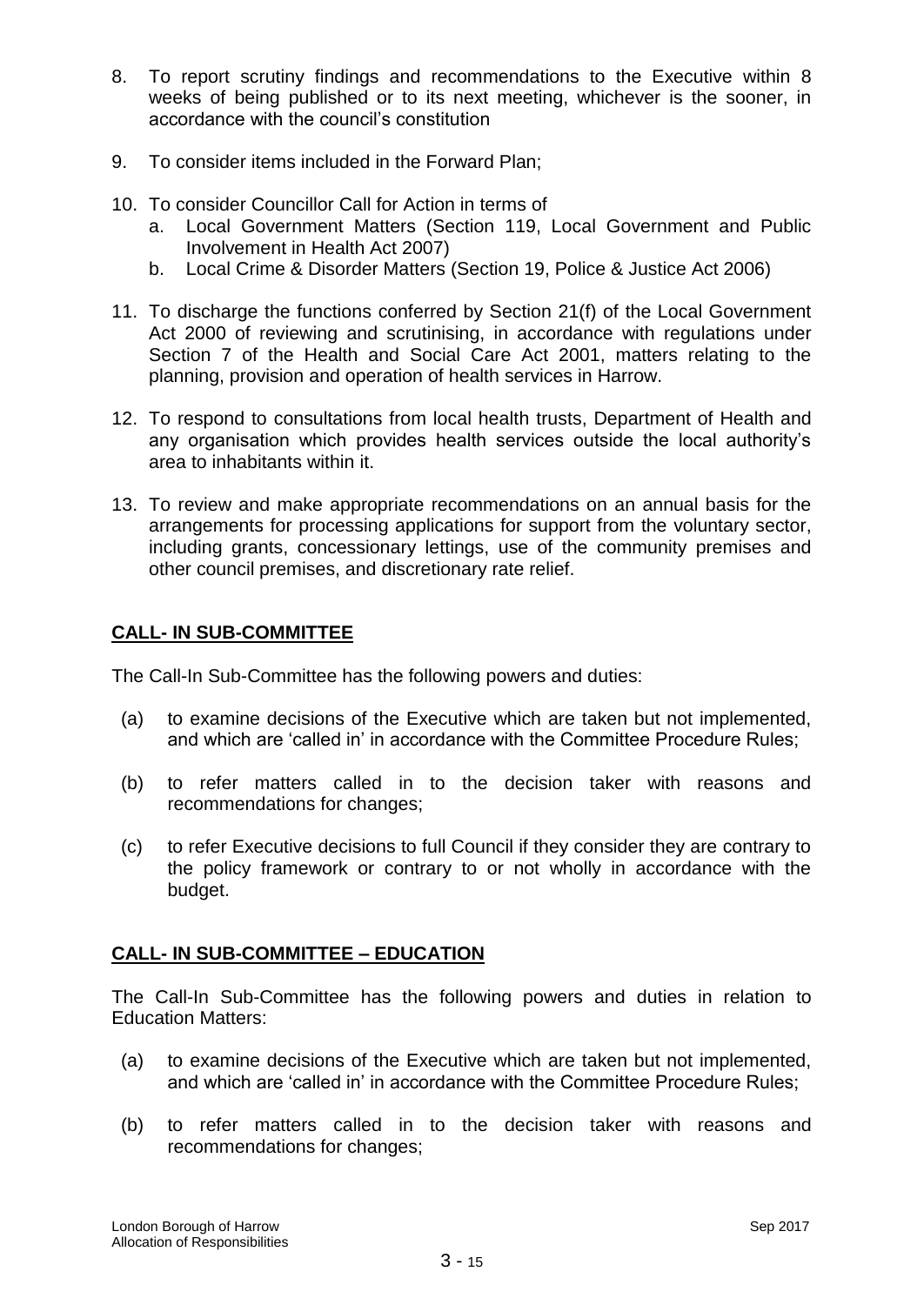- 8. To report scrutiny findings and recommendations to the Executive within 8 weeks of being published or to its next meeting, whichever is the sooner, in accordance with the council's constitution
- 9. To consider items included in the Forward Plan;
- 10. To consider Councillor Call for Action in terms of
	- a. Local Government Matters (Section 119, Local Government and Public Involvement in Health Act 2007)
	- b. Local Crime & Disorder Matters (Section 19, Police & Justice Act 2006)
- 11. To discharge the functions conferred by Section 21(f) of the Local Government Act 2000 of reviewing and scrutinising, in accordance with regulations under Section 7 of the Health and Social Care Act 2001, matters relating to the planning, provision and operation of health services in Harrow.
- 12. To respond to consultations from local health trusts, Department of Health and any organisation which provides health services outside the local authority's area to inhabitants within it.
- 13. To review and make appropriate recommendations on an annual basis for the arrangements for processing applications for support from the voluntary sector, including grants, concessionary lettings, use of the community premises and other council premises, and discretionary rate relief.

# **CALL- IN SUB-COMMITTEE**

The Call-In Sub-Committee has the following powers and duties:

- (a) to examine decisions of the Executive which are taken but not implemented, and which are 'called in' in accordance with the Committee Procedure Rules;
- (b) to refer matters called in to the decision taker with reasons and recommendations for changes;
- (c) to refer Executive decisions to full Council if they consider they are contrary to the policy framework or contrary to or not wholly in accordance with the budget.

# **CALL- IN SUB-COMMITTEE – EDUCATION**

The Call-In Sub-Committee has the following powers and duties in relation to Education Matters:

- (a) to examine decisions of the Executive which are taken but not implemented, and which are 'called in' in accordance with the Committee Procedure Rules;
- (b) to refer matters called in to the decision taker with reasons and recommendations for changes;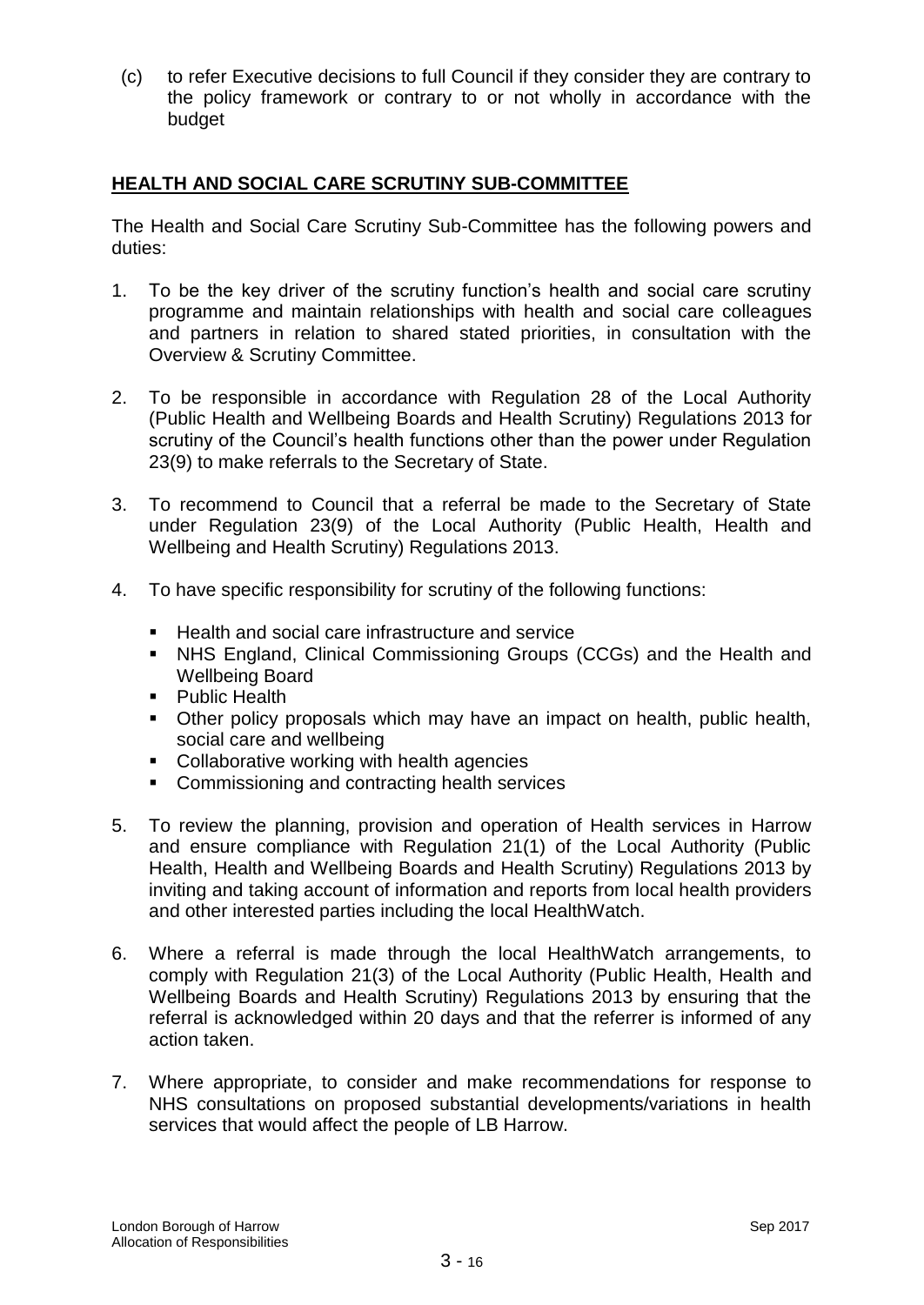(c) to refer Executive decisions to full Council if they consider they are contrary to the policy framework or contrary to or not wholly in accordance with the budget

## **HEALTH AND SOCIAL CARE SCRUTINY SUB-COMMITTEE**

The Health and Social Care Scrutiny Sub-Committee has the following powers and duties:

- 1. To be the key driver of the scrutiny function's health and social care scrutiny programme and maintain relationships with health and social care colleagues and partners in relation to shared stated priorities, in consultation with the Overview & Scrutiny Committee.
- 2. To be responsible in accordance with Regulation 28 of the Local Authority (Public Health and Wellbeing Boards and Health Scrutiny) Regulations 2013 for scrutiny of the Council's health functions other than the power under Regulation 23(9) to make referrals to the Secretary of State.
- 3. To recommend to Council that a referral be made to the Secretary of State under Regulation 23(9) of the Local Authority (Public Health, Health and Wellbeing and Health Scrutiny) Regulations 2013.
- 4. To have specific responsibility for scrutiny of the following functions:
	- Health and social care infrastructure and service
	- NHS England, Clinical Commissioning Groups (CCGs) and the Health and Wellbeing Board
	- **Public Health**
	- Other policy proposals which may have an impact on health, public health, social care and wellbeing
	- Collaborative working with health agencies
	- **EXECOMMISSIONING AND CONTRACTING HEALTH SERVICES**
- 5. To review the planning, provision and operation of Health services in Harrow and ensure compliance with Regulation 21(1) of the Local Authority (Public Health, Health and Wellbeing Boards and Health Scrutiny) Regulations 2013 by inviting and taking account of information and reports from local health providers and other interested parties including the local HealthWatch.
- 6. Where a referral is made through the local HealthWatch arrangements, to comply with Regulation 21(3) of the Local Authority (Public Health, Health and Wellbeing Boards and Health Scrutiny) Regulations 2013 by ensuring that the referral is acknowledged within 20 days and that the referrer is informed of any action taken.
- 7. Where appropriate, to consider and make recommendations for response to NHS consultations on proposed substantial developments/variations in health services that would affect the people of LB Harrow.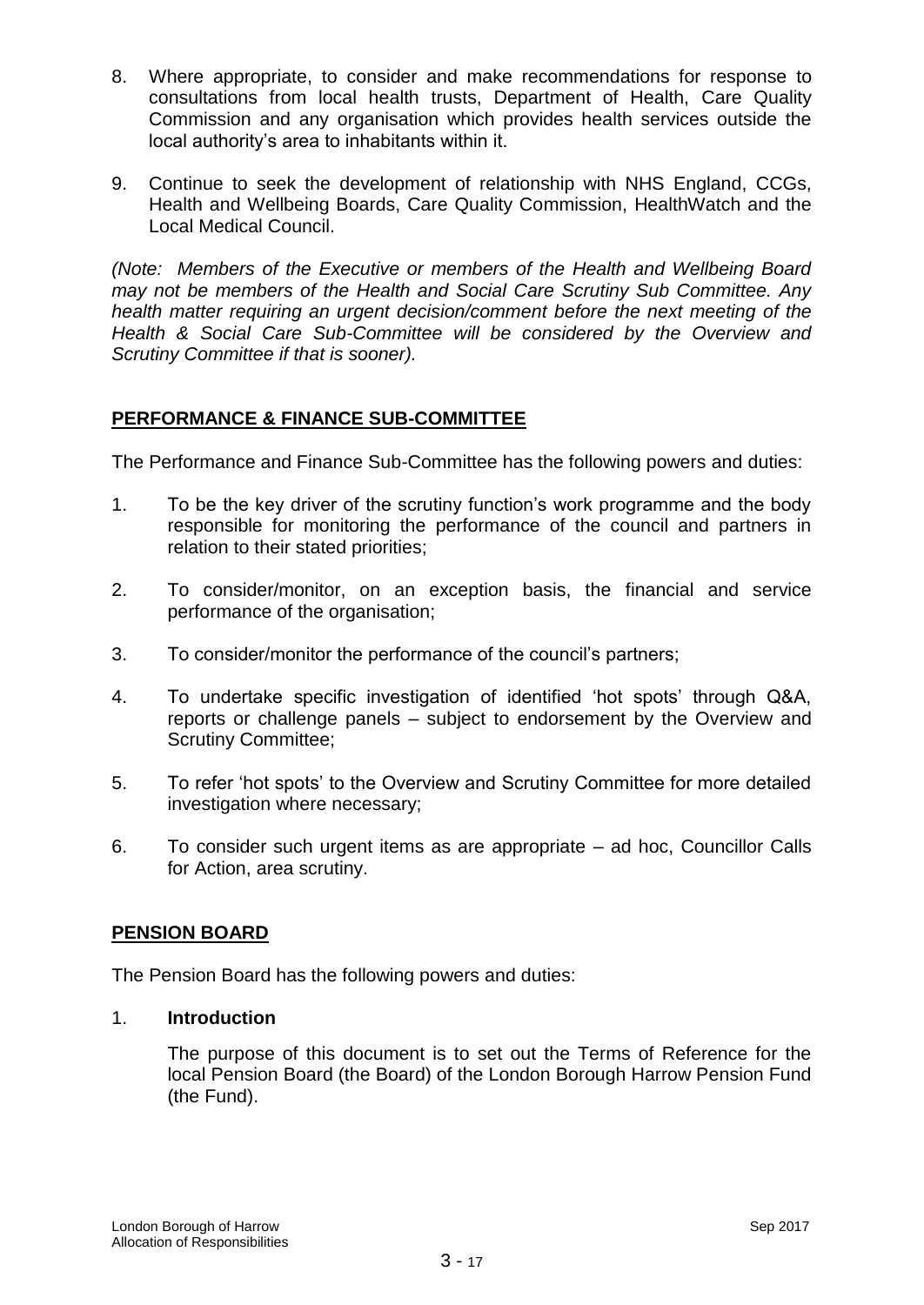- 8. Where appropriate, to consider and make recommendations for response to consultations from local health trusts, Department of Health, Care Quality Commission and any organisation which provides health services outside the local authority's area to inhabitants within it.
- 9. Continue to seek the development of relationship with NHS England, CCGs, Health and Wellbeing Boards, Care Quality Commission, HealthWatch and the Local Medical Council.

*(Note: Members of the Executive or members of the Health and Wellbeing Board may not be members of the Health and Social Care Scrutiny Sub Committee. Any health matter requiring an urgent decision/comment before the next meeting of the Health & Social Care Sub-Committee will be considered by the Overview and Scrutiny Committee if that is sooner).*

## **PERFORMANCE & FINANCE SUB-COMMITTEE**

The Performance and Finance Sub-Committee has the following powers and duties:

- 1. To be the key driver of the scrutiny function's work programme and the body responsible for monitoring the performance of the council and partners in relation to their stated priorities;
- 2. To consider/monitor, on an exception basis, the financial and service performance of the organisation;
- 3. To consider/monitor the performance of the council's partners;
- 4. To undertake specific investigation of identified 'hot spots' through Q&A, reports or challenge panels – subject to endorsement by the Overview and Scrutiny Committee;
- 5. To refer 'hot spots' to the Overview and Scrutiny Committee for more detailed investigation where necessary;
- 6. To consider such urgent items as are appropriate ad hoc, Councillor Calls for Action, area scrutiny.

# **PENSION BOARD**

The Pension Board has the following powers and duties:

## 1. **Introduction**

The purpose of this document is to set out the Terms of Reference for the local Pension Board (the Board) of the London Borough Harrow Pension Fund (the Fund).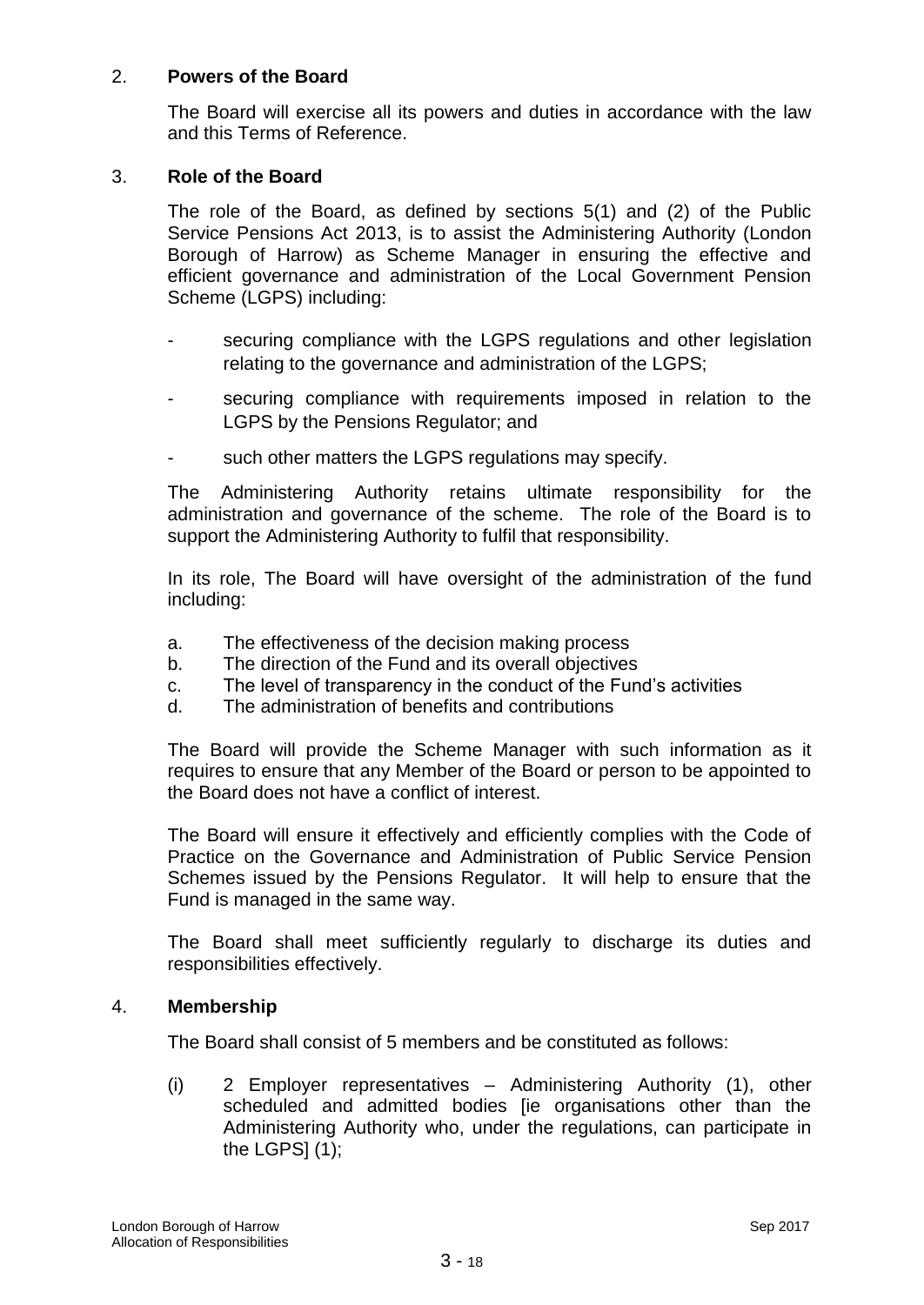## 2. **Powers of the Board**

The Board will exercise all its powers and duties in accordance with the law and this Terms of Reference.

#### 3. **Role of the Board**

The role of the Board, as defined by sections 5(1) and (2) of the Public Service Pensions Act 2013, is to assist the Administering Authority (London Borough of Harrow) as Scheme Manager in ensuring the effective and efficient governance and administration of the Local Government Pension Scheme (LGPS) including:

- securing compliance with the LGPS regulations and other legislation relating to the governance and administration of the LGPS;
- securing compliance with requirements imposed in relation to the LGPS by the Pensions Regulator; and
- such other matters the LGPS regulations may specify.

The Administering Authority retains ultimate responsibility for the administration and governance of the scheme. The role of the Board is to support the Administering Authority to fulfil that responsibility.

In its role, The Board will have oversight of the administration of the fund including:

- a. The effectiveness of the decision making process
- b. The direction of the Fund and its overall objectives
- c. The level of transparency in the conduct of the Fund's activities
- d. The administration of benefits and contributions

The Board will provide the Scheme Manager with such information as it requires to ensure that any Member of the Board or person to be appointed to the Board does not have a conflict of interest.

The Board will ensure it effectively and efficiently complies with the Code of Practice on the Governance and Administration of Public Service Pension Schemes issued by the Pensions Regulator. It will help to ensure that the Fund is managed in the same way.

The Board shall meet sufficiently regularly to discharge its duties and responsibilities effectively.

#### 4. **Membership**

The Board shall consist of 5 members and be constituted as follows:

(i) 2 Employer representatives – Administering Authority (1), other scheduled and admitted bodies [ie organisations other than the Administering Authority who, under the regulations, can participate in the LGPS $(1)$ ;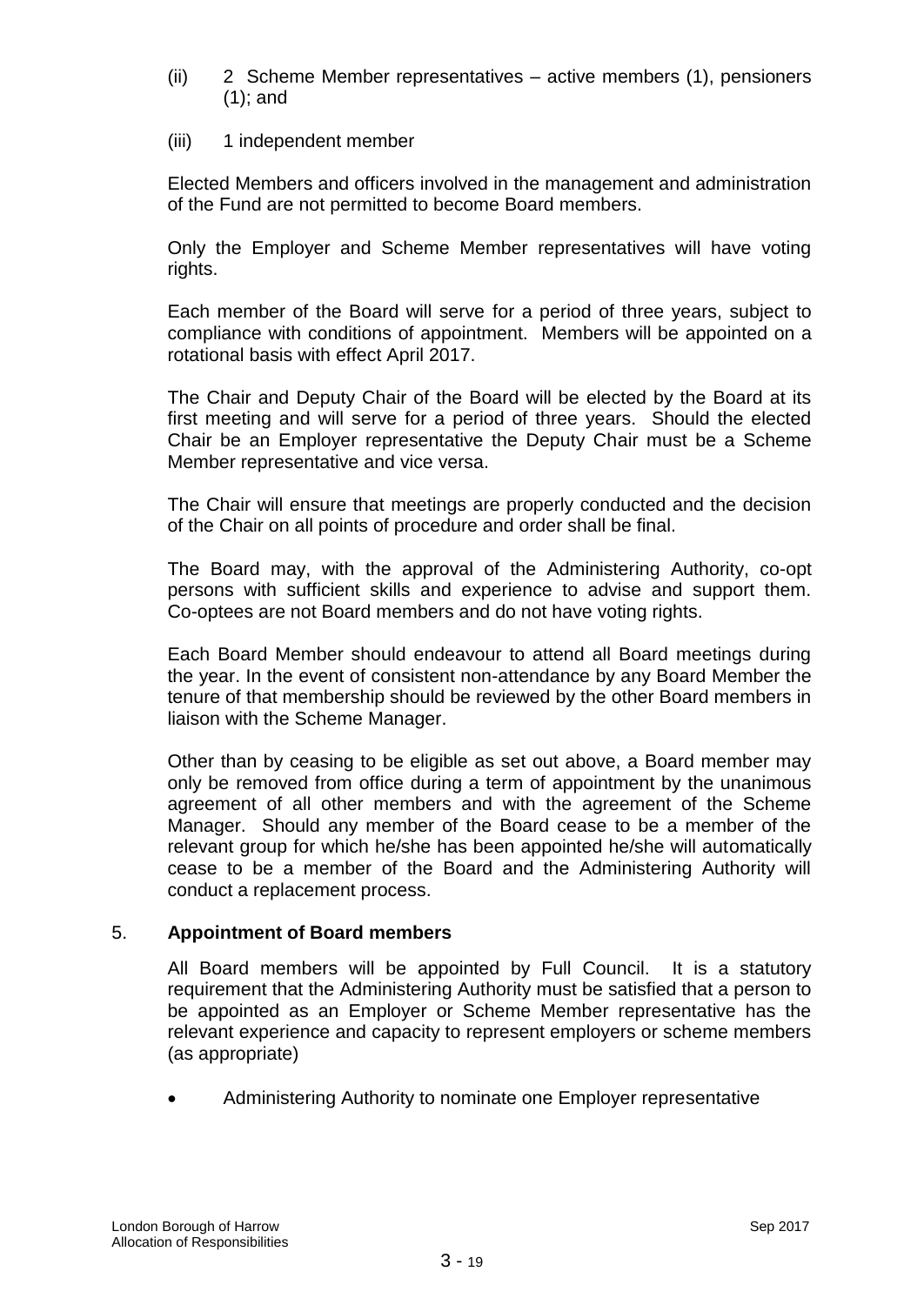- (ii) 2 Scheme Member representatives active members (1), pensioners (1); and
- (iii) 1 independent member

Elected Members and officers involved in the management and administration of the Fund are not permitted to become Board members.

Only the Employer and Scheme Member representatives will have voting rights.

Each member of the Board will serve for a period of three years, subject to compliance with conditions of appointment. Members will be appointed on a rotational basis with effect April 2017.

The Chair and Deputy Chair of the Board will be elected by the Board at its first meeting and will serve for a period of three years. Should the elected Chair be an Employer representative the Deputy Chair must be a Scheme Member representative and vice versa.

The Chair will ensure that meetings are properly conducted and the decision of the Chair on all points of procedure and order shall be final.

The Board may, with the approval of the Administering Authority, co-opt persons with sufficient skills and experience to advise and support them. Co-optees are not Board members and do not have voting rights.

Each Board Member should endeavour to attend all Board meetings during the year. In the event of consistent non-attendance by any Board Member the tenure of that membership should be reviewed by the other Board members in liaison with the Scheme Manager.

Other than by ceasing to be eligible as set out above, a Board member may only be removed from office during a term of appointment by the unanimous agreement of all other members and with the agreement of the Scheme Manager. Should any member of the Board cease to be a member of the relevant group for which he/she has been appointed he/she will automatically cease to be a member of the Board and the Administering Authority will conduct a replacement process.

## 5. **Appointment of Board members**

All Board members will be appointed by Full Council. It is a statutory requirement that the Administering Authority must be satisfied that a person to be appointed as an Employer or Scheme Member representative has the relevant experience and capacity to represent employers or scheme members (as appropriate)

Administering Authority to nominate one Employer representative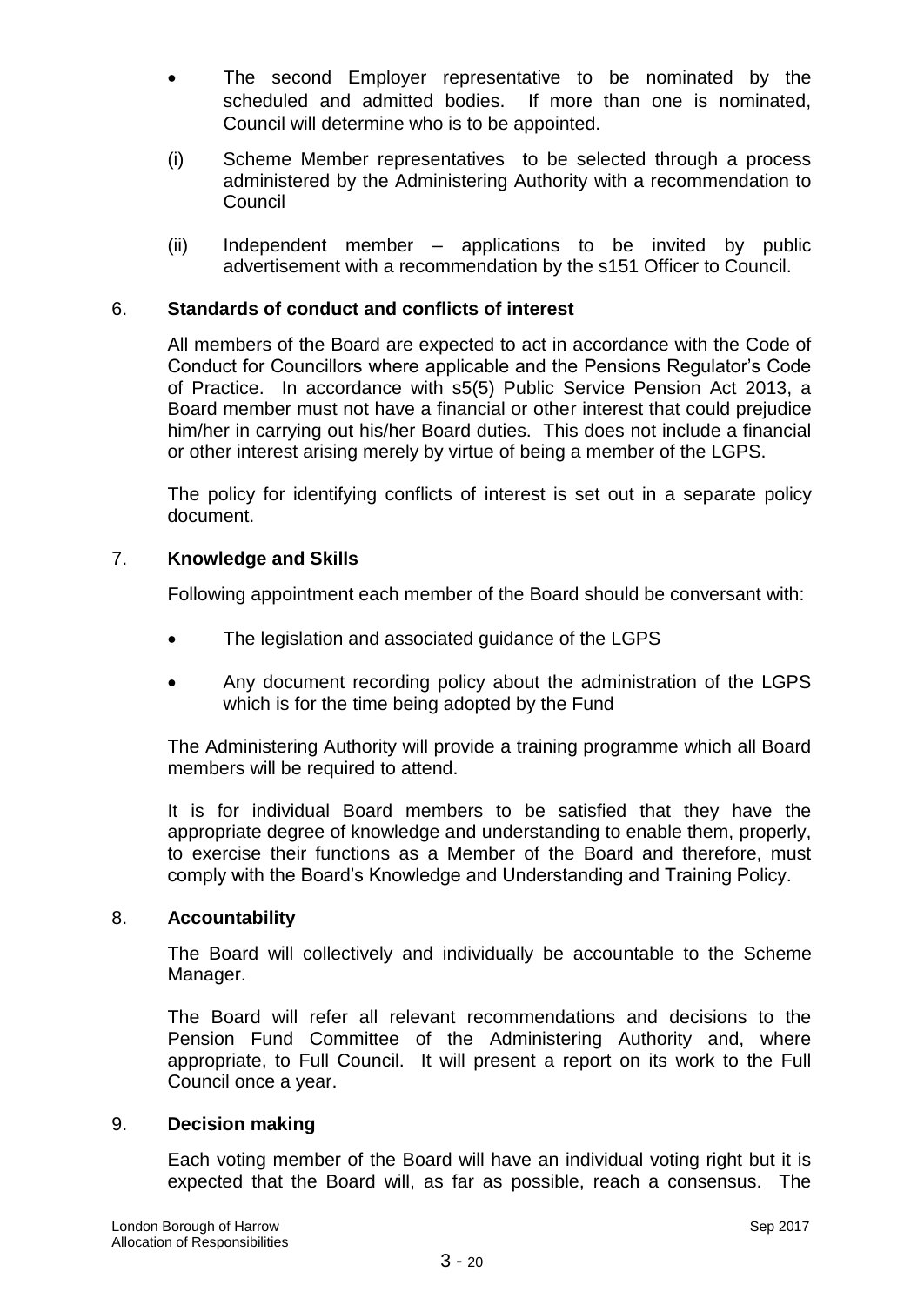- The second Employer representative to be nominated by the scheduled and admitted bodies. If more than one is nominated, Council will determine who is to be appointed.
- (i) Scheme Member representatives to be selected through a process administered by the Administering Authority with a recommendation to **Council**
- (ii) Independent member applications to be invited by public advertisement with a recommendation by the s151 Officer to Council.

## 6. **Standards of conduct and conflicts of interest**

All members of the Board are expected to act in accordance with the Code of Conduct for Councillors where applicable and the Pensions Regulator's Code of Practice. In accordance with s5(5) Public Service Pension Act 2013, a Board member must not have a financial or other interest that could prejudice him/her in carrying out his/her Board duties. This does not include a financial or other interest arising merely by virtue of being a member of the LGPS.

The policy for identifying conflicts of interest is set out in a separate policy document.

## 7. **Knowledge and Skills**

Following appointment each member of the Board should be conversant with:

- The legislation and associated guidance of the LGPS
- Any document recording policy about the administration of the LGPS which is for the time being adopted by the Fund

The Administering Authority will provide a training programme which all Board members will be required to attend.

It is for individual Board members to be satisfied that they have the appropriate degree of knowledge and understanding to enable them, properly, to exercise their functions as a Member of the Board and therefore, must comply with the Board's Knowledge and Understanding and Training Policy.

## 8. **Accountability**

The Board will collectively and individually be accountable to the Scheme Manager.

The Board will refer all relevant recommendations and decisions to the Pension Fund Committee of the Administering Authority and, where appropriate, to Full Council. It will present a report on its work to the Full Council once a year.

## 9. **Decision making**

Each voting member of the Board will have an individual voting right but it is expected that the Board will, as far as possible, reach a consensus. The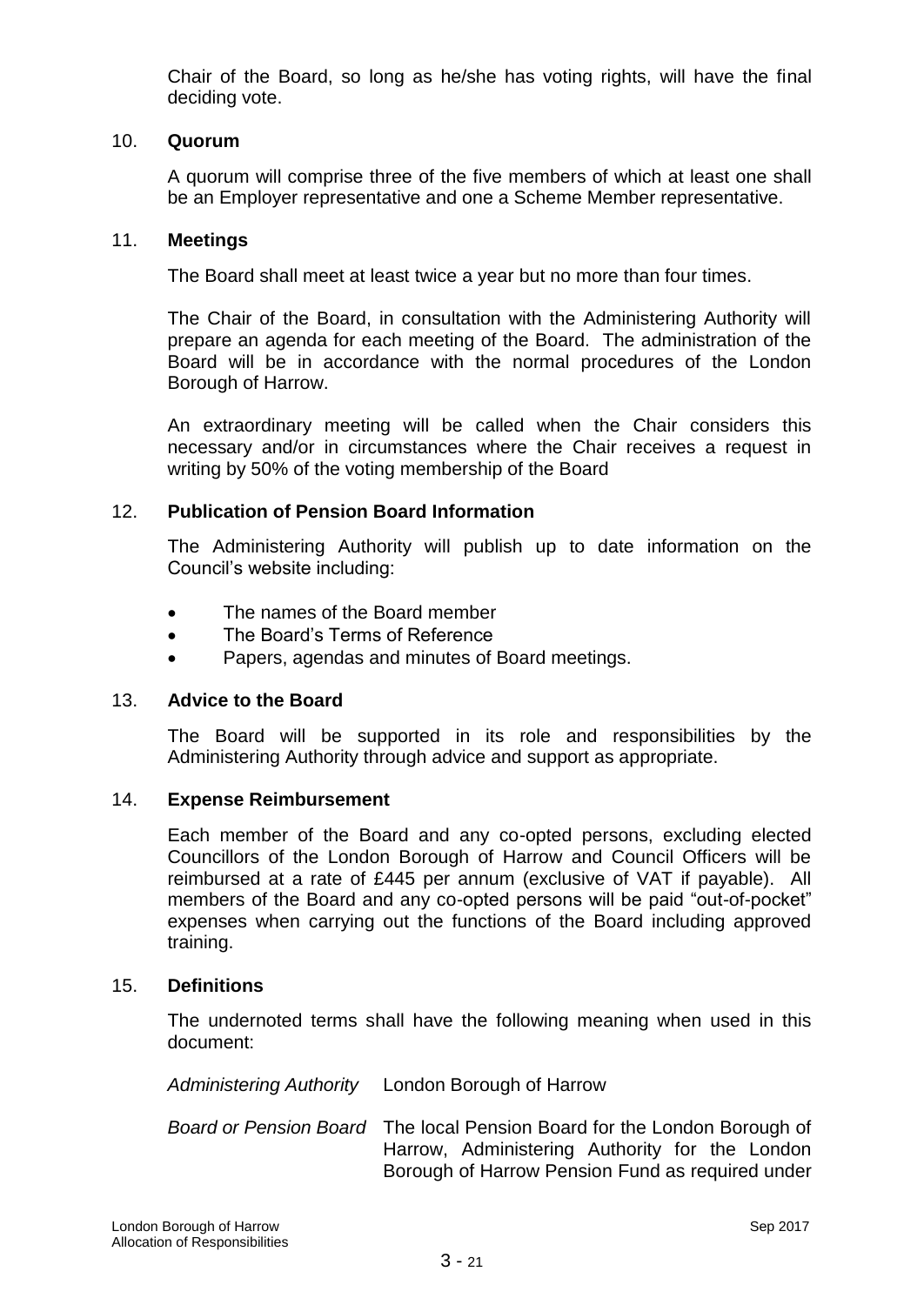Chair of the Board, so long as he/she has voting rights, will have the final deciding vote.

## 10. **Quorum**

A quorum will comprise three of the five members of which at least one shall be an Employer representative and one a Scheme Member representative.

#### 11. **Meetings**

The Board shall meet at least twice a year but no more than four times.

The Chair of the Board, in consultation with the Administering Authority will prepare an agenda for each meeting of the Board. The administration of the Board will be in accordance with the normal procedures of the London Borough of Harrow.

An extraordinary meeting will be called when the Chair considers this necessary and/or in circumstances where the Chair receives a request in writing by 50% of the voting membership of the Board

#### 12. **Publication of Pension Board Information**

The Administering Authority will publish up to date information on the Council's website including:

- The names of the Board member
- The Board's Terms of Reference
- Papers, agendas and minutes of Board meetings.

#### 13. **Advice to the Board**

The Board will be supported in its role and responsibilities by the Administering Authority through advice and support as appropriate.

#### 14. **Expense Reimbursement**

Each member of the Board and any co-opted persons, excluding elected Councillors of the London Borough of Harrow and Council Officers will be reimbursed at a rate of £445 per annum (exclusive of VAT if payable). All members of the Board and any co-opted persons will be paid "out-of-pocket" expenses when carrying out the functions of the Board including approved training.

#### 15. **Definitions**

The undernoted terms shall have the following meaning when used in this document:

*Administering Authority* London Borough of Harrow

*Board or Pension Board* The local Pension Board for the London Borough of Harrow, Administering Authority for the London Borough of Harrow Pension Fund as required under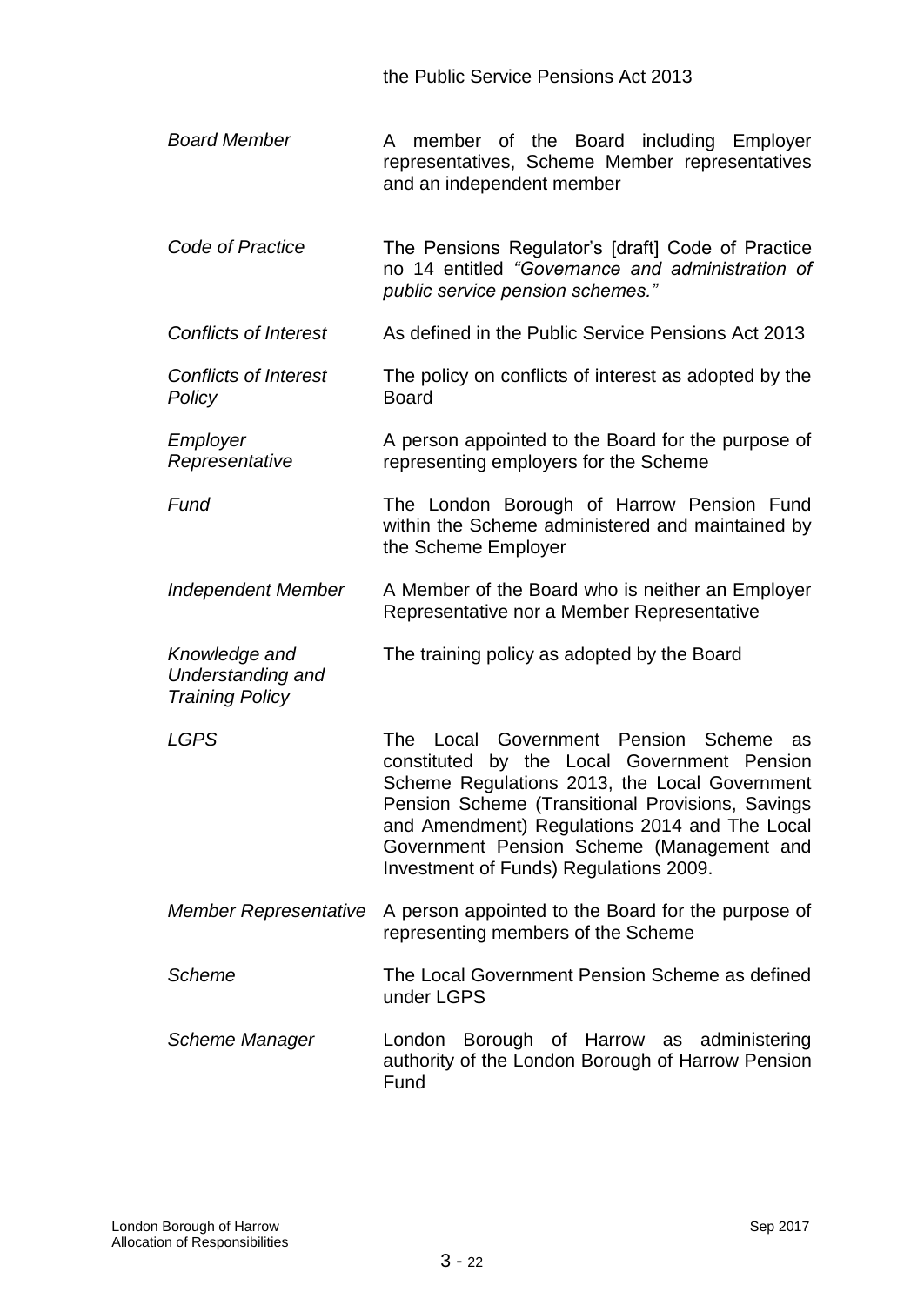the Public Service Pensions Act 2013

- *Board Member* A member of the Board including Employer representatives, Scheme Member representatives and an independent member
- *Code of Practice* The Pensions Regulator's [draft] Code of Practice no 14 entitled *"Governance and administration of public service pension schemes."*
- *Conflicts of Interest* As defined in the Public Service Pensions Act 2013
- *Conflicts of Interest Policy* The policy on conflicts of interest as adopted by the Board
- *Employer Representative* A person appointed to the Board for the purpose of representing employers for the Scheme

**Fund The London Borough of Harrow Pension Fund** within the Scheme administered and maintained by the Scheme Employer

- *Independent Member* A Member of the Board who is neither an Employer Representative nor a Member Representative
- *Knowledge and Understanding and*  The training policy as adopted by the Board

*Training Policy*

*LGPS* The Local Government Pension Scheme as constituted by the Local Government Pension Scheme Regulations 2013, the Local Government Pension Scheme (Transitional Provisions, Savings and Amendment) Regulations 2014 and The Local Government Pension Scheme (Management and Investment of Funds) Regulations 2009.

- *Member Representative* A person appointed to the Board for the purpose of representing members of the Scheme
- *Scheme* The Local Government Pension Scheme as defined under LGPS
- *Scheme Manager* London Borough of Harrow as administering authority of the London Borough of Harrow Pension Fund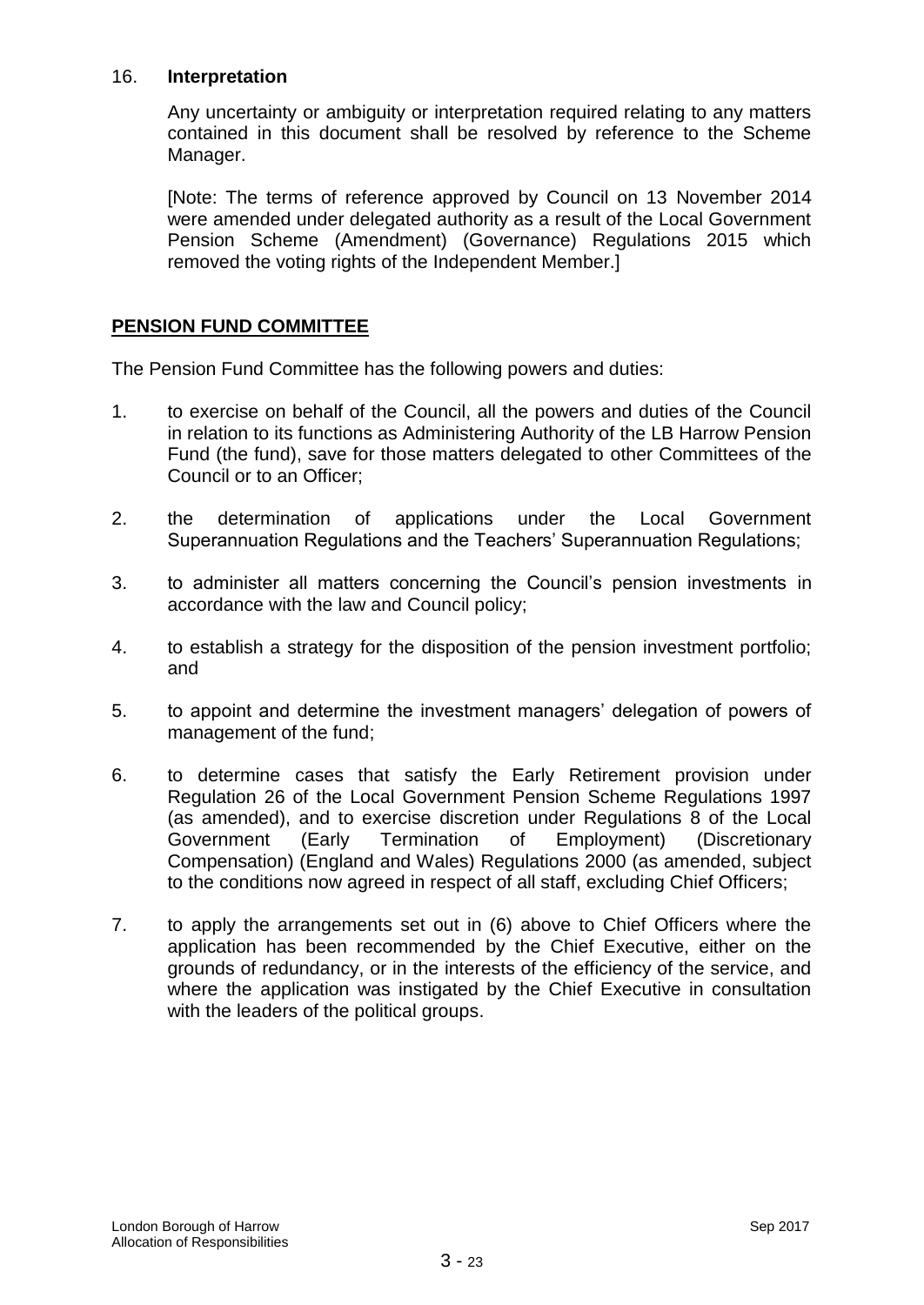#### 16. **Interpretation**

Any uncertainty or ambiguity or interpretation required relating to any matters contained in this document shall be resolved by reference to the Scheme Manager.

[Note: The terms of reference approved by Council on 13 November 2014 were amended under delegated authority as a result of the Local Government Pension Scheme (Amendment) (Governance) Regulations 2015 which removed the voting rights of the Independent Member.]

## **PENSION FUND COMMITTEE**

The Pension Fund Committee has the following powers and duties:

- 1. to exercise on behalf of the Council, all the powers and duties of the Council in relation to its functions as Administering Authority of the LB Harrow Pension Fund (the fund), save for those matters delegated to other Committees of the Council or to an Officer;
- 2. the determination of applications under the Local Government Superannuation Regulations and the Teachers' Superannuation Regulations;
- 3. to administer all matters concerning the Council's pension investments in accordance with the law and Council policy;
- 4. to establish a strategy for the disposition of the pension investment portfolio; and
- 5. to appoint and determine the investment managers' delegation of powers of management of the fund;
- 6. to determine cases that satisfy the Early Retirement provision under Regulation 26 of the Local Government Pension Scheme Regulations 1997 (as amended), and to exercise discretion under Regulations 8 of the Local Government (Early Termination of Employment) (Discretionary Compensation) (England and Wales) Regulations 2000 (as amended, subject to the conditions now agreed in respect of all staff, excluding Chief Officers;
- 7. to apply the arrangements set out in (6) above to Chief Officers where the application has been recommended by the Chief Executive, either on the grounds of redundancy, or in the interests of the efficiency of the service, and where the application was instigated by the Chief Executive in consultation with the leaders of the political groups.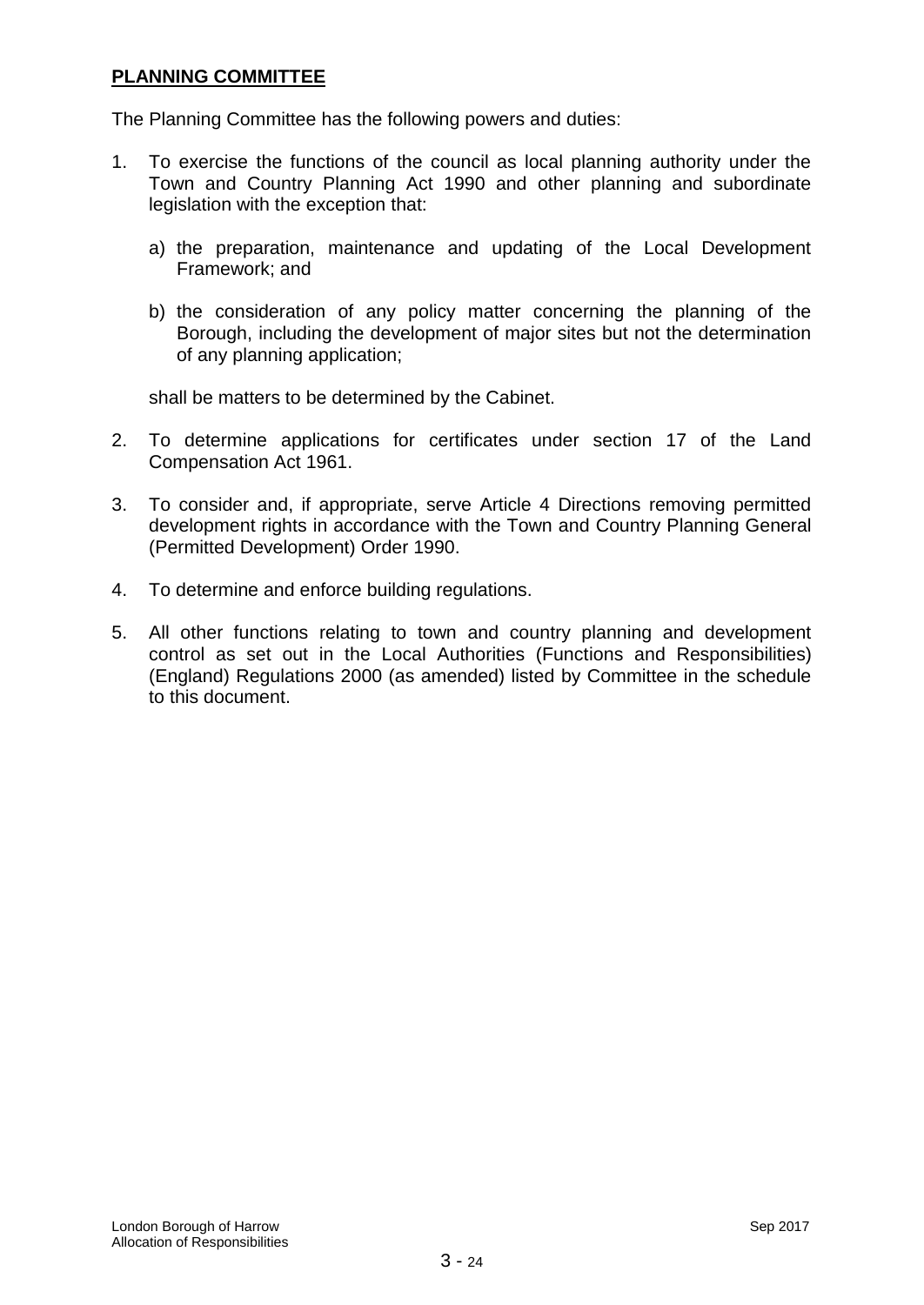## **PLANNING COMMITTEE**

The Planning Committee has the following powers and duties:

- 1. To exercise the functions of the council as local planning authority under the Town and Country Planning Act 1990 and other planning and subordinate legislation with the exception that:
	- a) the preparation, maintenance and updating of the Local Development Framework; and
	- b) the consideration of any policy matter concerning the planning of the Borough, including the development of major sites but not the determination of any planning application;

shall be matters to be determined by the Cabinet.

- 2. To determine applications for certificates under section 17 of the Land Compensation Act 1961.
- 3. To consider and, if appropriate, serve Article 4 Directions removing permitted development rights in accordance with the Town and Country Planning General (Permitted Development) Order 1990.
- 4. To determine and enforce building regulations.
- 5. All other functions relating to town and country planning and development control as set out in the Local Authorities (Functions and Responsibilities) (England) Regulations 2000 (as amended) listed by Committee in the schedule to this document.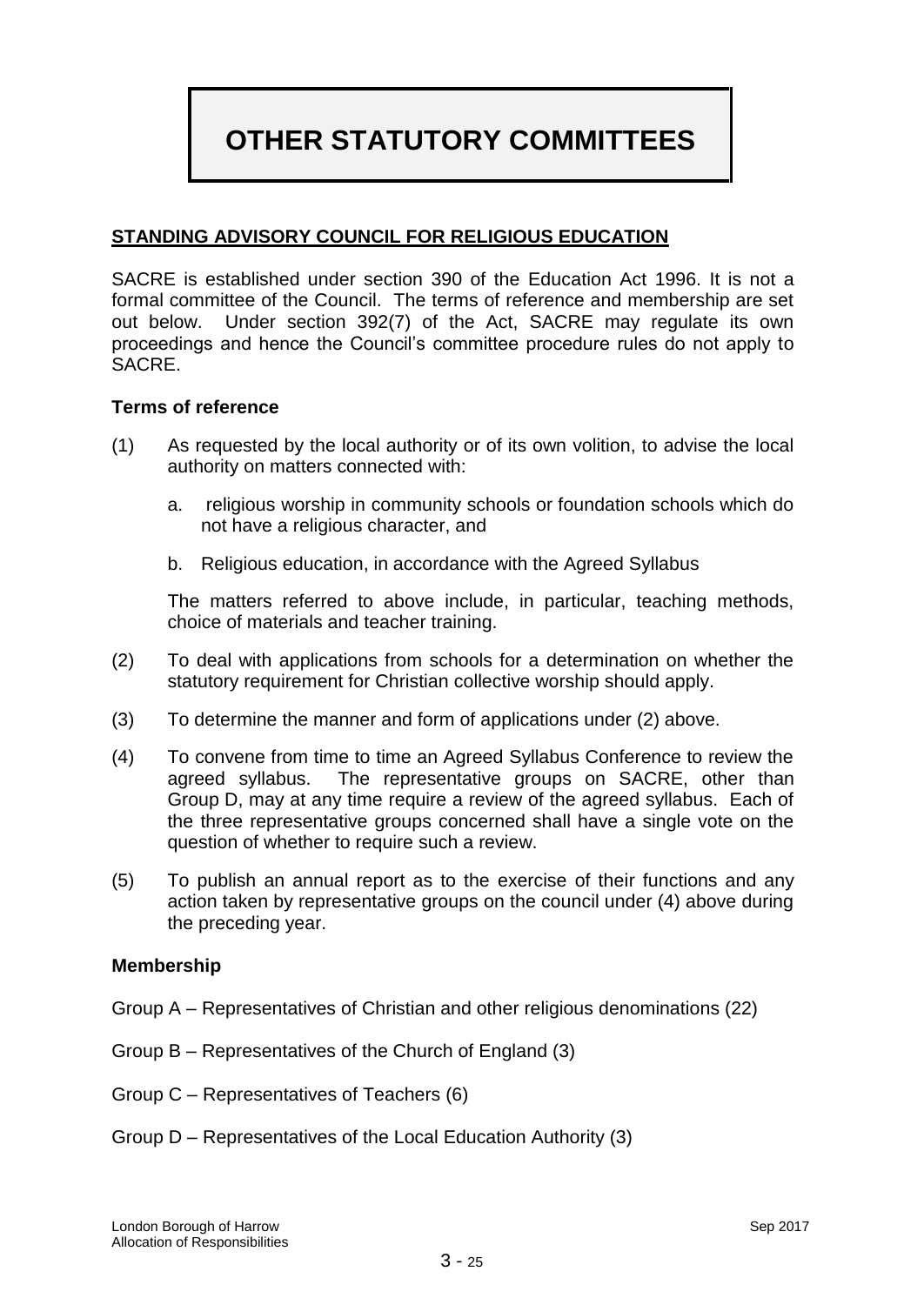# **OTHER STATUTORY COMMITTEES**

## **STANDING ADVISORY COUNCIL FOR RELIGIOUS EDUCATION**

SACRE is established under section 390 of the Education Act 1996. It is not a formal committee of the Council. The terms of reference and membership are set out below. Under section 392(7) of the Act, SACRE may regulate its own proceedings and hence the Council's committee procedure rules do not apply to SACRE.

#### **Terms of reference**

- (1) As requested by the local authority or of its own volition, to advise the local authority on matters connected with:
	- a. religious worship in community schools or foundation schools which do not have a religious character, and
	- b. Religious education, in accordance with the Agreed Syllabus

The matters referred to above include, in particular, teaching methods, choice of materials and teacher training.

- (2) To deal with applications from schools for a determination on whether the statutory requirement for Christian collective worship should apply.
- (3) To determine the manner and form of applications under (2) above.
- (4) To convene from time to time an Agreed Syllabus Conference to review the agreed syllabus. The representative groups on SACRE, other than Group D, may at any time require a review of the agreed syllabus. Each of the three representative groups concerned shall have a single vote on the question of whether to require such a review.
- (5) To publish an annual report as to the exercise of their functions and any action taken by representative groups on the council under (4) above during the preceding year.

#### **Membership**

- Group A Representatives of Christian and other religious denominations (22)
- Group B Representatives of the Church of England (3)
- Group C Representatives of Teachers (6)
- Group D Representatives of the Local Education Authority (3)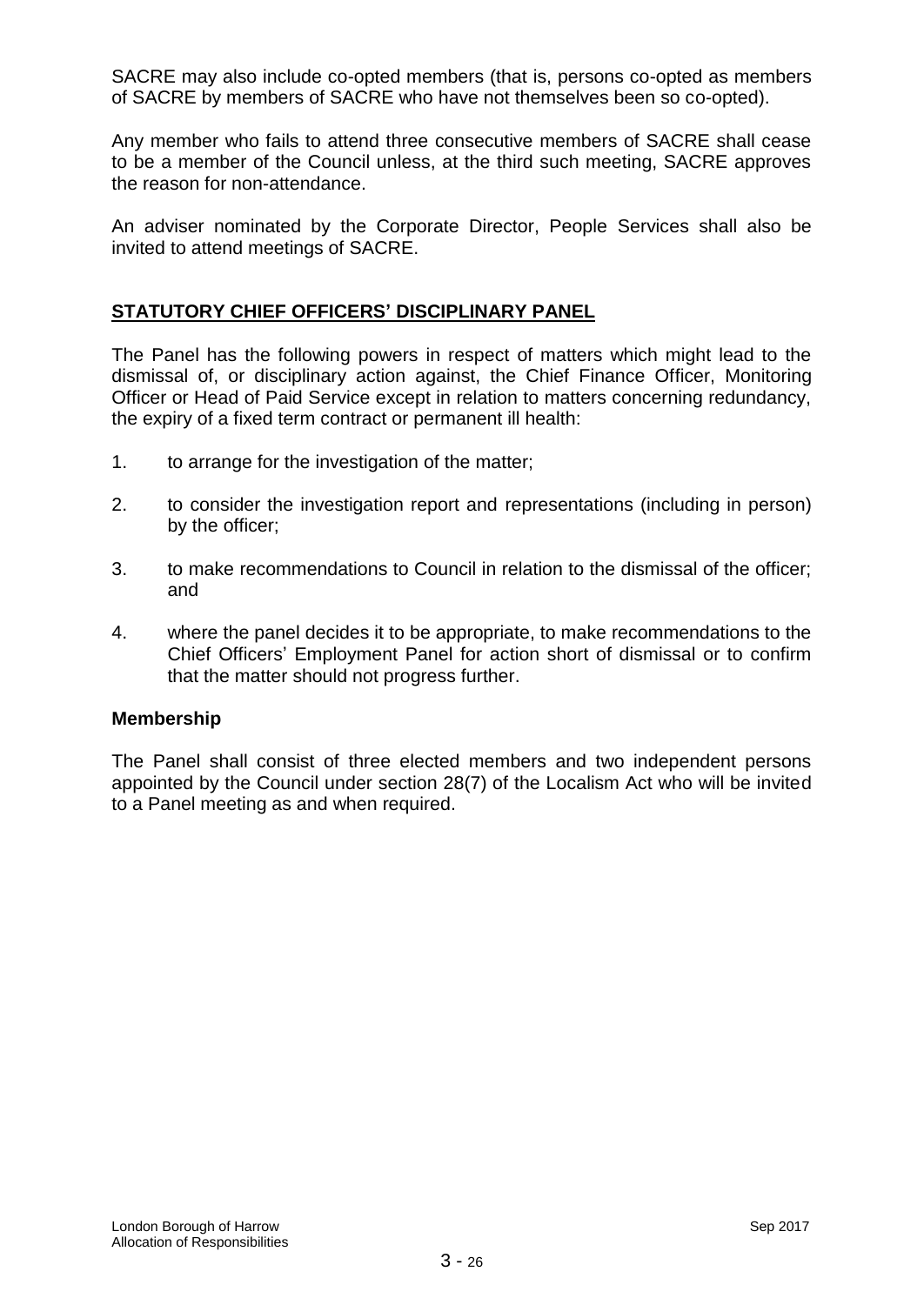SACRE may also include co-opted members (that is, persons co-opted as members of SACRE by members of SACRE who have not themselves been so co-opted).

Any member who fails to attend three consecutive members of SACRE shall cease to be a member of the Council unless, at the third such meeting, SACRE approves the reason for non-attendance.

An adviser nominated by the Corporate Director, People Services shall also be invited to attend meetings of SACRE.

## **STATUTORY CHIEF OFFICERS' DISCIPLINARY PANEL**

The Panel has the following powers in respect of matters which might lead to the dismissal of, or disciplinary action against, the Chief Finance Officer, Monitoring Officer or Head of Paid Service except in relation to matters concerning redundancy, the expiry of a fixed term contract or permanent ill health:

- 1. to arrange for the investigation of the matter;
- 2. to consider the investigation report and representations (including in person) by the officer;
- 3. to make recommendations to Council in relation to the dismissal of the officer; and
- 4. where the panel decides it to be appropriate, to make recommendations to the Chief Officers' Employment Panel for action short of dismissal or to confirm that the matter should not progress further.

#### **Membership**

The Panel shall consist of three elected members and two independent persons appointed by the Council under section 28(7) of the Localism Act who will be invited to a Panel meeting as and when required.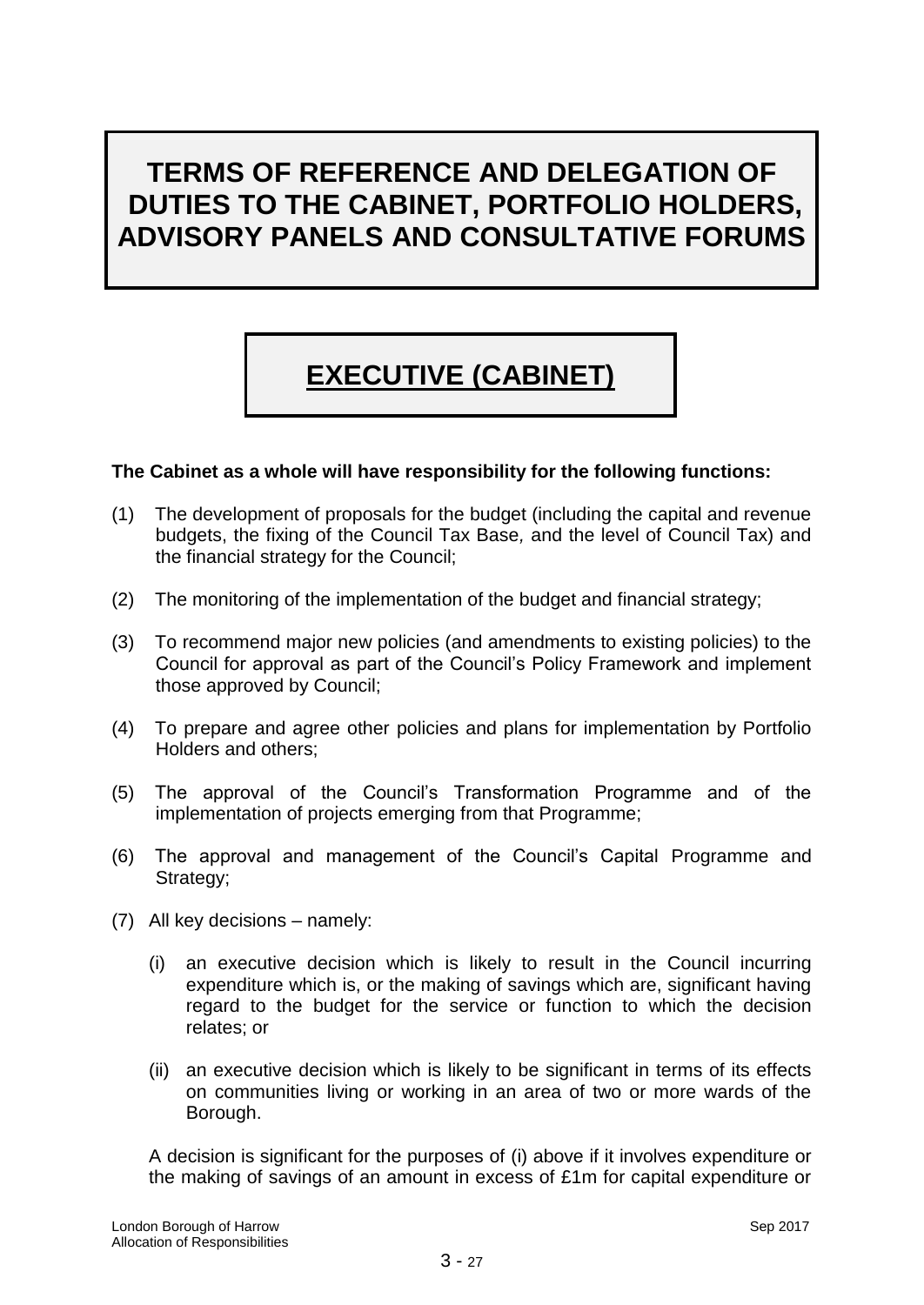# **TERMS OF REFERENCE AND DELEGATION OF DUTIES TO THE CABINET, PORTFOLIO HOLDERS, ADVISORY PANELS AND CONSULTATIVE FORUMS**

# **EXECUTIVE (CABINET)**

## **The Cabinet as a whole will have responsibility for the following functions:**

- (1) The development of proposals for the budget (including the capital and revenue budgets, the fixing of the Council Tax Base*,* and the level of Council Tax) and the financial strategy for the Council;
- (2) The monitoring of the implementation of the budget and financial strategy;
- (3) To recommend major new policies (and amendments to existing policies) to the Council for approval as part of the Council's Policy Framework and implement those approved by Council;
- (4) To prepare and agree other policies and plans for implementation by Portfolio Holders and others;
- (5) The approval of the Council's Transformation Programme and of the implementation of projects emerging from that Programme;
- (6) The approval and management of the Council's Capital Programme and Strategy;
- (7) All key decisions namely:
	- (i) an executive decision which is likely to result in the Council incurring expenditure which is, or the making of savings which are, significant having regard to the budget for the service or function to which the decision relates; or
	- (ii) an executive decision which is likely to be significant in terms of its effects on communities living or working in an area of two or more wards of the Borough.

A decision is significant for the purposes of (i) above if it involves expenditure or the making of savings of an amount in excess of £1m for capital expenditure or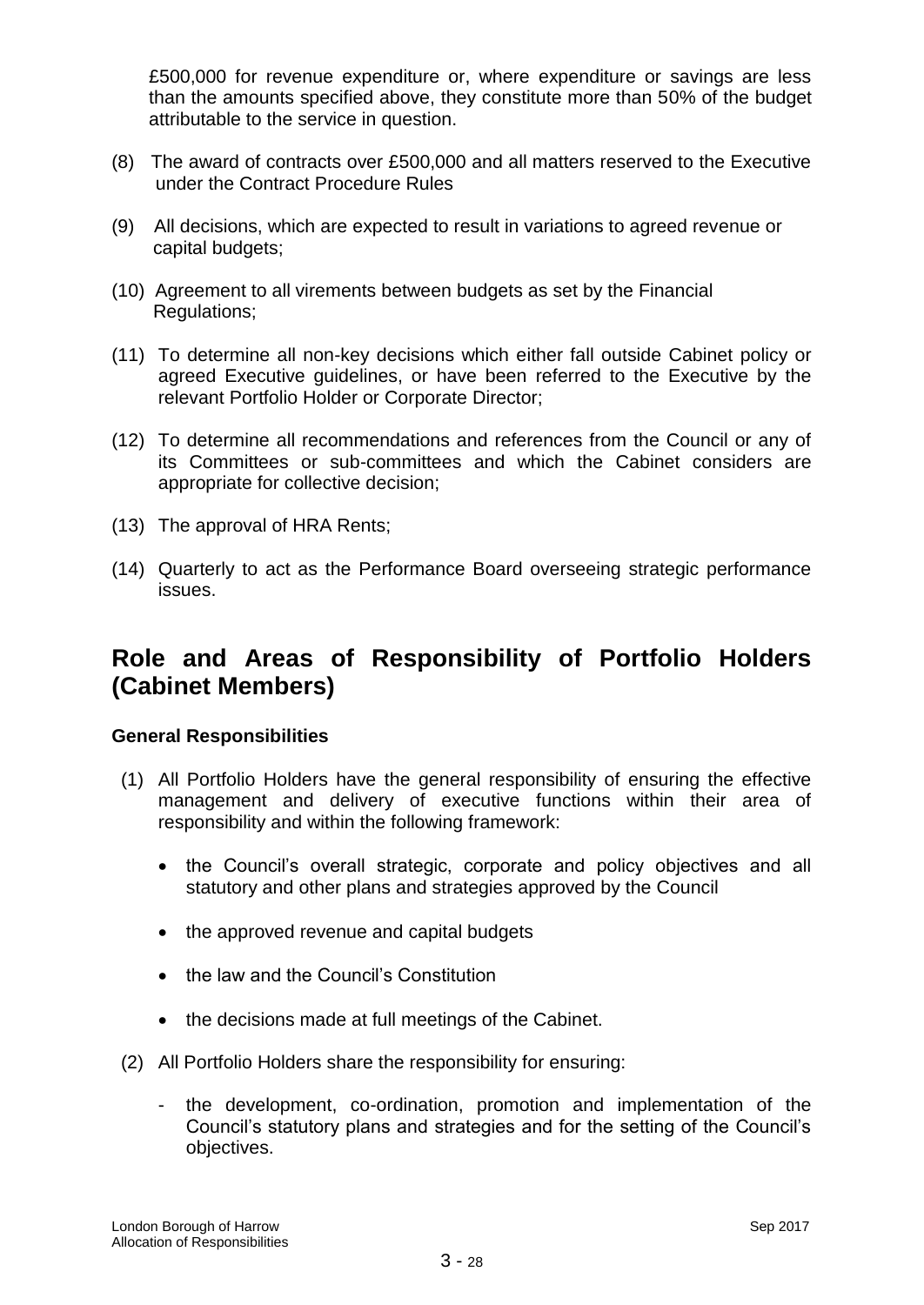£500,000 for revenue expenditure or, where expenditure or savings are less than the amounts specified above, they constitute more than 50% of the budget attributable to the service in question.

- (8) The award of contracts over £500,000 and all matters reserved to the Executive under the Contract Procedure Rules
- (9) All decisions, which are expected to result in variations to agreed revenue or capital budgets;
- (10) Agreement to all virements between budgets as set by the Financial Regulations;
- (11) To determine all non-key decisions which either fall outside Cabinet policy or agreed Executive guidelines, or have been referred to the Executive by the relevant Portfolio Holder or Corporate Director;
- (12) To determine all recommendations and references from the Council or any of its Committees or sub-committees and which the Cabinet considers are appropriate for collective decision;
- (13) The approval of HRA Rents;
- (14) Quarterly to act as the Performance Board overseeing strategic performance issues.

# **Role and Areas of Responsibility of Portfolio Holders (Cabinet Members)**

#### **General Responsibilities**

- (1) All Portfolio Holders have the general responsibility of ensuring the effective management and delivery of executive functions within their area of responsibility and within the following framework:
	- the Council's overall strategic, corporate and policy objectives and all statutory and other plans and strategies approved by the Council
	- the approved revenue and capital budgets
	- the law and the Council's Constitution
	- the decisions made at full meetings of the Cabinet.
- (2) All Portfolio Holders share the responsibility for ensuring:
	- the development, co-ordination, promotion and implementation of the Council's statutory plans and strategies and for the setting of the Council's objectives.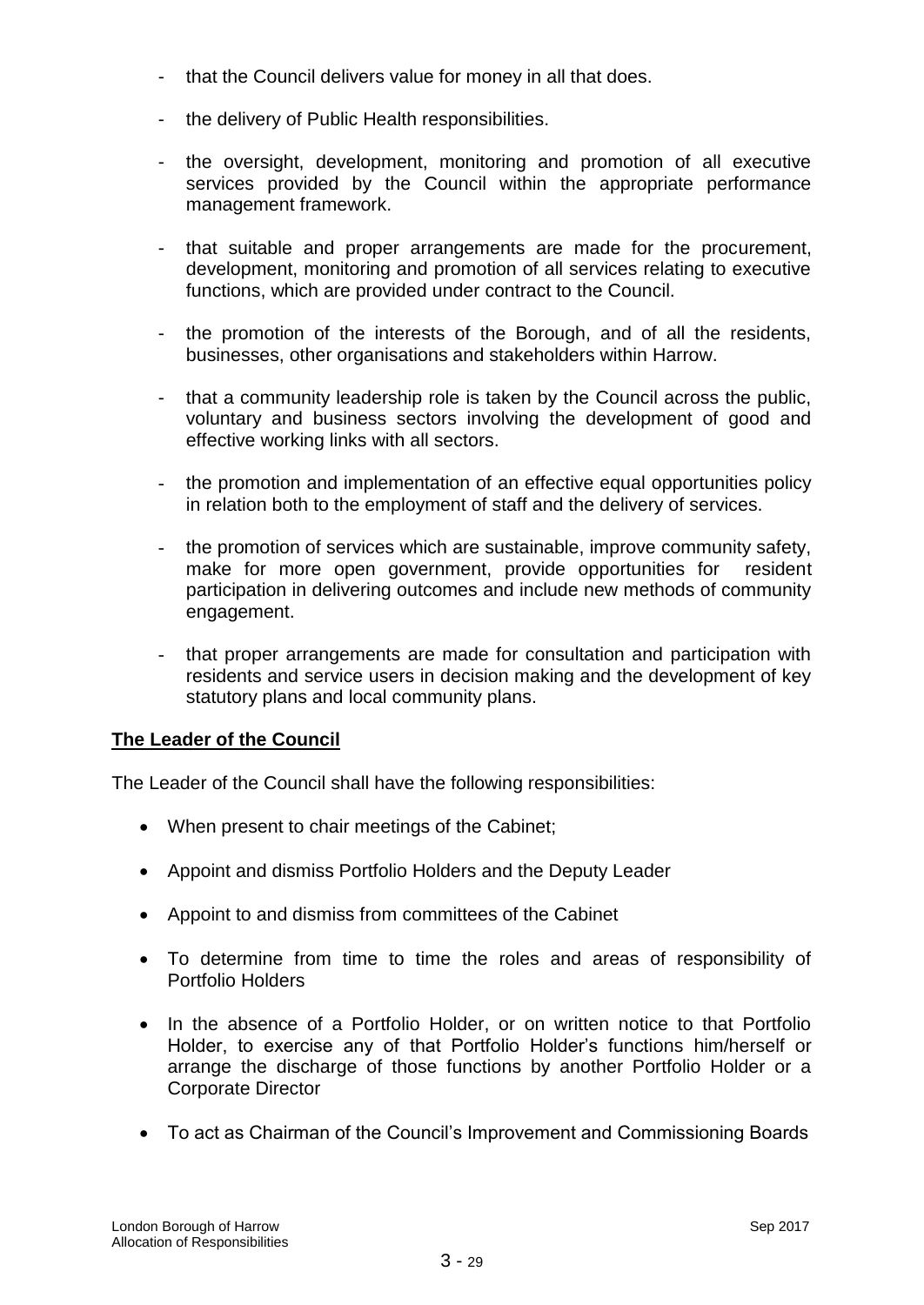- that the Council delivers value for money in all that does.
- the delivery of Public Health responsibilities.
- the oversight, development, monitoring and promotion of all executive services provided by the Council within the appropriate performance management framework.
- that suitable and proper arrangements are made for the procurement, development, monitoring and promotion of all services relating to executive functions, which are provided under contract to the Council.
- the promotion of the interests of the Borough, and of all the residents, businesses, other organisations and stakeholders within Harrow.
- that a community leadership role is taken by the Council across the public, voluntary and business sectors involving the development of good and effective working links with all sectors.
- the promotion and implementation of an effective equal opportunities policy in relation both to the employment of staff and the delivery of services.
- the promotion of services which are sustainable, improve community safety, make for more open government, provide opportunities for resident participation in delivering outcomes and include new methods of community engagement.
- that proper arrangements are made for consultation and participation with residents and service users in decision making and the development of key statutory plans and local community plans.

# **The Leader of the Council**

The Leader of the Council shall have the following responsibilities:

- When present to chair meetings of the Cabinet;
- Appoint and dismiss Portfolio Holders and the Deputy Leader
- Appoint to and dismiss from committees of the Cabinet
- To determine from time to time the roles and areas of responsibility of Portfolio Holders
- In the absence of a Portfolio Holder, or on written notice to that Portfolio Holder, to exercise any of that Portfolio Holder's functions him/herself or arrange the discharge of those functions by another Portfolio Holder or a Corporate Director
- To act as Chairman of the Council's Improvement and Commissioning Boards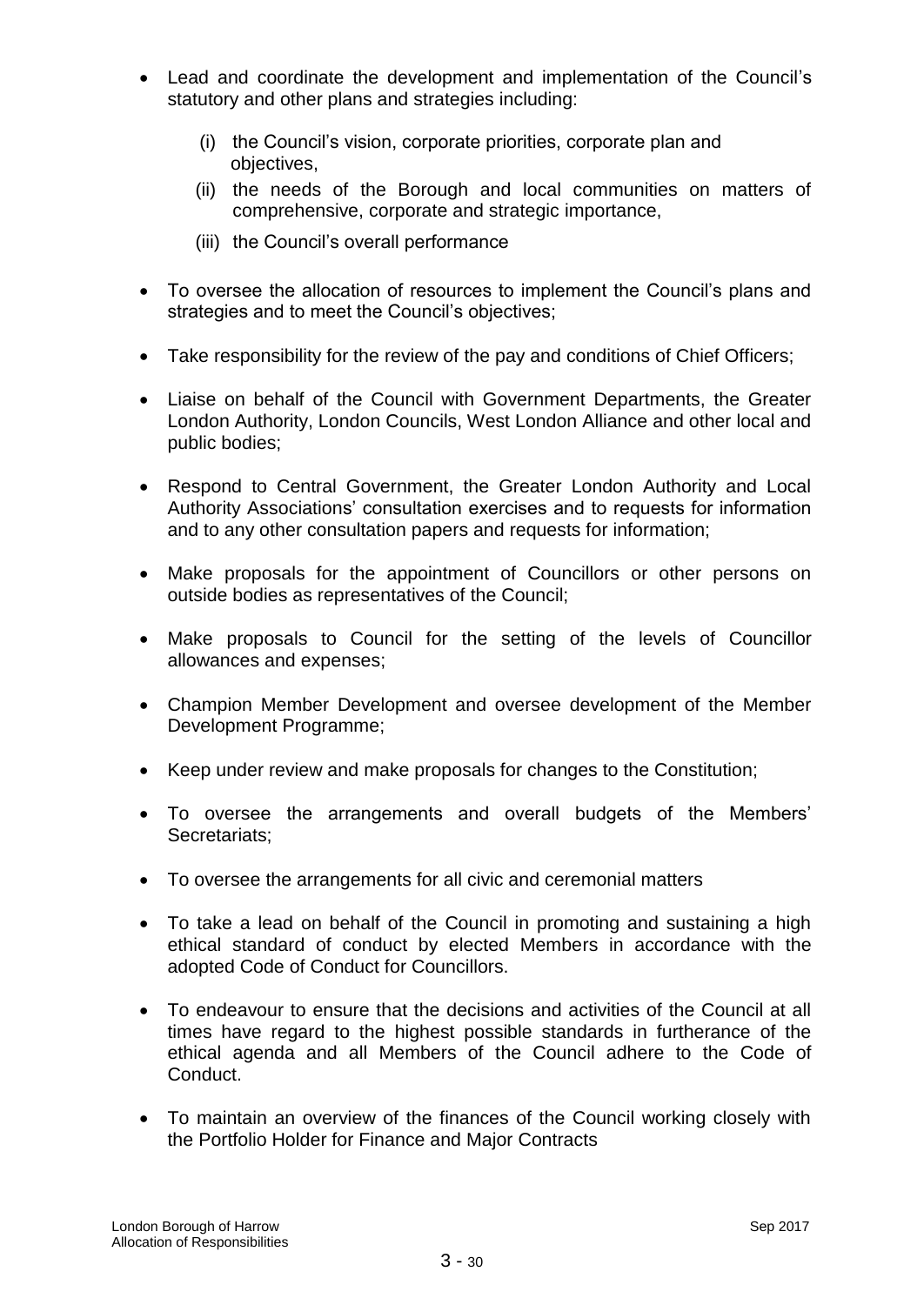- Lead and coordinate the development and implementation of the Council's statutory and other plans and strategies including:
	- (i) the Council's vision, corporate priorities, corporate plan and objectives,
	- (ii) the needs of the Borough and local communities on matters of comprehensive, corporate and strategic importance,
	- (iii) the Council's overall performance
- To oversee the allocation of resources to implement the Council's plans and strategies and to meet the Council's objectives;
- Take responsibility for the review of the pay and conditions of Chief Officers;
- Liaise on behalf of the Council with Government Departments, the Greater London Authority, London Councils, West London Alliance and other local and public bodies;
- Respond to Central Government, the Greater London Authority and Local Authority Associations' consultation exercises and to requests for information and to any other consultation papers and requests for information;
- Make proposals for the appointment of Councillors or other persons on outside bodies as representatives of the Council;
- Make proposals to Council for the setting of the levels of Councillor allowances and expenses;
- Champion Member Development and oversee development of the Member Development Programme;
- Keep under review and make proposals for changes to the Constitution;
- To oversee the arrangements and overall budgets of the Members' Secretariats;
- To oversee the arrangements for all civic and ceremonial matters
- To take a lead on behalf of the Council in promoting and sustaining a high ethical standard of conduct by elected Members in accordance with the adopted Code of Conduct for Councillors.
- To endeavour to ensure that the decisions and activities of the Council at all times have regard to the highest possible standards in furtherance of the ethical agenda and all Members of the Council adhere to the Code of Conduct.
- To maintain an overview of the finances of the Council working closely with the Portfolio Holder for Finance and Major Contracts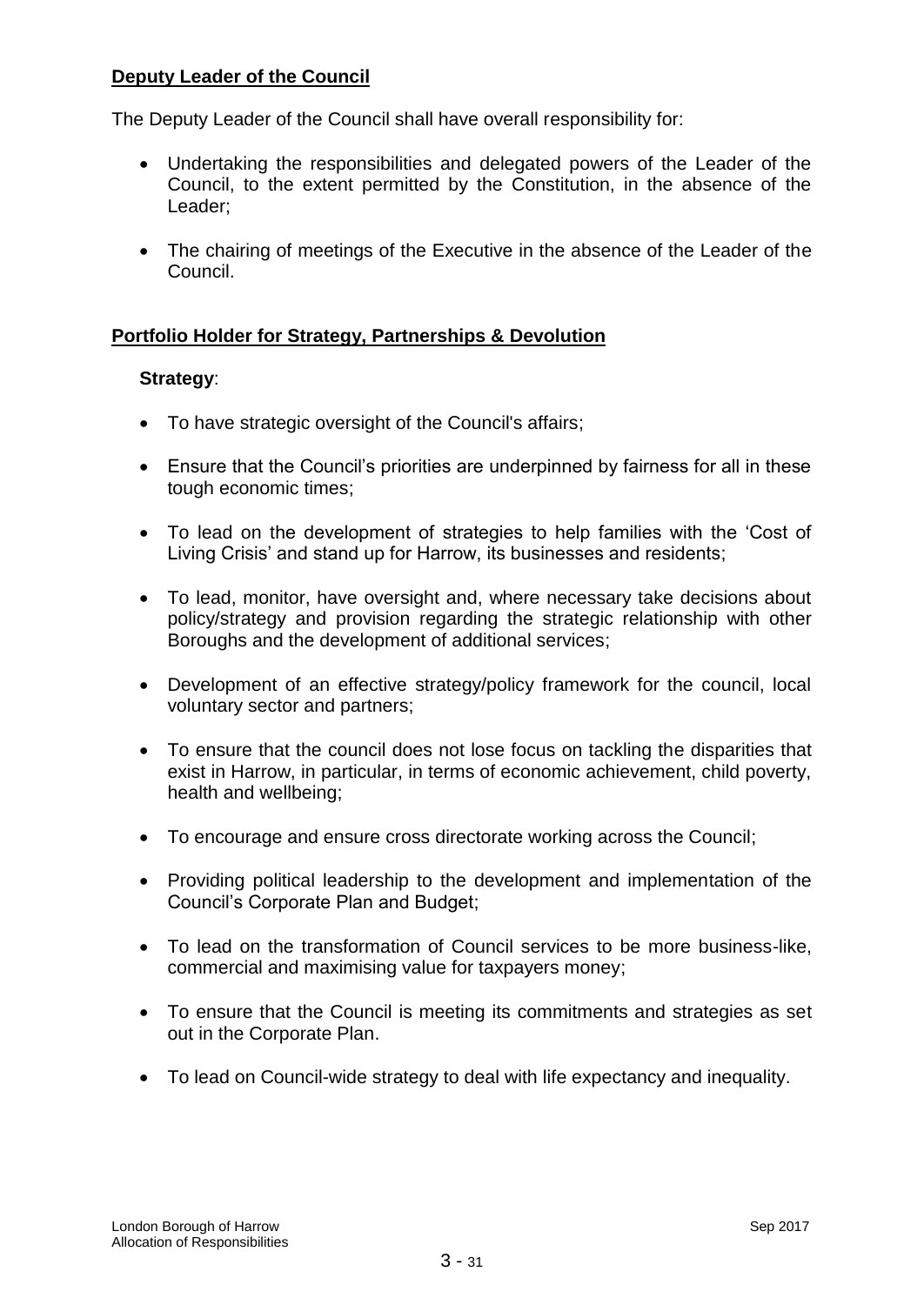## **Deputy Leader of the Council**

The Deputy Leader of the Council shall have overall responsibility for:

- Undertaking the responsibilities and delegated powers of the Leader of the Council, to the extent permitted by the Constitution, in the absence of the Leader;
- The chairing of meetings of the Executive in the absence of the Leader of the Council.

# **Portfolio Holder for Strategy, Partnerships & Devolution**

## **Strategy**:

- To have strategic oversight of the Council's affairs;
- Ensure that the Council's priorities are underpinned by fairness for all in these tough economic times;
- To lead on the development of strategies to help families with the 'Cost of Living Crisis' and stand up for Harrow, its businesses and residents;
- To lead, monitor, have oversight and, where necessary take decisions about policy/strategy and provision regarding the strategic relationship with other Boroughs and the development of additional services;
- Development of an effective strategy/policy framework for the council, local voluntary sector and partners;
- To ensure that the council does not lose focus on tackling the disparities that exist in Harrow, in particular, in terms of economic achievement, child poverty, health and wellbeing;
- To encourage and ensure cross directorate working across the Council;
- Providing political leadership to the development and implementation of the Council's Corporate Plan and Budget;
- To lead on the transformation of Council services to be more business-like, commercial and maximising value for taxpayers money;
- To ensure that the Council is meeting its commitments and strategies as set out in the Corporate Plan.
- To lead on Council-wide strategy to deal with life expectancy and inequality.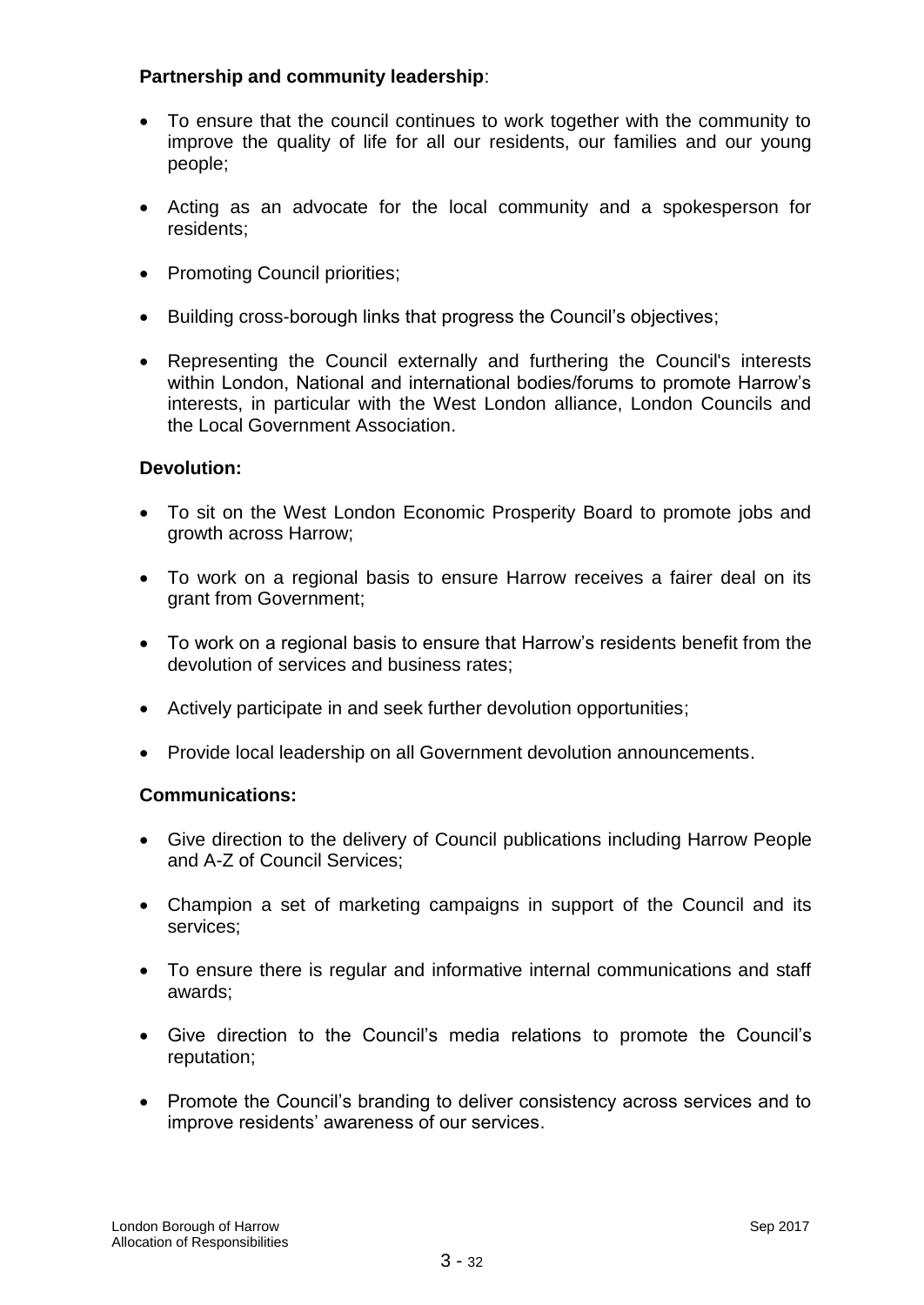## **Partnership and community leadership**:

- To ensure that the council continues to work together with the community to improve the quality of life for all our residents, our families and our young people;
- Acting as an advocate for the local community and a spokesperson for residents;
- Promoting Council priorities;
- Building cross-borough links that progress the Council's objectives;
- Representing the Council externally and furthering the Council's interests within London, National and international bodies/forums to promote Harrow's interests, in particular with the West London alliance, London Councils and the Local Government Association.

## **Devolution:**

- To sit on the West London Economic Prosperity Board to promote jobs and growth across Harrow;
- To work on a regional basis to ensure Harrow receives a fairer deal on its grant from Government;
- To work on a regional basis to ensure that Harrow's residents benefit from the devolution of services and business rates;
- Actively participate in and seek further devolution opportunities;
- Provide local leadership on all Government devolution announcements.

## **Communications:**

- Give direction to the delivery of Council publications including Harrow People and A-Z of Council Services;
- Champion a set of marketing campaigns in support of the Council and its services;
- To ensure there is regular and informative internal communications and staff awards;
- Give direction to the Council's media relations to promote the Council's reputation;
- Promote the Council's branding to deliver consistency across services and to improve residents' awareness of our services.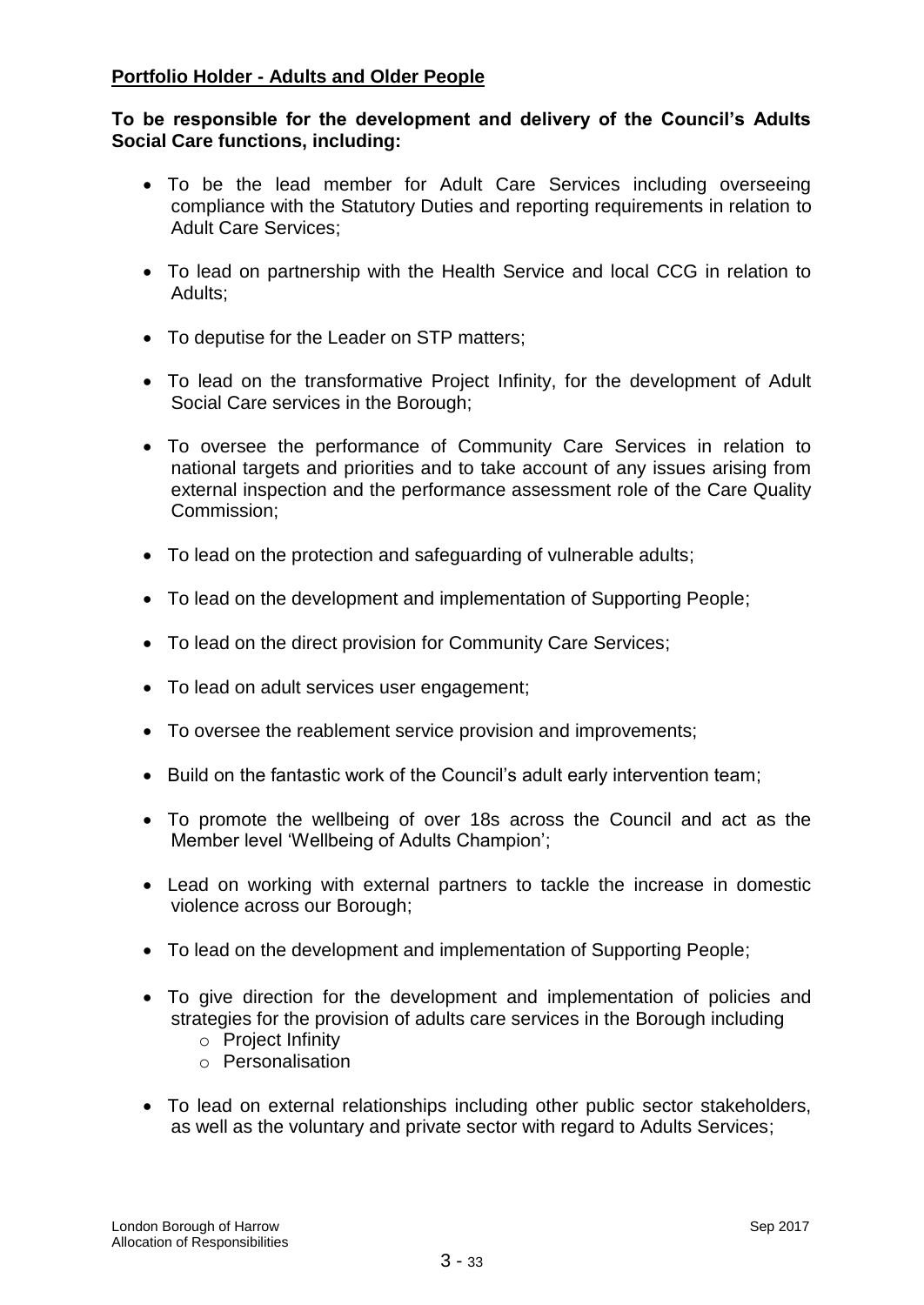## **Portfolio Holder - Adults and Older People**

## **To be responsible for the development and delivery of the Council's Adults Social Care functions, including:**

- To be the lead member for Adult Care Services including overseeing compliance with the Statutory Duties and reporting requirements in relation to Adult Care Services;
- To lead on partnership with the Health Service and local CCG in relation to Adults;
- To deputise for the Leader on STP matters;
- To lead on the transformative Project Infinity, for the development of Adult Social Care services in the Borough;
- To oversee the performance of Community Care Services in relation to national targets and priorities and to take account of any issues arising from external inspection and the performance assessment role of the Care Quality Commission;
- To lead on the protection and safeguarding of vulnerable adults;
- To lead on the development and implementation of Supporting People;
- To lead on the direct provision for Community Care Services;
- To lead on adult services user engagement;
- To oversee the reablement service provision and improvements;
- Build on the fantastic work of the Council's adult early intervention team;
- To promote the wellbeing of over 18s across the Council and act as the Member level 'Wellbeing of Adults Champion';
- Lead on working with external partners to tackle the increase in domestic violence across our Borough;
- To lead on the development and implementation of Supporting People;
- To give direction for the development and implementation of policies and strategies for the provision of adults care services in the Borough including
	- o Project Infinity
	- o Personalisation
- To lead on external relationships including other public sector stakeholders, as well as the voluntary and private sector with regard to Adults Services;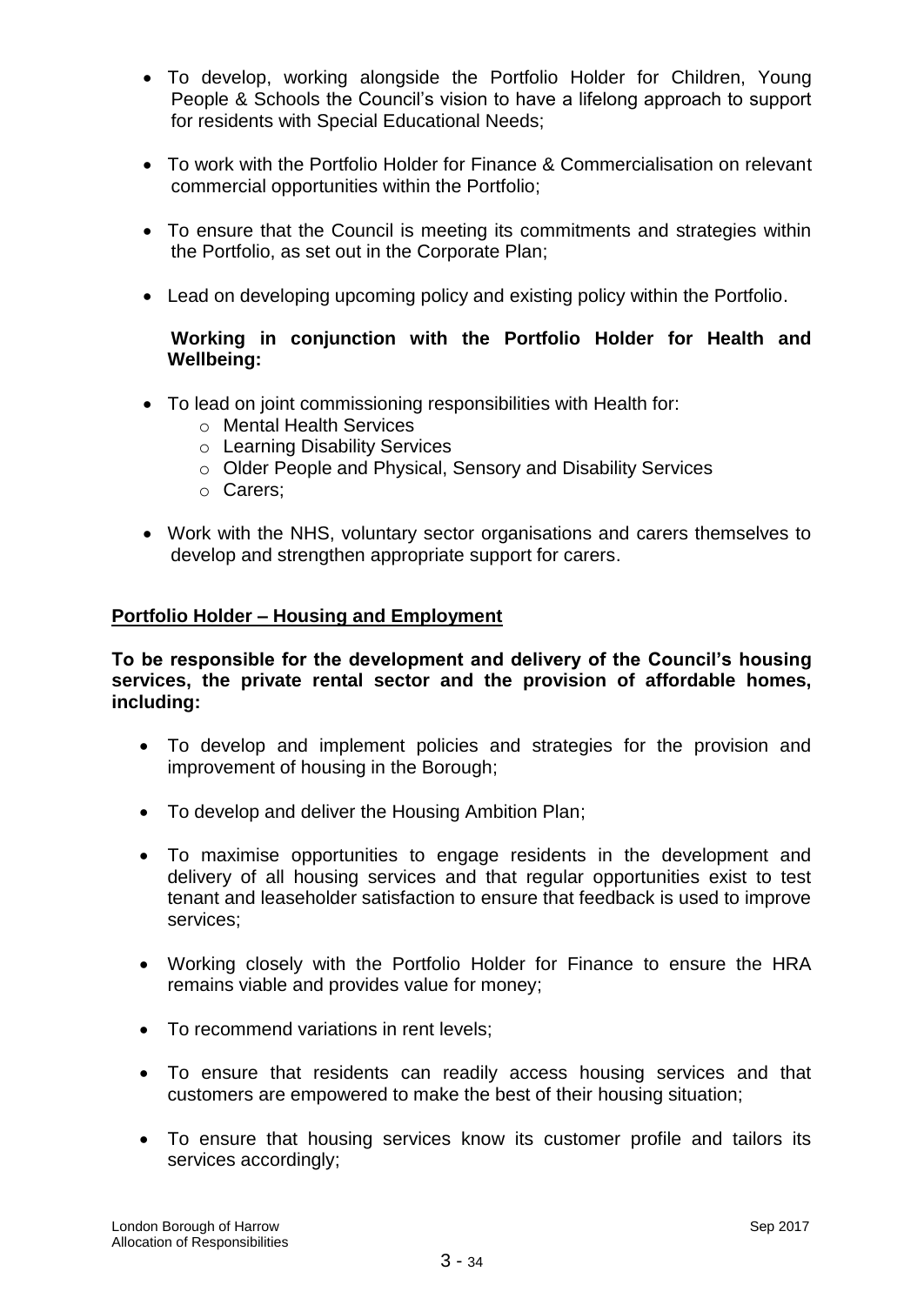- To develop, working alongside the Portfolio Holder for Children, Young People & Schools the Council's vision to have a lifelong approach to support for residents with Special Educational Needs;
- To work with the Portfolio Holder for Finance & Commercialisation on relevant commercial opportunities within the Portfolio;
- To ensure that the Council is meeting its commitments and strategies within the Portfolio, as set out in the Corporate Plan;
- Lead on developing upcoming policy and existing policy within the Portfolio.

## **Working in conjunction with the Portfolio Holder for Health and Wellbeing:**

- To lead on joint commissioning responsibilities with Health for:
	- o Mental Health Services
	- o Learning Disability Services
	- o Older People and Physical, Sensory and Disability Services
	- o Carers;
- Work with the NHS, voluntary sector organisations and carers themselves to develop and strengthen appropriate support for carers.

## **Portfolio Holder – Housing and Employment**

**To be responsible for the development and delivery of the Council's housing services, the private rental sector and the provision of affordable homes, including:** 

- To develop and implement policies and strategies for the provision and improvement of housing in the Borough;
- To develop and deliver the Housing Ambition Plan;
- To maximise opportunities to engage residents in the development and delivery of all housing services and that regular opportunities exist to test tenant and leaseholder satisfaction to ensure that feedback is used to improve services;
- Working closely with the Portfolio Holder for Finance to ensure the HRA remains viable and provides value for money;
- To recommend variations in rent levels;
- To ensure that residents can readily access housing services and that customers are empowered to make the best of their housing situation;
- To ensure that housing services know its customer profile and tailors its services accordingly;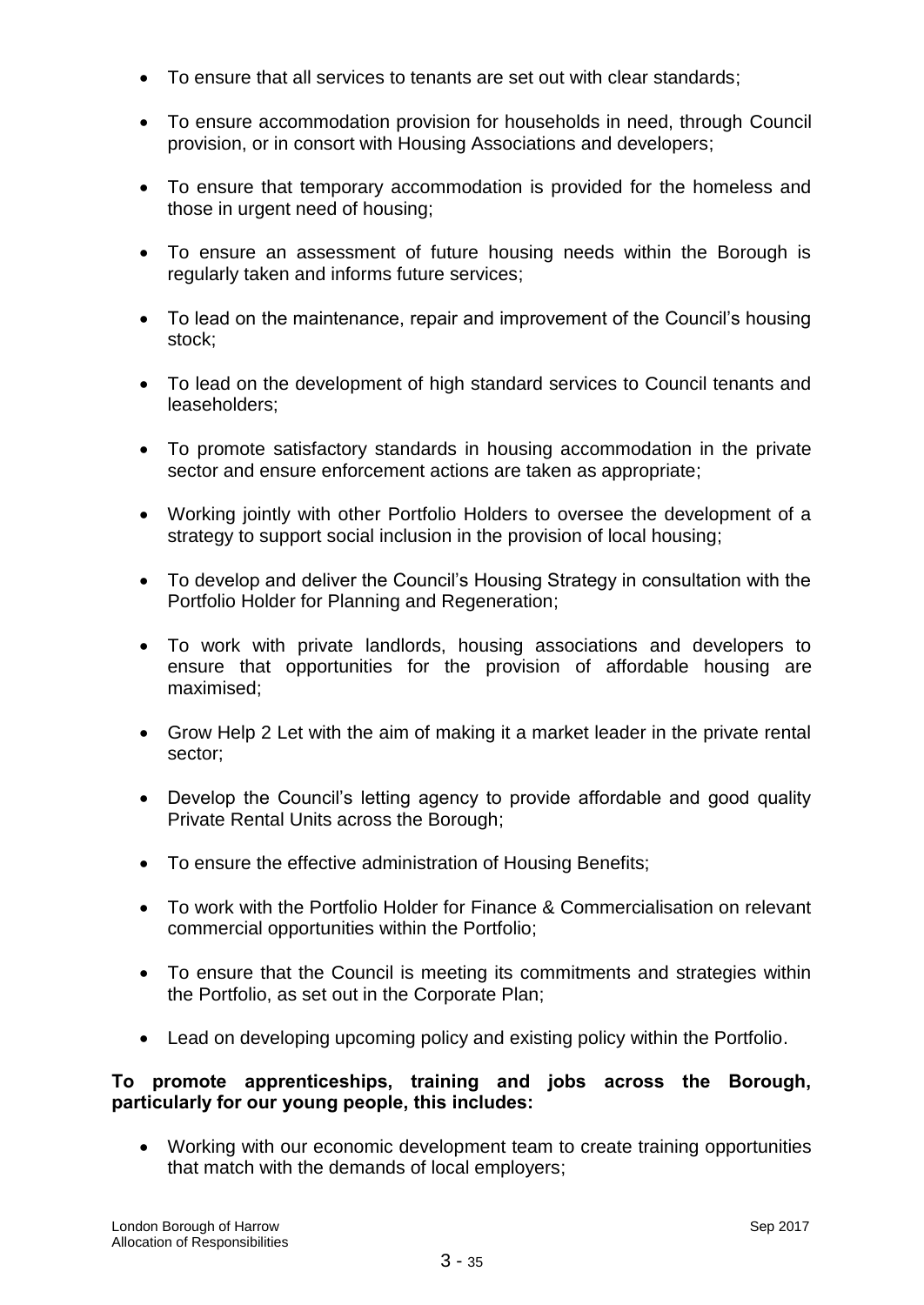- To ensure that all services to tenants are set out with clear standards;
- To ensure accommodation provision for households in need, through Council provision, or in consort with Housing Associations and developers;
- To ensure that temporary accommodation is provided for the homeless and those in urgent need of housing;
- To ensure an assessment of future housing needs within the Borough is regularly taken and informs future services;
- To lead on the maintenance, repair and improvement of the Council's housing stock;
- To lead on the development of high standard services to Council tenants and leaseholders;
- To promote satisfactory standards in housing accommodation in the private sector and ensure enforcement actions are taken as appropriate;
- Working jointly with other Portfolio Holders to oversee the development of a strategy to support social inclusion in the provision of local housing;
- To develop and deliver the Council's Housing Strategy in consultation with the Portfolio Holder for Planning and Regeneration;
- To work with private landlords, housing associations and developers to ensure that opportunities for the provision of affordable housing are maximised;
- Grow Help 2 Let with the aim of making it a market leader in the private rental sector;
- Develop the Council's letting agency to provide affordable and good quality Private Rental Units across the Borough;
- To ensure the effective administration of Housing Benefits;
- To work with the Portfolio Holder for Finance & Commercialisation on relevant commercial opportunities within the Portfolio;
- To ensure that the Council is meeting its commitments and strategies within the Portfolio, as set out in the Corporate Plan;
- Lead on developing upcoming policy and existing policy within the Portfolio.

## **To promote apprenticeships, training and jobs across the Borough, particularly for our young people, this includes:**

 Working with our economic development team to create training opportunities that match with the demands of local employers;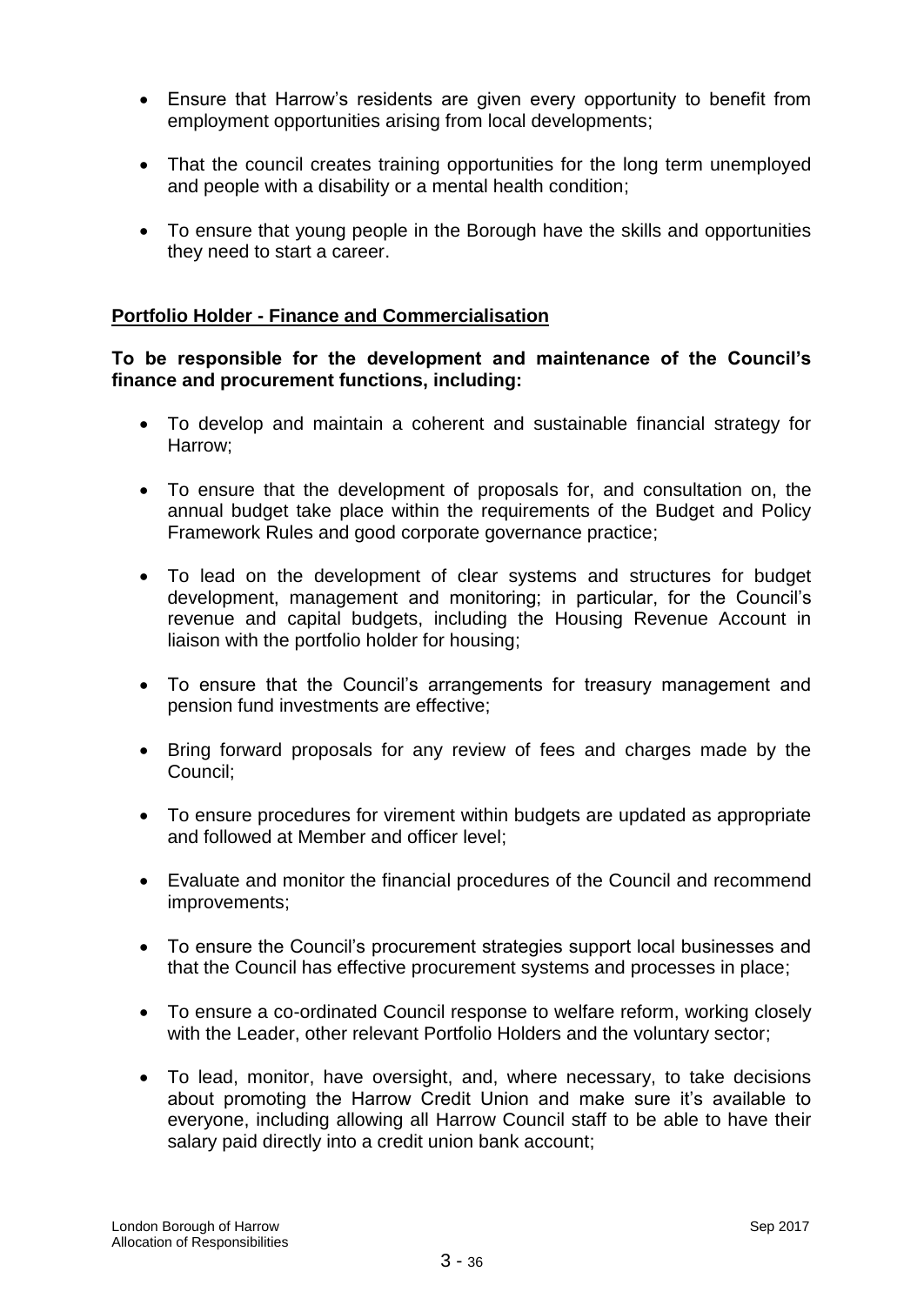- Ensure that Harrow's residents are given every opportunity to benefit from employment opportunities arising from local developments;
- That the council creates training opportunities for the long term unemployed and people with a disability or a mental health condition;
- To ensure that young people in the Borough have the skills and opportunities they need to start a career.

## **Portfolio Holder - Finance and Commercialisation**

## **To be responsible for the development and maintenance of the Council's finance and procurement functions, including:**

- To develop and maintain a coherent and sustainable financial strategy for Harrow;
- To ensure that the development of proposals for, and consultation on, the annual budget take place within the requirements of the Budget and Policy Framework Rules and good corporate governance practice;
- To lead on the development of clear systems and structures for budget development, management and monitoring; in particular, for the Council's revenue and capital budgets, including the Housing Revenue Account in liaison with the portfolio holder for housing;
- To ensure that the Council's arrangements for treasury management and pension fund investments are effective;
- Bring forward proposals for any review of fees and charges made by the Council;
- To ensure procedures for virement within budgets are updated as appropriate and followed at Member and officer level;
- Evaluate and monitor the financial procedures of the Council and recommend improvements;
- To ensure the Council's procurement strategies support local businesses and that the Council has effective procurement systems and processes in place;
- To ensure a co-ordinated Council response to welfare reform, working closely with the Leader, other relevant Portfolio Holders and the voluntary sector;
- To lead, monitor, have oversight, and, where necessary, to take decisions about promoting the Harrow Credit Union and make sure it's available to everyone, including allowing all Harrow Council staff to be able to have their salary paid directly into a credit union bank account;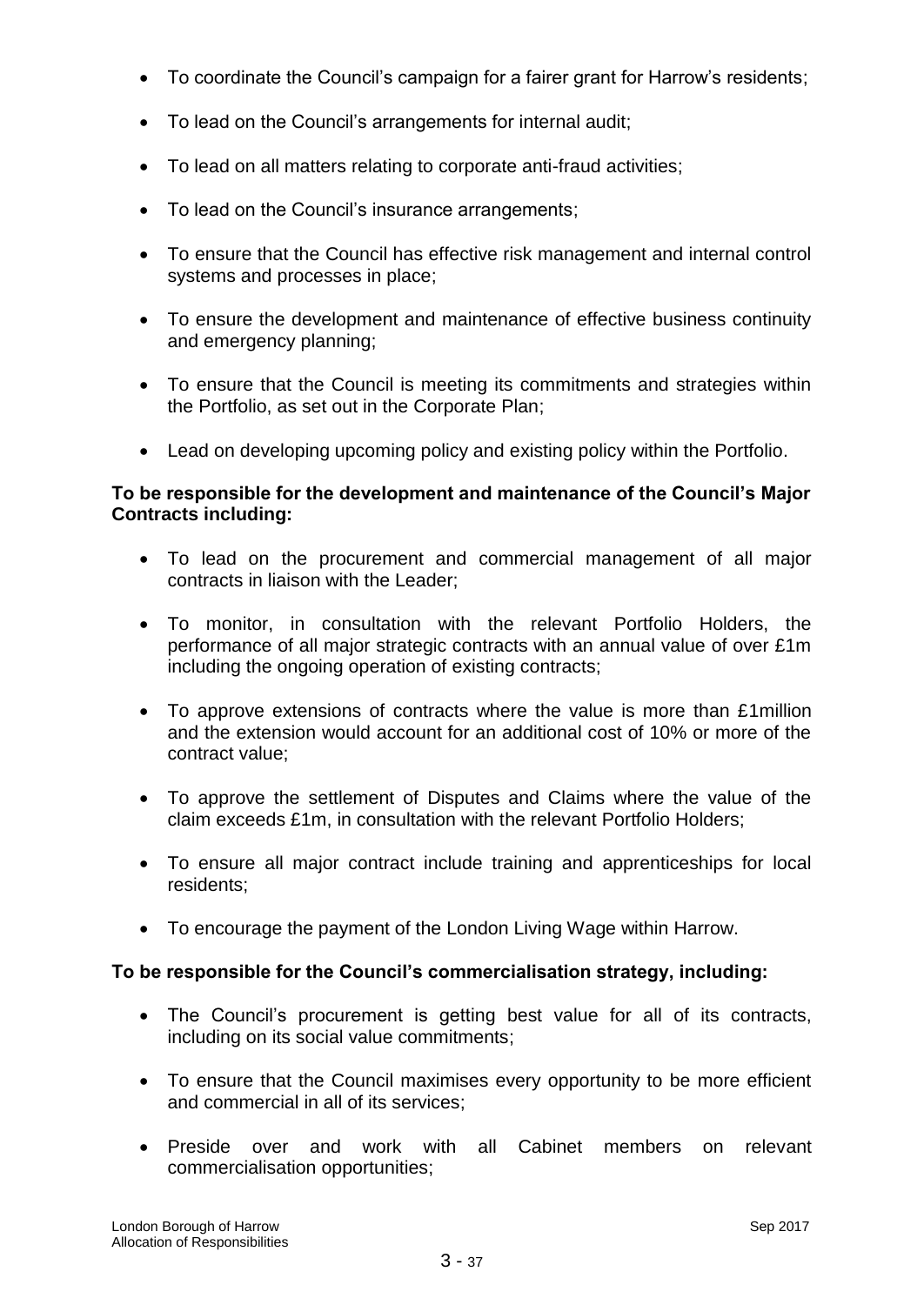- To coordinate the Council's campaign for a fairer grant for Harrow's residents;
- To lead on the Council's arrangements for internal audit;
- To lead on all matters relating to corporate anti-fraud activities;
- To lead on the Council's insurance arrangements;
- To ensure that the Council has effective risk management and internal control systems and processes in place;
- To ensure the development and maintenance of effective business continuity and emergency planning;
- To ensure that the Council is meeting its commitments and strategies within the Portfolio, as set out in the Corporate Plan;
- Lead on developing upcoming policy and existing policy within the Portfolio.

## **To be responsible for the development and maintenance of the Council's Major Contracts including:**

- To lead on the procurement and commercial management of all major contracts in liaison with the Leader;
- To monitor, in consultation with the relevant Portfolio Holders, the performance of all major strategic contracts with an annual value of over £1m including the ongoing operation of existing contracts;
- To approve extensions of contracts where the value is more than £1million and the extension would account for an additional cost of 10% or more of the contract value;
- To approve the settlement of Disputes and Claims where the value of the claim exceeds £1m, in consultation with the relevant Portfolio Holders;
- To ensure all major contract include training and apprenticeships for local residents;
- To encourage the payment of the London Living Wage within Harrow.

# **To be responsible for the Council's commercialisation strategy, including:**

- The Council's procurement is getting best value for all of its contracts, including on its social value commitments;
- To ensure that the Council maximises every opportunity to be more efficient and commercial in all of its services;
- Preside over and work with all Cabinet members on relevant commercialisation opportunities;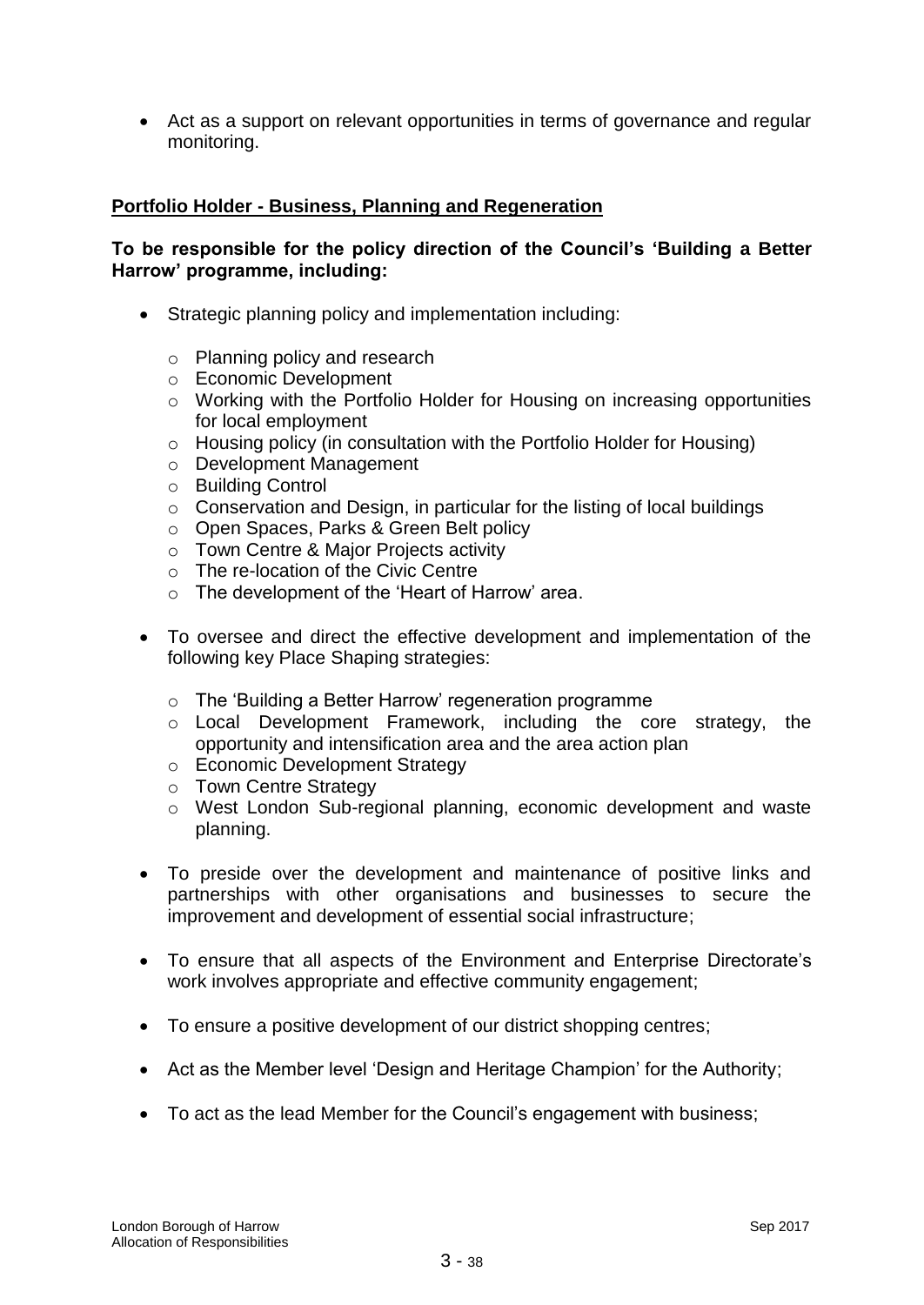Act as a support on relevant opportunities in terms of governance and regular monitoring.

## **Portfolio Holder - Business, Planning and Regeneration**

## **To be responsible for the policy direction of the Council's 'Building a Better Harrow' programme, including:**

- Strategic planning policy and implementation including:
	- o Planning policy and research
	- o Economic Development
	- o Working with the Portfolio Holder for Housing on increasing opportunities for local employment
	- o Housing policy (in consultation with the Portfolio Holder for Housing)
	- o Development Management
	- o Building Control
	- o Conservation and Design, in particular for the listing of local buildings
	- o Open Spaces, Parks & Green Belt policy
	- o Town Centre & Major Projects activity
	- o The re-location of the Civic Centre
	- o The development of the 'Heart of Harrow' area.
- To oversee and direct the effective development and implementation of the following key Place Shaping strategies:
	- o The 'Building a Better Harrow' regeneration programme
	- o Local Development Framework, including the core strategy, the opportunity and intensification area and the area action plan
	- o Economic Development Strategy
	- o Town Centre Strategy
	- o West London Sub-regional planning, economic development and waste planning.
- To preside over the development and maintenance of positive links and partnerships with other organisations and businesses to secure the improvement and development of essential social infrastructure;
- To ensure that all aspects of the Environment and Enterprise Directorate's work involves appropriate and effective community engagement;
- To ensure a positive development of our district shopping centres;
- Act as the Member level 'Design and Heritage Champion' for the Authority;
- To act as the lead Member for the Council's engagement with business;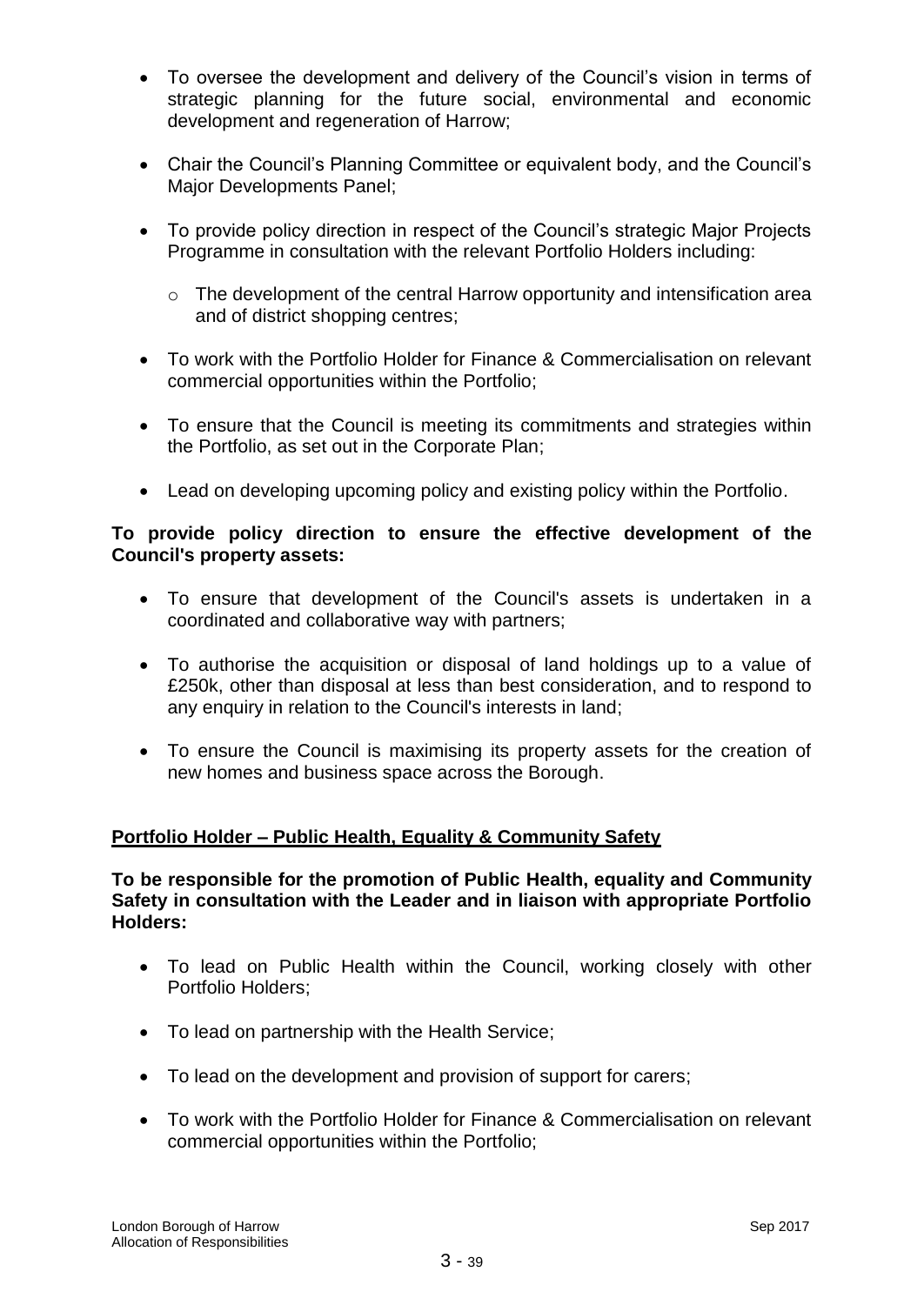- To oversee the development and delivery of the Council's vision in terms of strategic planning for the future social, environmental and economic development and regeneration of Harrow;
- Chair the Council's Planning Committee or equivalent body, and the Council's Major Developments Panel;
- To provide policy direction in respect of the Council's strategic Major Projects Programme in consultation with the relevant Portfolio Holders including:
	- o The development of the central Harrow opportunity and intensification area and of district shopping centres;
- To work with the Portfolio Holder for Finance & Commercialisation on relevant commercial opportunities within the Portfolio;
- To ensure that the Council is meeting its commitments and strategies within the Portfolio, as set out in the Corporate Plan;
- Lead on developing upcoming policy and existing policy within the Portfolio.

## **To provide policy direction to ensure the effective development of the Council's property assets:**

- To ensure that development of the Council's assets is undertaken in a coordinated and collaborative way with partners;
- To authorise the acquisition or disposal of land holdings up to a value of £250k, other than disposal at less than best consideration, and to respond to any enquiry in relation to the Council's interests in land;
- To ensure the Council is maximising its property assets for the creation of new homes and business space across the Borough.

# **Portfolio Holder – Public Health, Equality & Community Safety**

## **To be responsible for the promotion of Public Health, equality and Community Safety in consultation with the Leader and in liaison with appropriate Portfolio Holders:**

- To lead on Public Health within the Council, working closely with other Portfolio Holders;
- To lead on partnership with the Health Service;
- To lead on the development and provision of support for carers;
- To work with the Portfolio Holder for Finance & Commercialisation on relevant commercial opportunities within the Portfolio;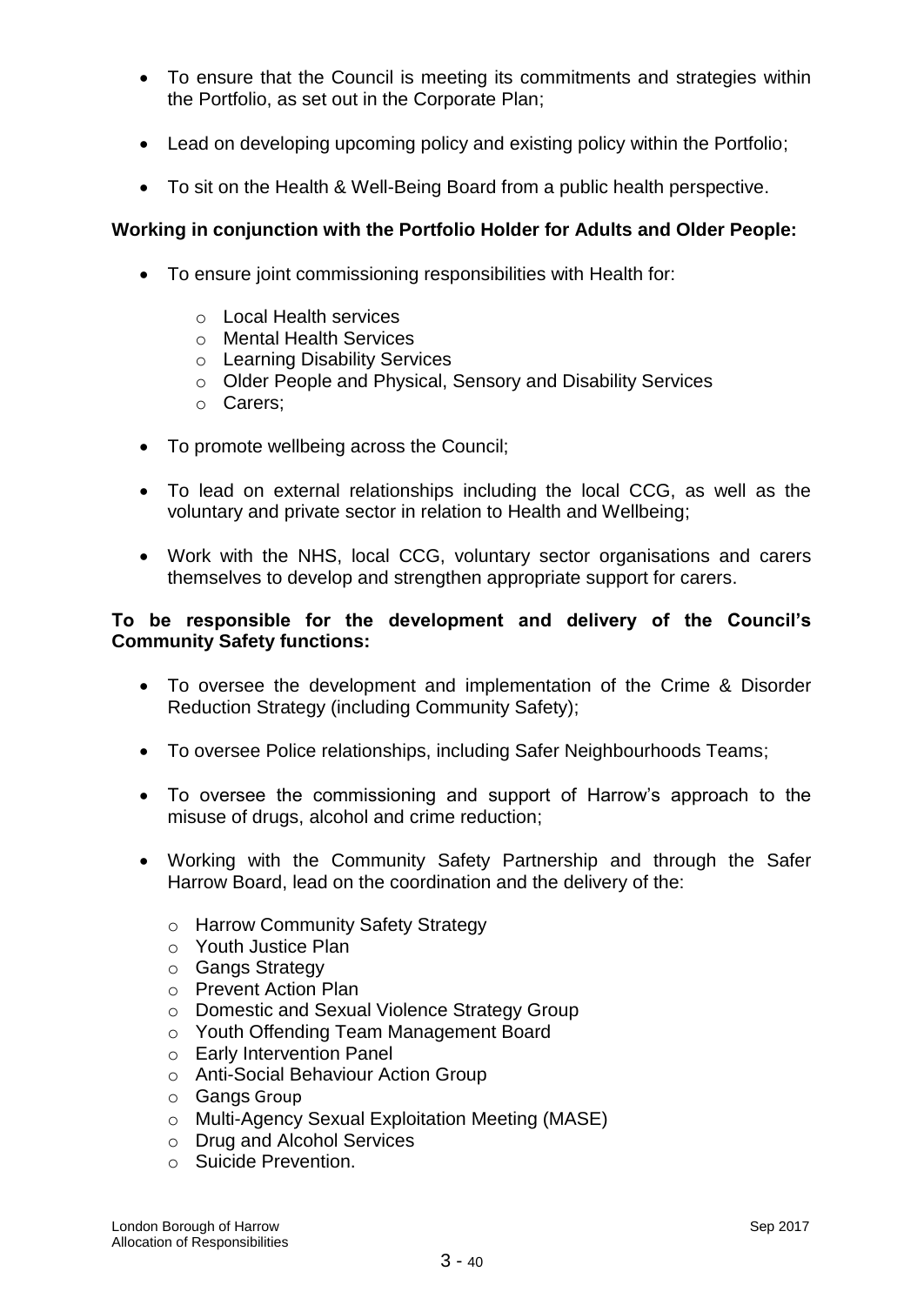- To ensure that the Council is meeting its commitments and strategies within the Portfolio, as set out in the Corporate Plan;
- Lead on developing upcoming policy and existing policy within the Portfolio;
- To sit on the Health & Well-Being Board from a public health perspective.

## **Working in conjunction with the Portfolio Holder for Adults and Older People:**

- To ensure joint commissioning responsibilities with Health for:
	- o Local Health services
	- o Mental Health Services
	- o Learning Disability Services
	- o Older People and Physical, Sensory and Disability Services
	- o Carers;
- To promote wellbeing across the Council;
- To lead on external relationships including the local CCG, as well as the voluntary and private sector in relation to Health and Wellbeing;
- Work with the NHS, local CCG, voluntary sector organisations and carers themselves to develop and strengthen appropriate support for carers.

#### **To be responsible for the development and delivery of the Council's Community Safety functions:**

- To oversee the development and implementation of the Crime & Disorder Reduction Strategy (including Community Safety);
- To oversee Police relationships, including Safer Neighbourhoods Teams;
- To oversee the commissioning and support of Harrow's approach to the misuse of drugs, alcohol and crime reduction;
- Working with the Community Safety Partnership and through the Safer Harrow Board, lead on the coordination and the delivery of the:
	- o Harrow Community Safety Strategy
	- o Youth Justice Plan
	- o Gangs Strategy
	- o Prevent Action Plan
	- o Domestic and Sexual Violence Strategy Group
	- o Youth Offending Team Management Board
	- o Early Intervention Panel
	- o Anti-Social Behaviour Action Group
	- o Gangs Group
	- o Multi-Agency Sexual Exploitation Meeting (MASE)
	- o Drug and Alcohol Services
	- o Suicide Prevention.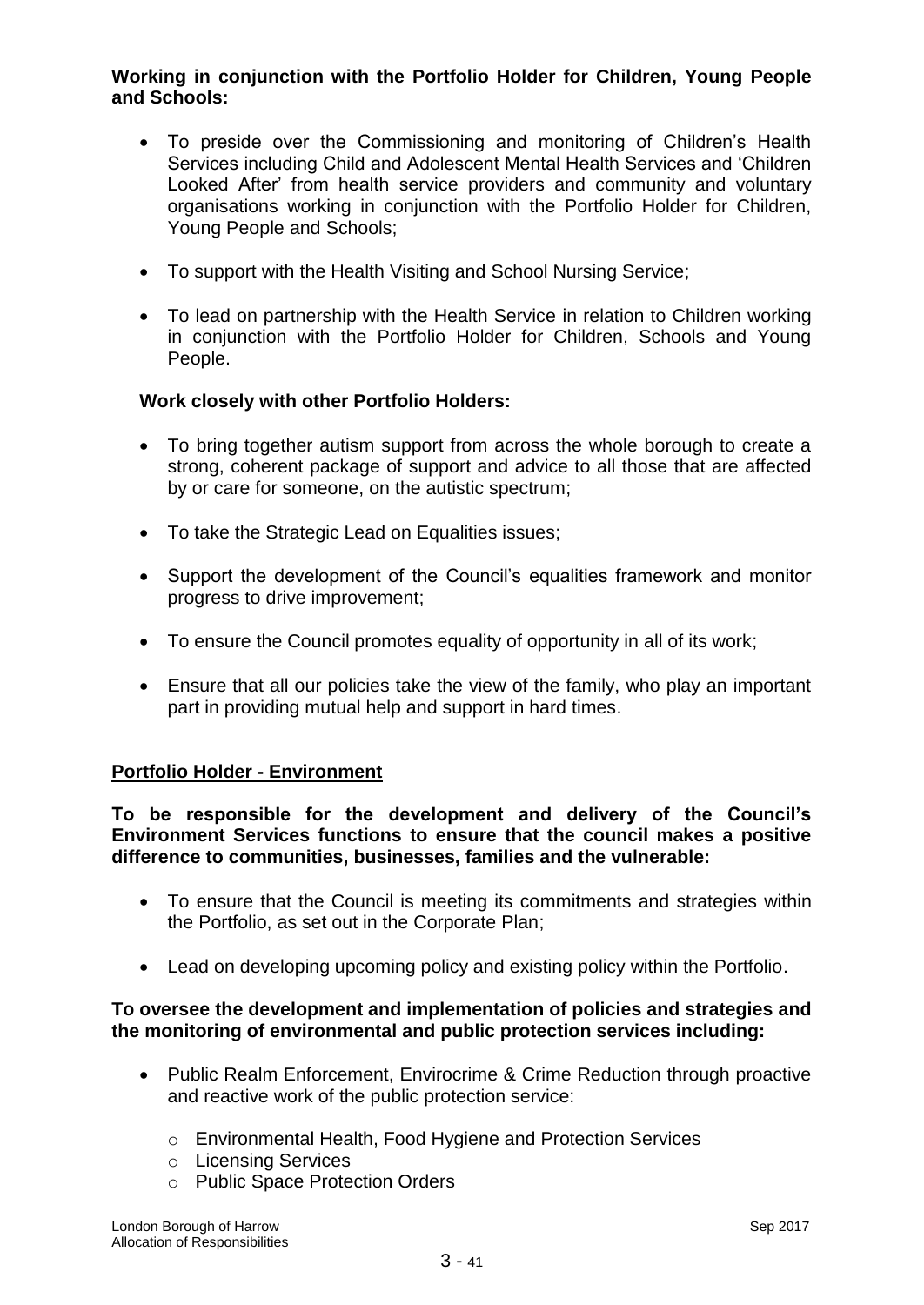## **Working in conjunction with the Portfolio Holder for Children, Young People and Schools:**

- To preside over the Commissioning and monitoring of Children's Health Services including Child and Adolescent Mental Health Services and 'Children Looked After' from health service providers and community and voluntary organisations working in conjunction with the Portfolio Holder for Children, Young People and Schools;
- To support with the Health Visiting and School Nursing Service;
- To lead on partnership with the Health Service in relation to Children working in conjunction with the Portfolio Holder for Children, Schools and Young People.

## **Work closely with other Portfolio Holders:**

- To bring together autism support from across the whole borough to create a strong, coherent package of support and advice to all those that are affected by or care for someone, on the autistic spectrum;
- To take the Strategic Lead on Equalities issues;
- Support the development of the Council's equalities framework and monitor progress to drive improvement;
- To ensure the Council promotes equality of opportunity in all of its work;
- Ensure that all our policies take the view of the family, who play an important part in providing mutual help and support in hard times.

## **Portfolio Holder - Environment**

**To be responsible for the development and delivery of the Council's Environment Services functions to ensure that the council makes a positive difference to communities, businesses, families and the vulnerable:**

- To ensure that the Council is meeting its commitments and strategies within the Portfolio, as set out in the Corporate Plan;
- Lead on developing upcoming policy and existing policy within the Portfolio.

#### **To oversee the development and implementation of policies and strategies and the monitoring of environmental and public protection services including:**

- Public Realm Enforcement, Envirocrime & Crime Reduction through proactive and reactive work of the public protection service:
	- o Environmental Health, Food Hygiene and Protection Services
	- o Licensing Services
	- o Public Space Protection Orders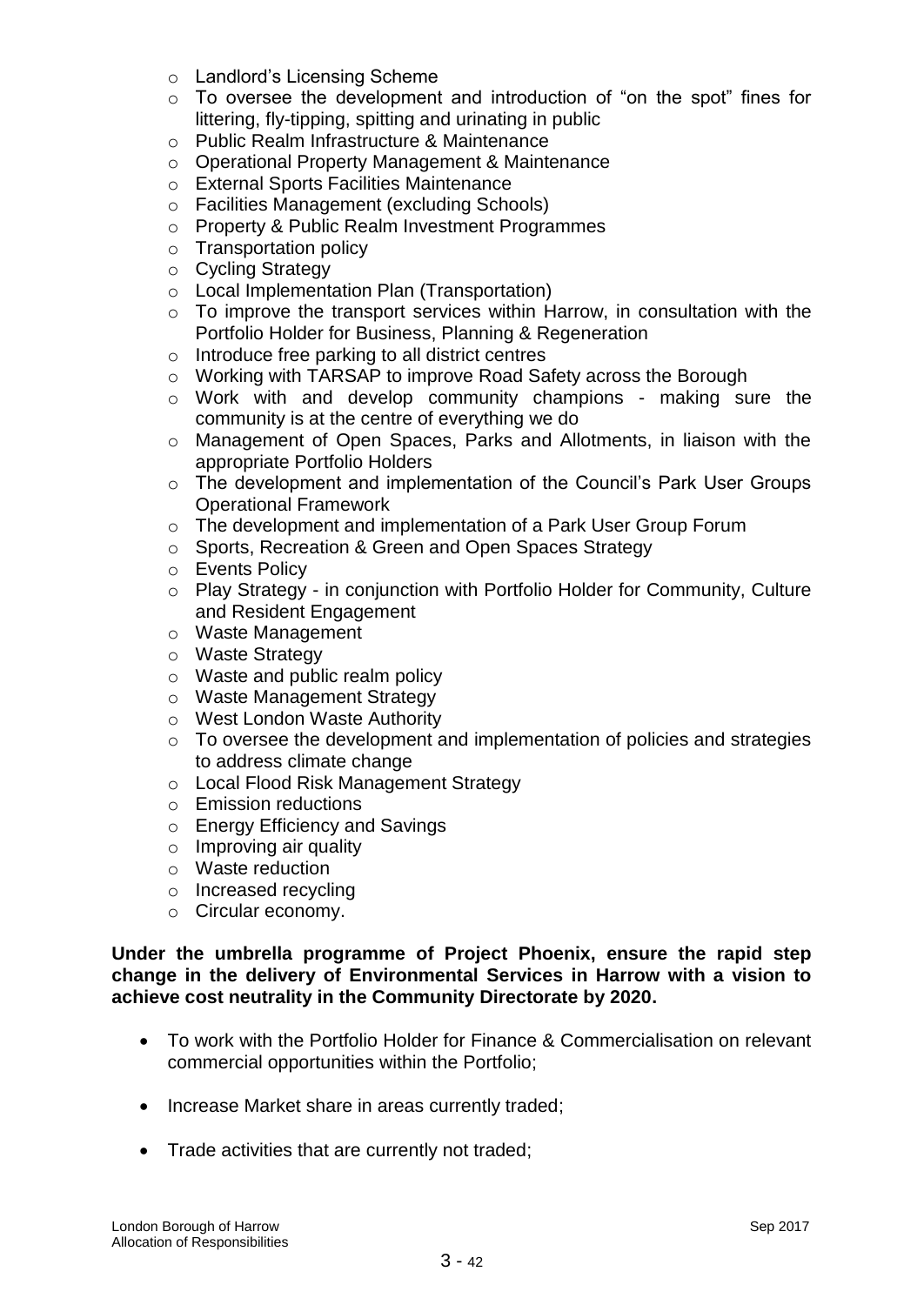- o Landlord's Licensing Scheme
- o To oversee the development and introduction of "on the spot" fines for littering, fly-tipping, spitting and urinating in public
- o Public Realm Infrastructure & Maintenance
- o Operational Property Management & Maintenance
- o External Sports Facilities Maintenance
- o Facilities Management (excluding Schools)
- o Property & Public Realm Investment Programmes
- o Transportation policy
- o Cycling Strategy
- o Local Implementation Plan (Transportation)
- o To improve the transport services within Harrow, in consultation with the Portfolio Holder for Business, Planning & Regeneration
- o Introduce free parking to all district centres
- o Working with TARSAP to improve Road Safety across the Borough
- o Work with and develop community champions making sure the community is at the centre of everything we do
- o Management of Open Spaces, Parks and Allotments, in liaison with the appropriate Portfolio Holders
- o The development and implementation of the Council's Park User Groups Operational Framework
- o The development and implementation of a Park User Group Forum
- o Sports, Recreation & Green and Open Spaces Strategy
- o Events Policy
- o Play Strategy in conjunction with Portfolio Holder for Community, Culture and Resident Engagement
- o Waste Management
- o Waste Strategy
- o Waste and public realm policy
- o Waste Management Strategy
- o West London Waste Authority
- o To oversee the development and implementation of policies and strategies to address climate change
- o Local Flood Risk Management Strategy
- o Emission reductions
- o Energy Efficiency and Savings
- o Improving air quality
- o Waste reduction
- o Increased recycling
- o Circular economy.

#### **Under the umbrella programme of Project Phoenix, ensure the rapid step change in the delivery of Environmental Services in Harrow with a vision to achieve cost neutrality in the Community Directorate by 2020.**

- To work with the Portfolio Holder for Finance & Commercialisation on relevant commercial opportunities within the Portfolio;
- Increase Market share in areas currently traded;
- Trade activities that are currently not traded;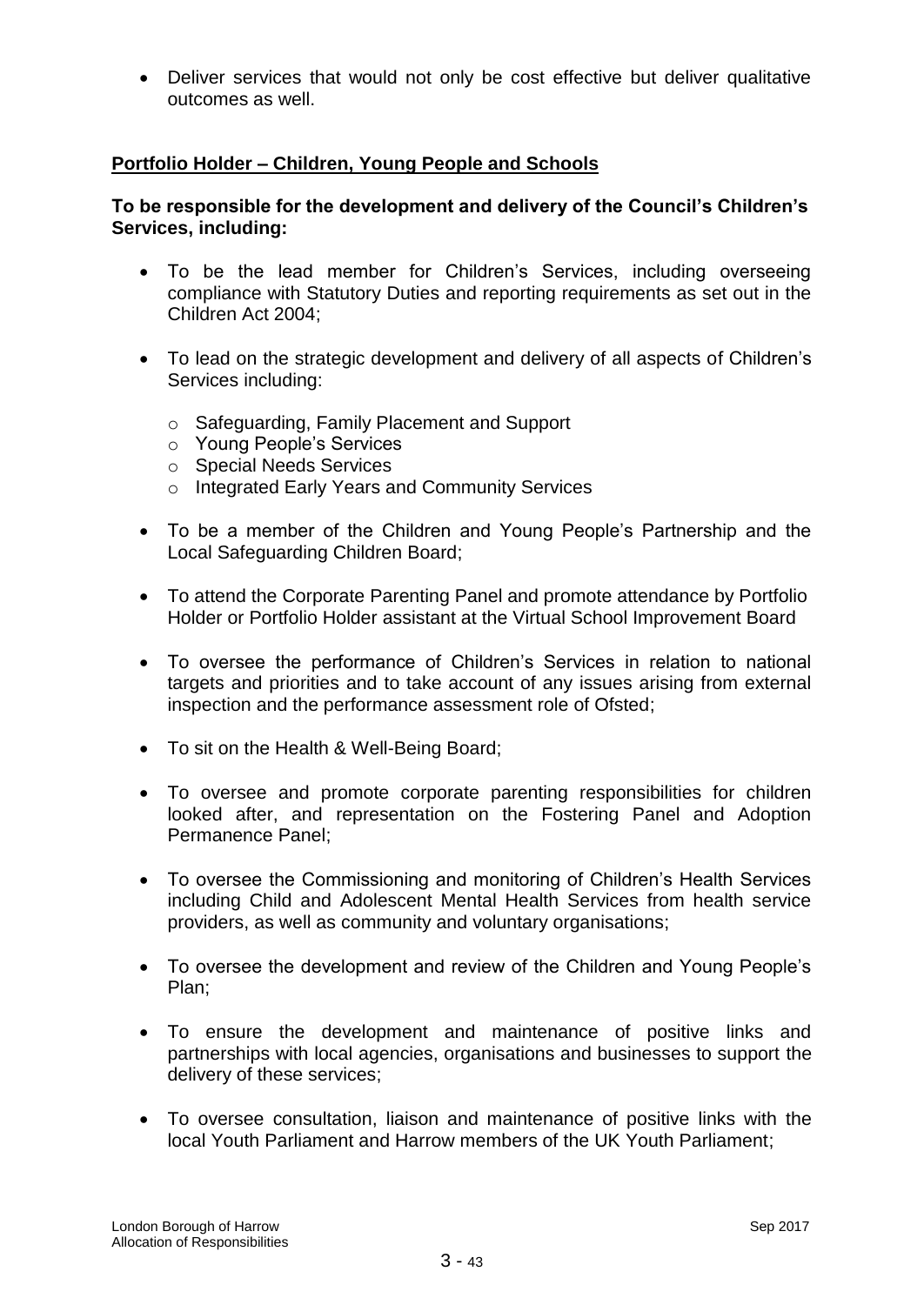Deliver services that would not only be cost effective but deliver qualitative outcomes as well.

## **Portfolio Holder – Children, Young People and Schools**

## **To be responsible for the development and delivery of the Council's Children's Services, including:**

- To be the lead member for Children's Services, including overseeing compliance with Statutory Duties and reporting requirements as set out in the Children Act 2004;
- To lead on the strategic development and delivery of all aspects of Children's Services including:
	- o Safeguarding, Family Placement and Support
	- o Young People's Services
	- o Special Needs Services
	- o Integrated Early Years and Community Services
- To be a member of the Children and Young People's Partnership and the Local Safeguarding Children Board;
- To attend the Corporate Parenting Panel and promote attendance by Portfolio Holder or Portfolio Holder assistant at the Virtual School Improvement Board
- To oversee the performance of Children's Services in relation to national targets and priorities and to take account of any issues arising from external inspection and the performance assessment role of Ofsted;
- To sit on the Health & Well-Being Board;
- To oversee and promote corporate parenting responsibilities for children looked after, and representation on the Fostering Panel and Adoption Permanence Panel;
- To oversee the Commissioning and monitoring of Children's Health Services including Child and Adolescent Mental Health Services from health service providers, as well as community and voluntary organisations;
- To oversee the development and review of the Children and Young People's Plan;
- To ensure the development and maintenance of positive links and partnerships with local agencies, organisations and businesses to support the delivery of these services;
- To oversee consultation, liaison and maintenance of positive links with the local Youth Parliament and Harrow members of the UK Youth Parliament;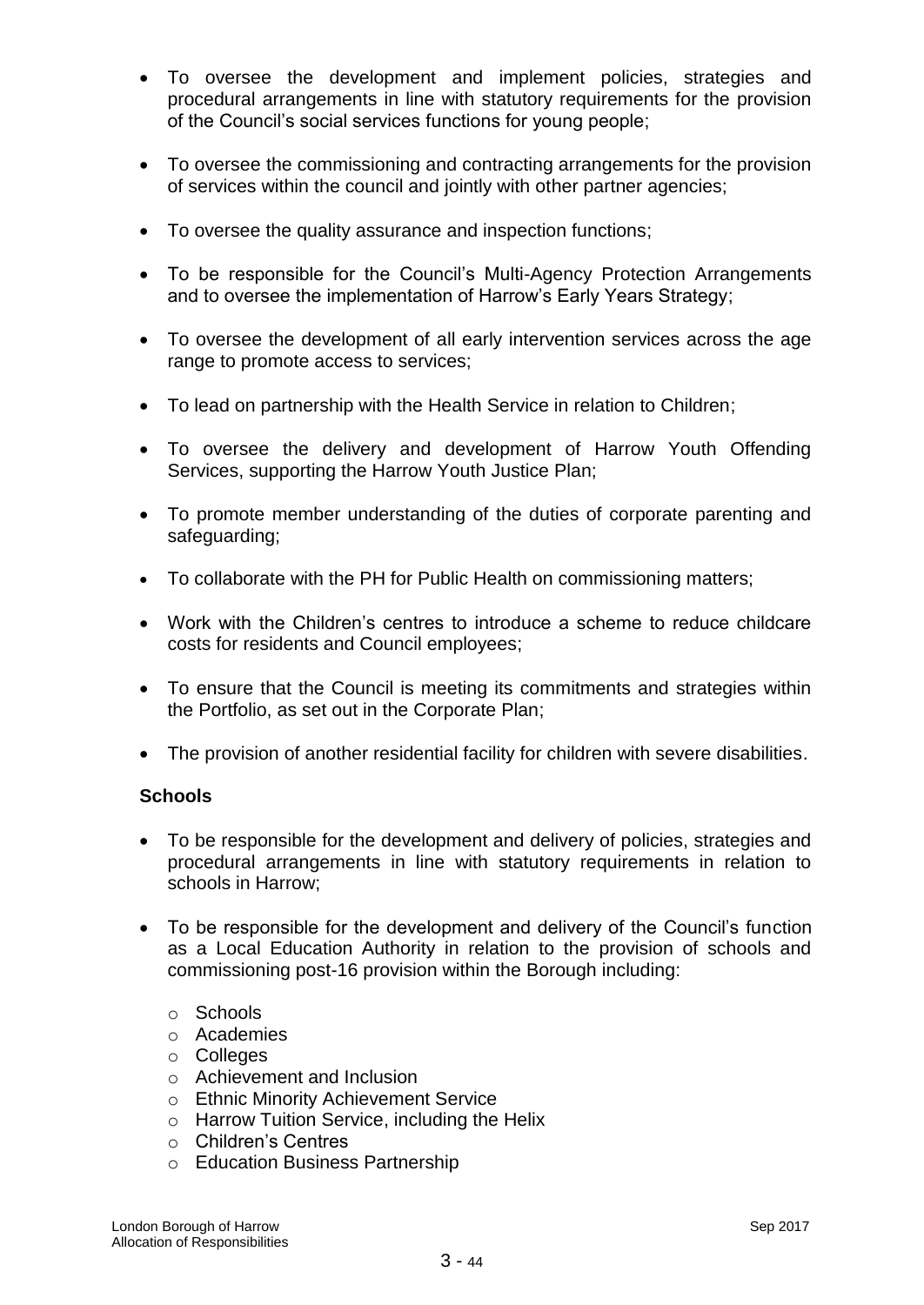- To oversee the development and implement policies, strategies and procedural arrangements in line with statutory requirements for the provision of the Council's social services functions for young people;
- To oversee the commissioning and contracting arrangements for the provision of services within the council and jointly with other partner agencies;
- To oversee the quality assurance and inspection functions;
- To be responsible for the Council's Multi-Agency Protection Arrangements and to oversee the implementation of Harrow's Early Years Strategy;
- To oversee the development of all early intervention services across the age range to promote access to services;
- To lead on partnership with the Health Service in relation to Children;
- To oversee the delivery and development of Harrow Youth Offending Services, supporting the Harrow Youth Justice Plan;
- To promote member understanding of the duties of corporate parenting and safeguarding;
- To collaborate with the PH for Public Health on commissioning matters;
- Work with the Children's centres to introduce a scheme to reduce childcare costs for residents and Council employees;
- To ensure that the Council is meeting its commitments and strategies within the Portfolio, as set out in the Corporate Plan;
- The provision of another residential facility for children with severe disabilities.

## **Schools**

- To be responsible for the development and delivery of policies, strategies and procedural arrangements in line with statutory requirements in relation to schools in Harrow;
- To be responsible for the development and delivery of the Council's function as a Local Education Authority in relation to the provision of schools and commissioning post-16 provision within the Borough including:
	- o Schools
	- o Academies
	- o Colleges
	- o Achievement and Inclusion
	- o Ethnic Minority Achievement Service
	- o Harrow Tuition Service, including the Helix
	- o Children's Centres
	- o Education Business Partnership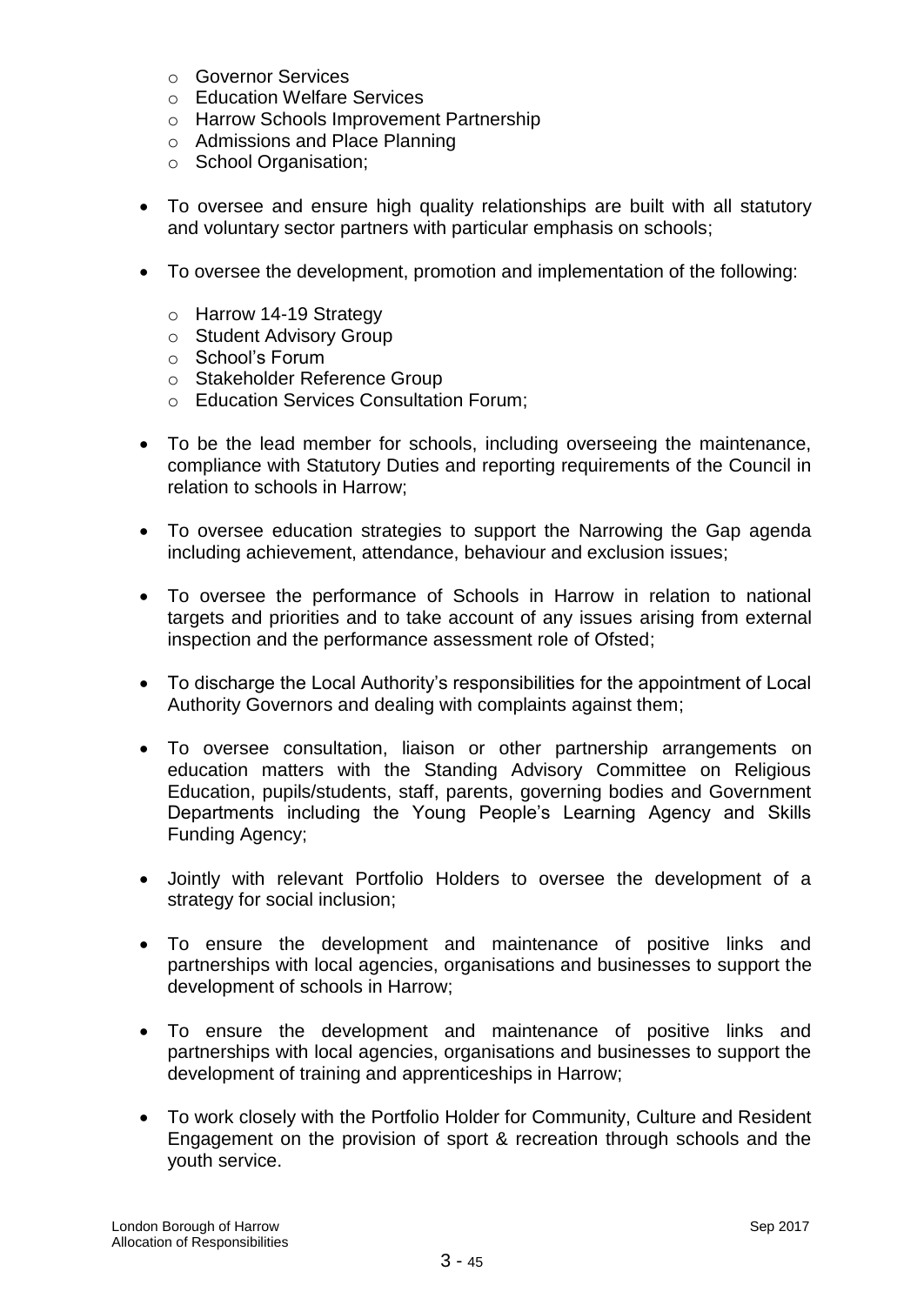- o Governor Services
- o Education Welfare Services
- o Harrow Schools Improvement Partnership
- o Admissions and Place Planning
- o School Organisation;
- To oversee and ensure high quality relationships are built with all statutory and voluntary sector partners with particular emphasis on schools;
- To oversee the development, promotion and implementation of the following:
	- o Harrow 14-19 Strategy
	- o Student Advisory Group
	- o School's Forum
	- o Stakeholder Reference Group
	- o Education Services Consultation Forum;
- To be the lead member for schools, including overseeing the maintenance, compliance with Statutory Duties and reporting requirements of the Council in relation to schools in Harrow;
- To oversee education strategies to support the Narrowing the Gap agenda including achievement, attendance, behaviour and exclusion issues;
- To oversee the performance of Schools in Harrow in relation to national targets and priorities and to take account of any issues arising from external inspection and the performance assessment role of Ofsted;
- To discharge the Local Authority's responsibilities for the appointment of Local Authority Governors and dealing with complaints against them;
- To oversee consultation, liaison or other partnership arrangements on education matters with the Standing Advisory Committee on Religious Education, pupils/students, staff, parents, governing bodies and Government Departments including the Young People's Learning Agency and Skills Funding Agency;
- Jointly with relevant Portfolio Holders to oversee the development of a strategy for social inclusion;
- To ensure the development and maintenance of positive links and partnerships with local agencies, organisations and businesses to support the development of schools in Harrow;
- To ensure the development and maintenance of positive links and partnerships with local agencies, organisations and businesses to support the development of training and apprenticeships in Harrow;
- To work closely with the Portfolio Holder for Community, Culture and Resident Engagement on the provision of sport & recreation through schools and the youth service.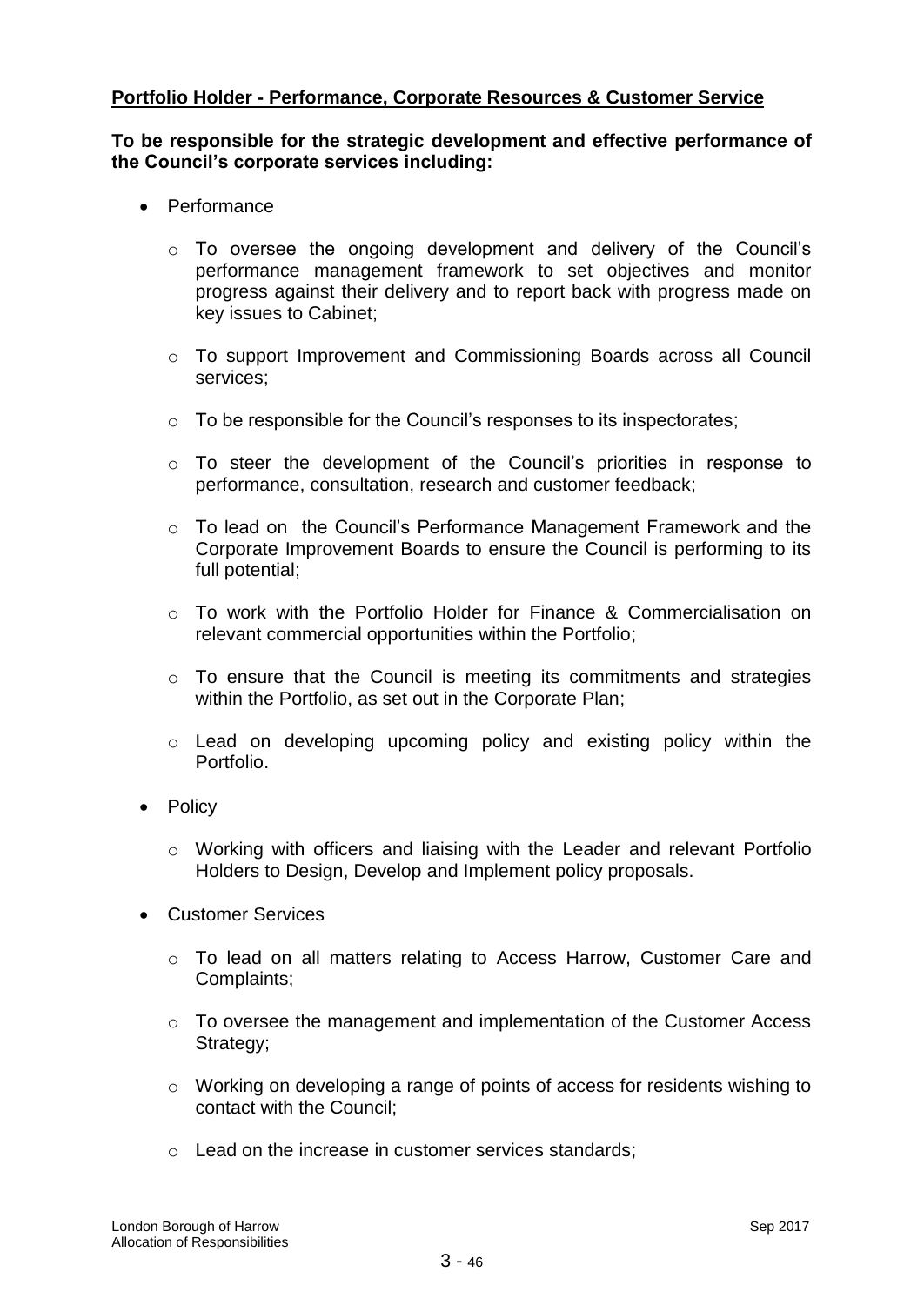## **Portfolio Holder - Performance, Corporate Resources & Customer Service**

#### **To be responsible for the strategic development and effective performance of the Council's corporate services including:**

- Performance
	- o To oversee the ongoing development and delivery of the Council's performance management framework to set objectives and monitor progress against their delivery and to report back with progress made on key issues to Cabinet;
	- $\circ$  To support Improvement and Commissioning Boards across all Council services;
	- o To be responsible for the Council's responses to its inspectorates;
	- o To steer the development of the Council's priorities in response to performance, consultation, research and customer feedback;
	- o To lead on the Council's Performance Management Framework and the Corporate Improvement Boards to ensure the Council is performing to its full potential;
	- $\circ$  To work with the Portfolio Holder for Finance & Commercialisation on relevant commercial opportunities within the Portfolio;
	- $\circ$  To ensure that the Council is meeting its commitments and strategies within the Portfolio, as set out in the Corporate Plan;
	- o Lead on developing upcoming policy and existing policy within the Portfolio.
- Policy
	- o Working with officers and liaising with the Leader and relevant Portfolio Holders to Design, Develop and Implement policy proposals.
- Customer Services
	- o To lead on all matters relating to Access Harrow, Customer Care and Complaints;
	- $\circ$  To oversee the management and implementation of the Customer Access Strategy;
	- o Working on developing a range of points of access for residents wishing to contact with the Council;
	- o Lead on the increase in customer services standards;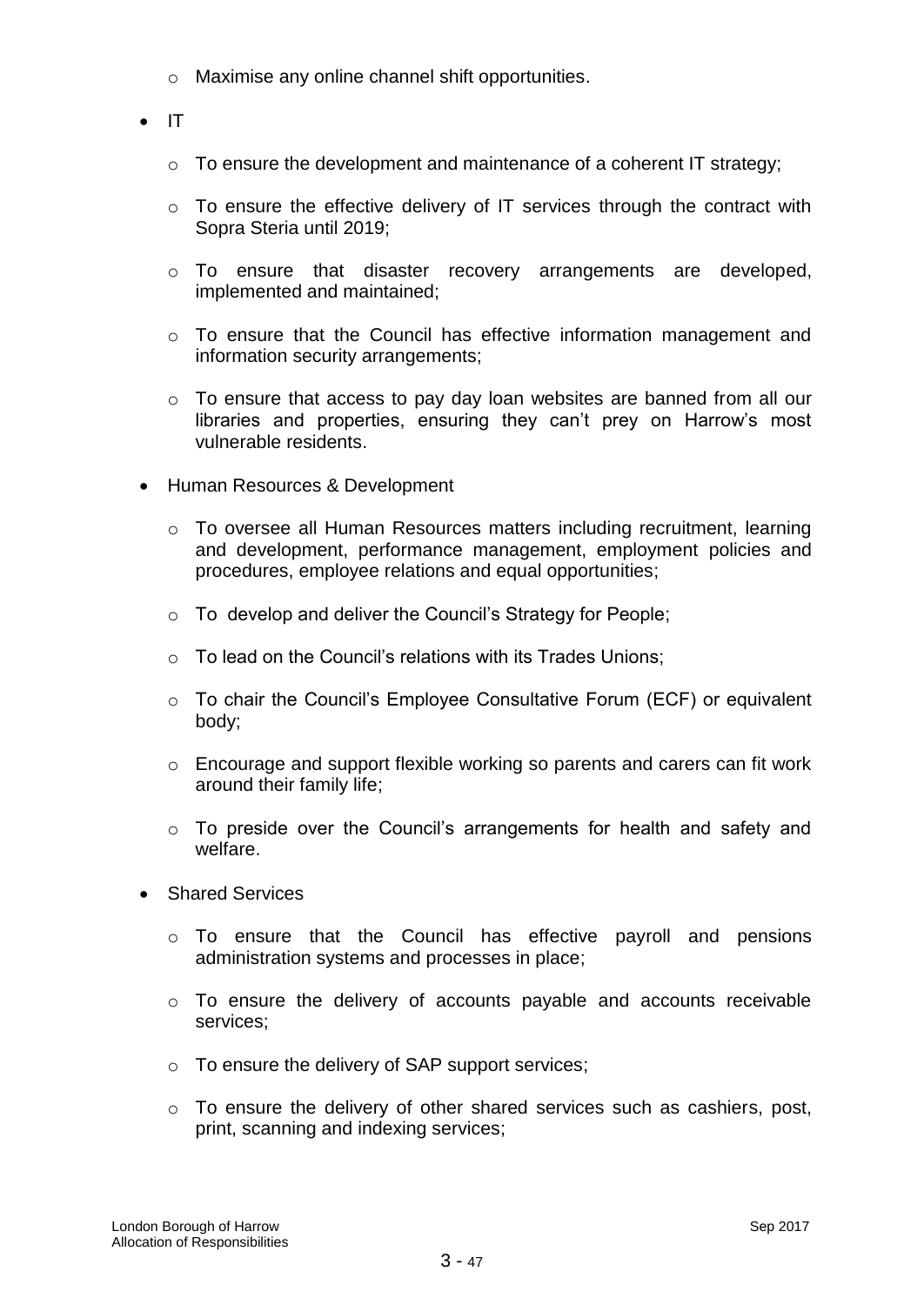- o Maximise any online channel shift opportunities.
- $\bullet$  IT
	- o To ensure the development and maintenance of a coherent IT strategy;
	- o To ensure the effective delivery of IT services through the contract with Sopra Steria until 2019;
	- o To ensure that disaster recovery arrangements are developed, implemented and maintained;
	- o To ensure that the Council has effective information management and information security arrangements;
	- o To ensure that access to pay day loan websites are banned from all our libraries and properties, ensuring they can't prey on Harrow's most vulnerable residents.
- Human Resources & Development
	- o To oversee all Human Resources matters including recruitment, learning and development, performance management, employment policies and procedures, employee relations and equal opportunities;
	- o To develop and deliver the Council's Strategy for People;
	- $\circ$  To lead on the Council's relations with its Trades Unions;
	- o To chair the Council's Employee Consultative Forum (ECF) or equivalent body;
	- o Encourage and support flexible working so parents and carers can fit work around their family life;
	- o To preside over the Council's arrangements for health and safety and welfare.
- Shared Services
	- o To ensure that the Council has effective payroll and pensions administration systems and processes in place;
	- o To ensure the delivery of accounts payable and accounts receivable services;
	- o To ensure the delivery of SAP support services;
	- o To ensure the delivery of other shared services such as cashiers, post, print, scanning and indexing services;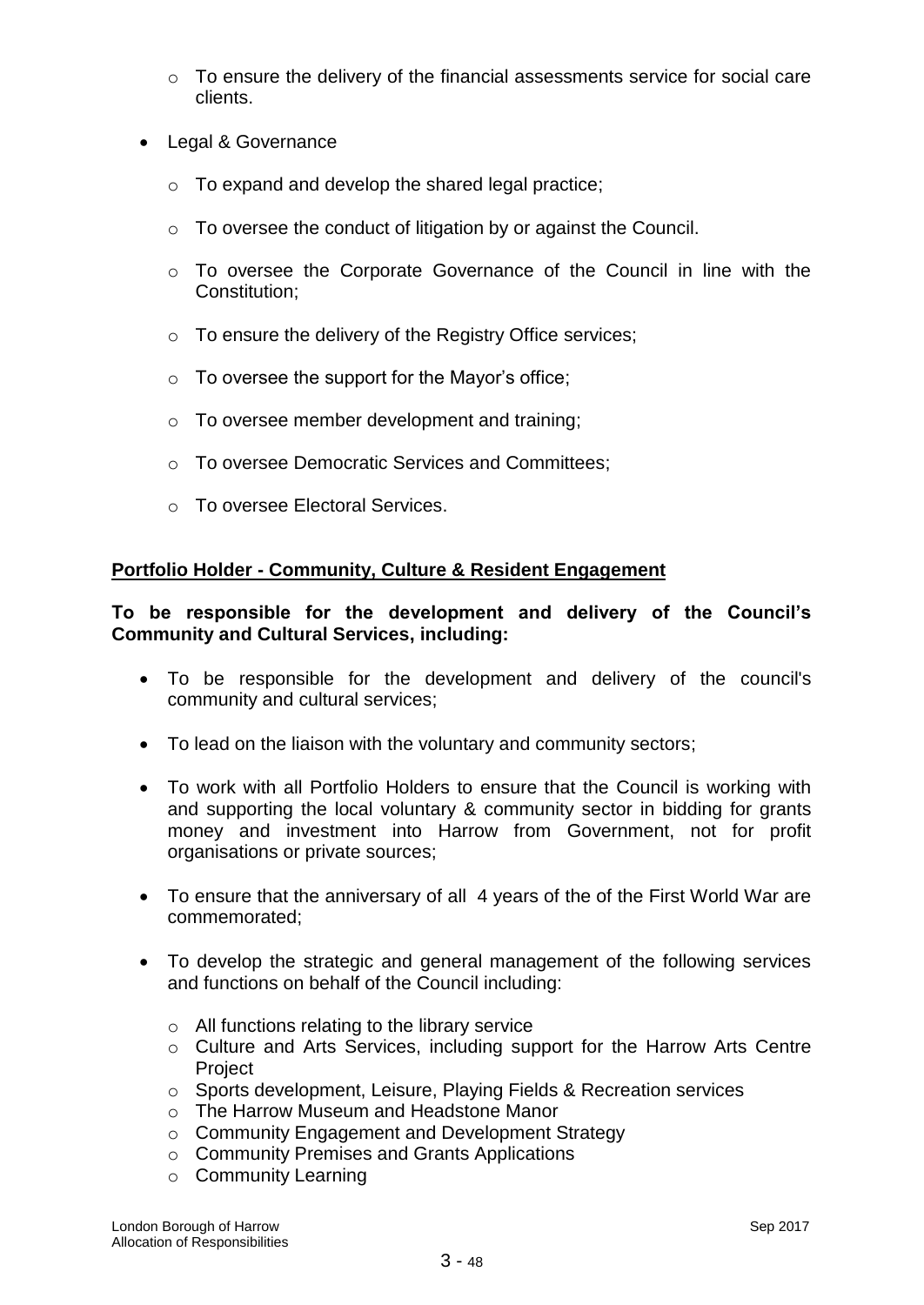- o To ensure the delivery of the financial assessments service for social care clients.
- Legal & Governance
	- o To expand and develop the shared legal practice;
	- o To oversee the conduct of litigation by or against the Council.
	- o To oversee the Corporate Governance of the Council in line with the Constitution;
	- o To ensure the delivery of the Registry Office services;
	- $\circ$  To oversee the support for the Mayor's office;
	- o To oversee member development and training;
	- o To oversee Democratic Services and Committees;
	- o To oversee Electoral Services.

## **Portfolio Holder - Community, Culture & Resident Engagement**

## **To be responsible for the development and delivery of the Council's Community and Cultural Services, including:**

- To be responsible for the development and delivery of the council's community and cultural services;
- To lead on the liaison with the voluntary and community sectors;
- To work with all Portfolio Holders to ensure that the Council is working with and supporting the local voluntary & community sector in bidding for grants money and investment into Harrow from Government, not for profit organisations or private sources;
- To ensure that the anniversary of all 4 years of the of the First World War are commemorated;
- To develop the strategic and general management of the following services and functions on behalf of the Council including:
	- $\circ$  All functions relating to the library service
	- o Culture and Arts Services, including support for the Harrow Arts Centre **Project**
	- o Sports development, Leisure, Playing Fields & Recreation services
	- o The Harrow Museum and Headstone Manor
	- o Community Engagement and Development Strategy
	- o Community Premises and Grants Applications
	- o Community Learning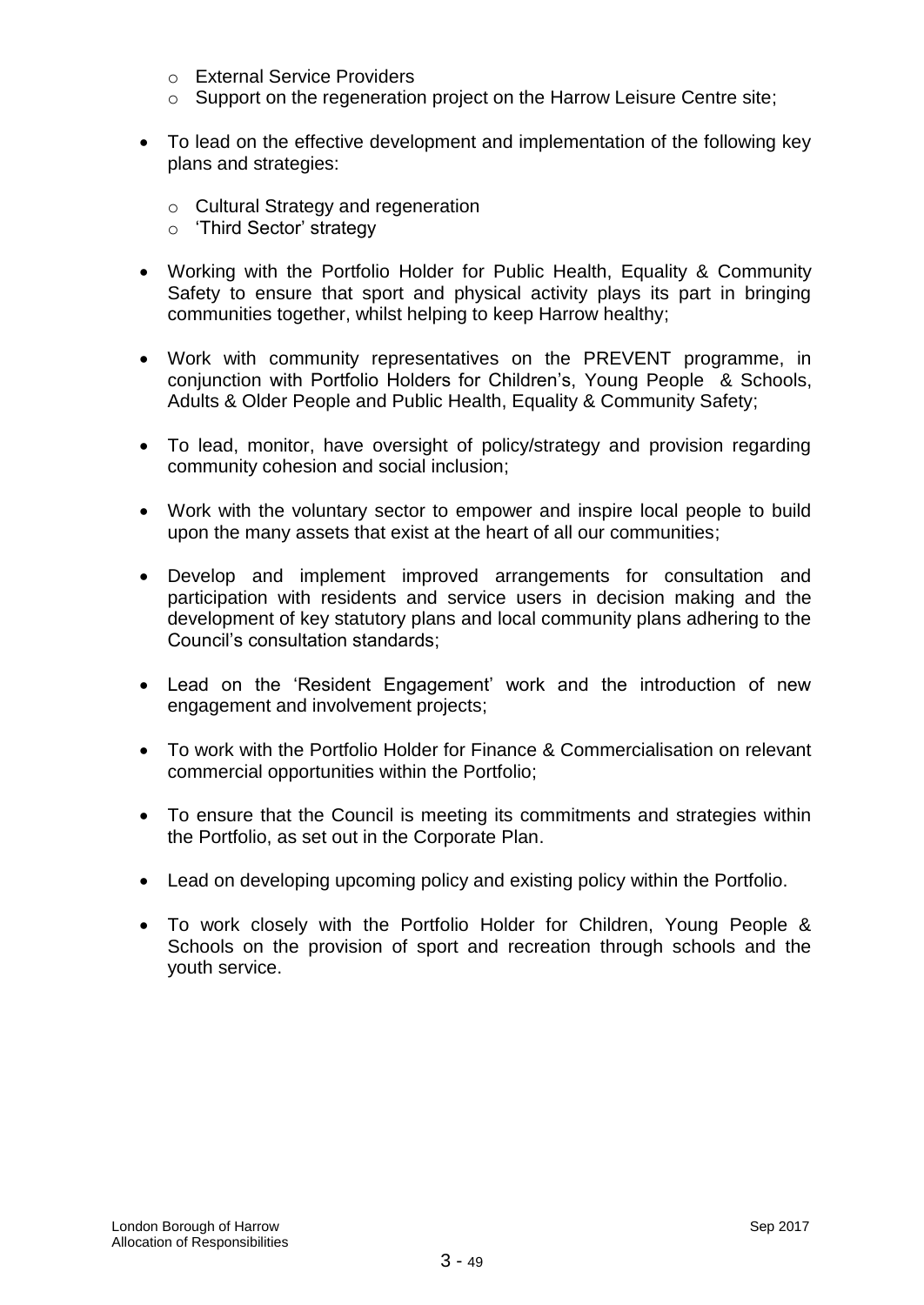- o External Service Providers
- o Support on the regeneration project on the Harrow Leisure Centre site;
- To lead on the effective development and implementation of the following key plans and strategies:
	- o Cultural Strategy and regeneration
	- o 'Third Sector' strategy
- Working with the Portfolio Holder for Public Health, Equality & Community Safety to ensure that sport and physical activity plays its part in bringing communities together, whilst helping to keep Harrow healthy;
- Work with community representatives on the PREVENT programme, in conjunction with Portfolio Holders for Children's, Young People & Schools, Adults & Older People and Public Health, Equality & Community Safety;
- To lead, monitor, have oversight of policy/strategy and provision regarding community cohesion and social inclusion;
- Work with the voluntary sector to empower and inspire local people to build upon the many assets that exist at the heart of all our communities;
- Develop and implement improved arrangements for consultation and participation with residents and service users in decision making and the development of key statutory plans and local community plans adhering to the Council's consultation standards;
- Lead on the 'Resident Engagement' work and the introduction of new engagement and involvement projects;
- To work with the Portfolio Holder for Finance & Commercialisation on relevant commercial opportunities within the Portfolio;
- To ensure that the Council is meeting its commitments and strategies within the Portfolio, as set out in the Corporate Plan.
- Lead on developing upcoming policy and existing policy within the Portfolio.
- To work closely with the Portfolio Holder for Children, Young People & Schools on the provision of sport and recreation through schools and the youth service.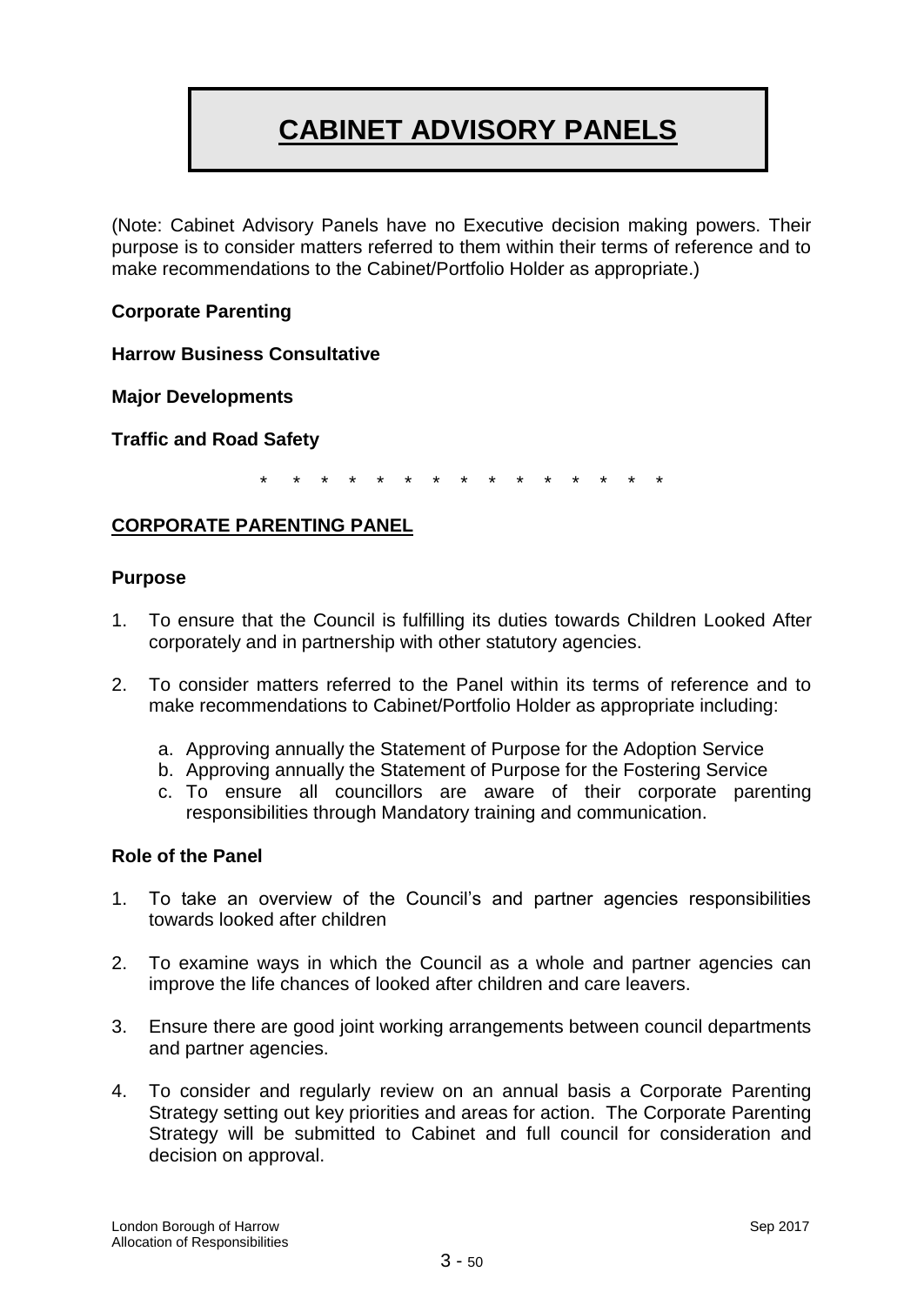# **CABINET ADVISORY PANELS**

(Note: Cabinet Advisory Panels have no Executive decision making powers. Their purpose is to consider matters referred to them within their terms of reference and to make recommendations to the Cabinet/Portfolio Holder as appropriate.)

## **Corporate Parenting**

**Harrow Business Consultative** 

**Major Developments**

**Traffic and Road Safety**

\* \* \* \* \* \* \* \* \* \* \* \* \* \* \*

## **CORPORATE PARENTING PANEL**

#### **Purpose**

- 1. To ensure that the Council is fulfilling its duties towards Children Looked After corporately and in partnership with other statutory agencies.
- 2. To consider matters referred to the Panel within its terms of reference and to make recommendations to Cabinet/Portfolio Holder as appropriate including:
	- a. Approving annually the Statement of Purpose for the Adoption Service
	- b. Approving annually the Statement of Purpose for the Fostering Service
	- c. To ensure all councillors are aware of their corporate parenting responsibilities through Mandatory training and communication.

## **Role of the Panel**

- 1. To take an overview of the Council's and partner agencies responsibilities towards looked after children
- 2. To examine ways in which the Council as a whole and partner agencies can improve the life chances of looked after children and care leavers.
- 3. Ensure there are good joint working arrangements between council departments and partner agencies.
- 4. To consider and regularly review on an annual basis a Corporate Parenting Strategy setting out key priorities and areas for action. The Corporate Parenting Strategy will be submitted to Cabinet and full council for consideration and decision on approval.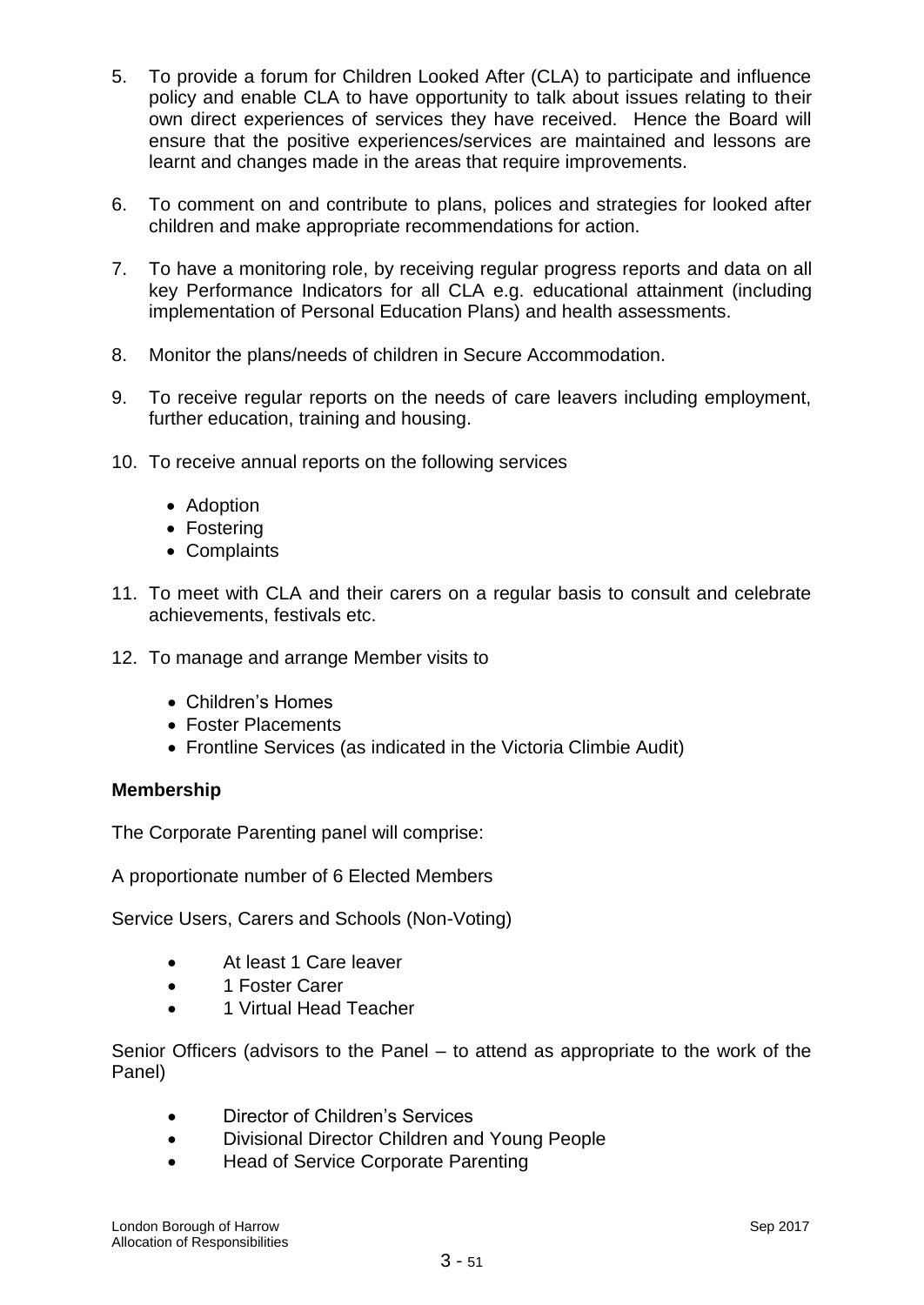- 5. To provide a forum for Children Looked After (CLA) to participate and influence policy and enable CLA to have opportunity to talk about issues relating to their own direct experiences of services they have received. Hence the Board will ensure that the positive experiences/services are maintained and lessons are learnt and changes made in the areas that require improvements.
- 6. To comment on and contribute to plans, polices and strategies for looked after children and make appropriate recommendations for action.
- 7. To have a monitoring role, by receiving regular progress reports and data on all key Performance Indicators for all CLA e.g. educational attainment (including implementation of Personal Education Plans) and health assessments.
- 8. Monitor the plans/needs of children in Secure Accommodation.
- 9. To receive regular reports on the needs of care leavers including employment, further education, training and housing.
- 10. To receive annual reports on the following services
	- Adoption
	- Fostering
	- Complaints
- 11. To meet with CLA and their carers on a regular basis to consult and celebrate achievements, festivals etc.
- 12. To manage and arrange Member visits to
	- Children's Homes
	- Foster Placements
	- Frontline Services (as indicated in the Victoria Climbie Audit)

## **Membership**

The Corporate Parenting panel will comprise:

A proportionate number of 6 Elected Members

Service Users, Carers and Schools (Non-Voting)

- At least 1 Care leaver
- 1 Foster Carer
- 1 Virtual Head Teacher

Senior Officers (advisors to the Panel – to attend as appropriate to the work of the Panel)

- Director of Children's Services
- Divisional Director Children and Young People
- Head of Service Corporate Parenting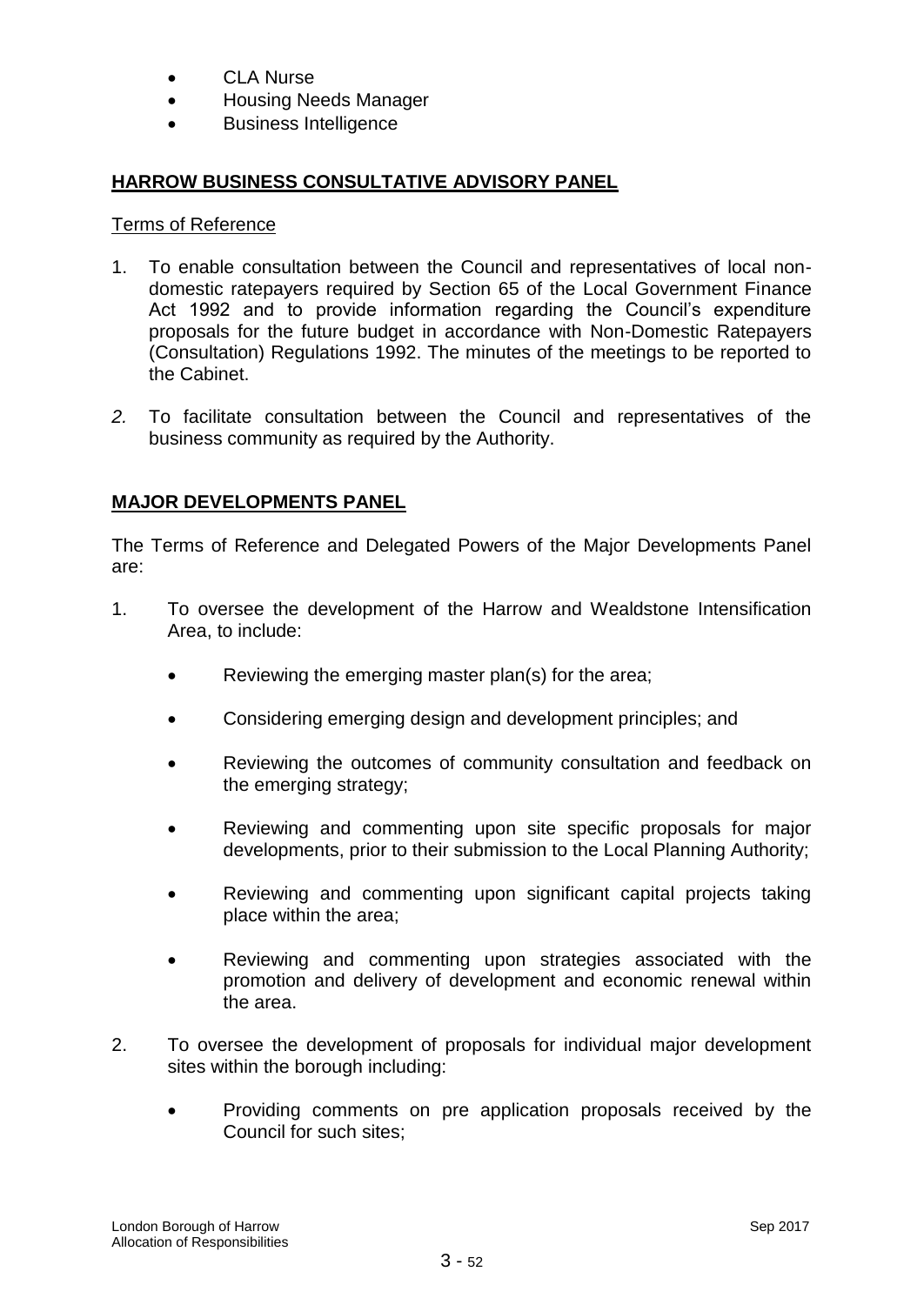- CLA Nurse
- Housing Needs Manager
- Business Intelligence

# **HARROW BUSINESS CONSULTATIVE ADVISORY PANEL**

#### Terms of Reference

- 1. To enable consultation between the Council and representatives of local nondomestic ratepayers required by Section 65 of the Local Government Finance Act 1992 and to provide information regarding the Council's expenditure proposals for the future budget in accordance with Non-Domestic Ratepayers (Consultation) Regulations 1992. The minutes of the meetings to be reported to the Cabinet.
- *2.* To facilitate consultation between the Council and representatives of the business community as required by the Authority.

# **MAJOR DEVELOPMENTS PANEL**

The Terms of Reference and Delegated Powers of the Major Developments Panel are:

- 1. To oversee the development of the Harrow and Wealdstone Intensification Area, to include:
	- Reviewing the emerging master plan(s) for the area;
	- Considering emerging design and development principles; and
	- Reviewing the outcomes of community consultation and feedback on the emerging strategy;
	- Reviewing and commenting upon site specific proposals for major developments, prior to their submission to the Local Planning Authority;
	- Reviewing and commenting upon significant capital projects taking place within the area;
	- Reviewing and commenting upon strategies associated with the promotion and delivery of development and economic renewal within the area.
- 2. To oversee the development of proposals for individual major development sites within the borough including:
	- Providing comments on pre application proposals received by the Council for such sites;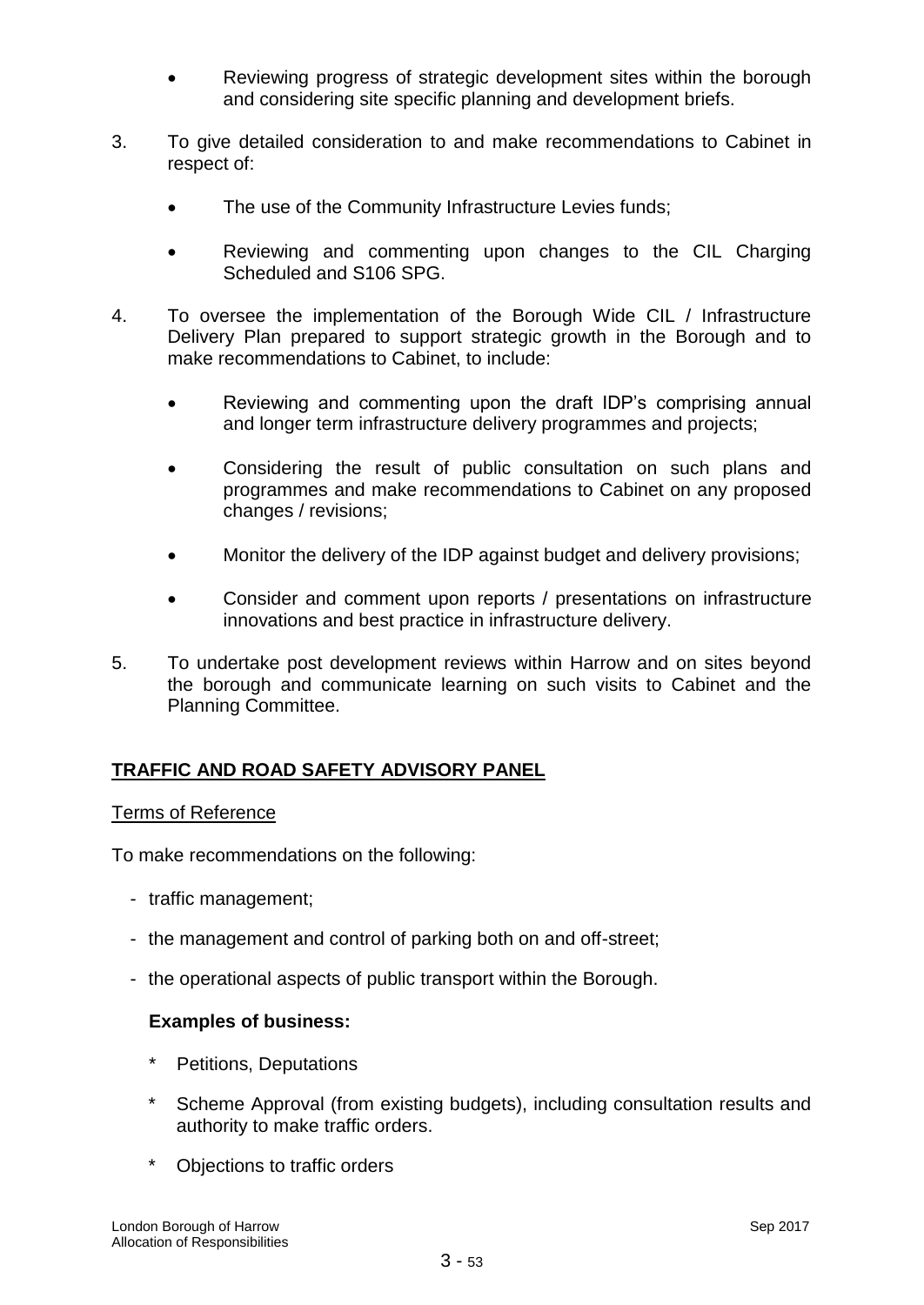- Reviewing progress of strategic development sites within the borough and considering site specific planning and development briefs.
- 3. To give detailed consideration to and make recommendations to Cabinet in respect of:
	- The use of the Community Infrastructure Levies funds;
	- Reviewing and commenting upon changes to the CIL Charging Scheduled and S106 SPG.
- 4. To oversee the implementation of the Borough Wide CIL / Infrastructure Delivery Plan prepared to support strategic growth in the Borough and to make recommendations to Cabinet, to include:
	- Reviewing and commenting upon the draft IDP's comprising annual and longer term infrastructure delivery programmes and projects;
	- Considering the result of public consultation on such plans and programmes and make recommendations to Cabinet on any proposed changes / revisions;
	- Monitor the delivery of the IDP against budget and delivery provisions;
	- Consider and comment upon reports / presentations on infrastructure innovations and best practice in infrastructure delivery.
- 5. To undertake post development reviews within Harrow and on sites beyond the borough and communicate learning on such visits to Cabinet and the Planning Committee.

# **TRAFFIC AND ROAD SAFETY ADVISORY PANEL**

## Terms of Reference

To make recommendations on the following:

- traffic management;
- the management and control of parking both on and off-street;
- the operational aspects of public transport within the Borough.

## **Examples of business:**

- Petitions, Deputations
- Scheme Approval (from existing budgets), including consultation results and authority to make traffic orders.
- \* Objections to traffic orders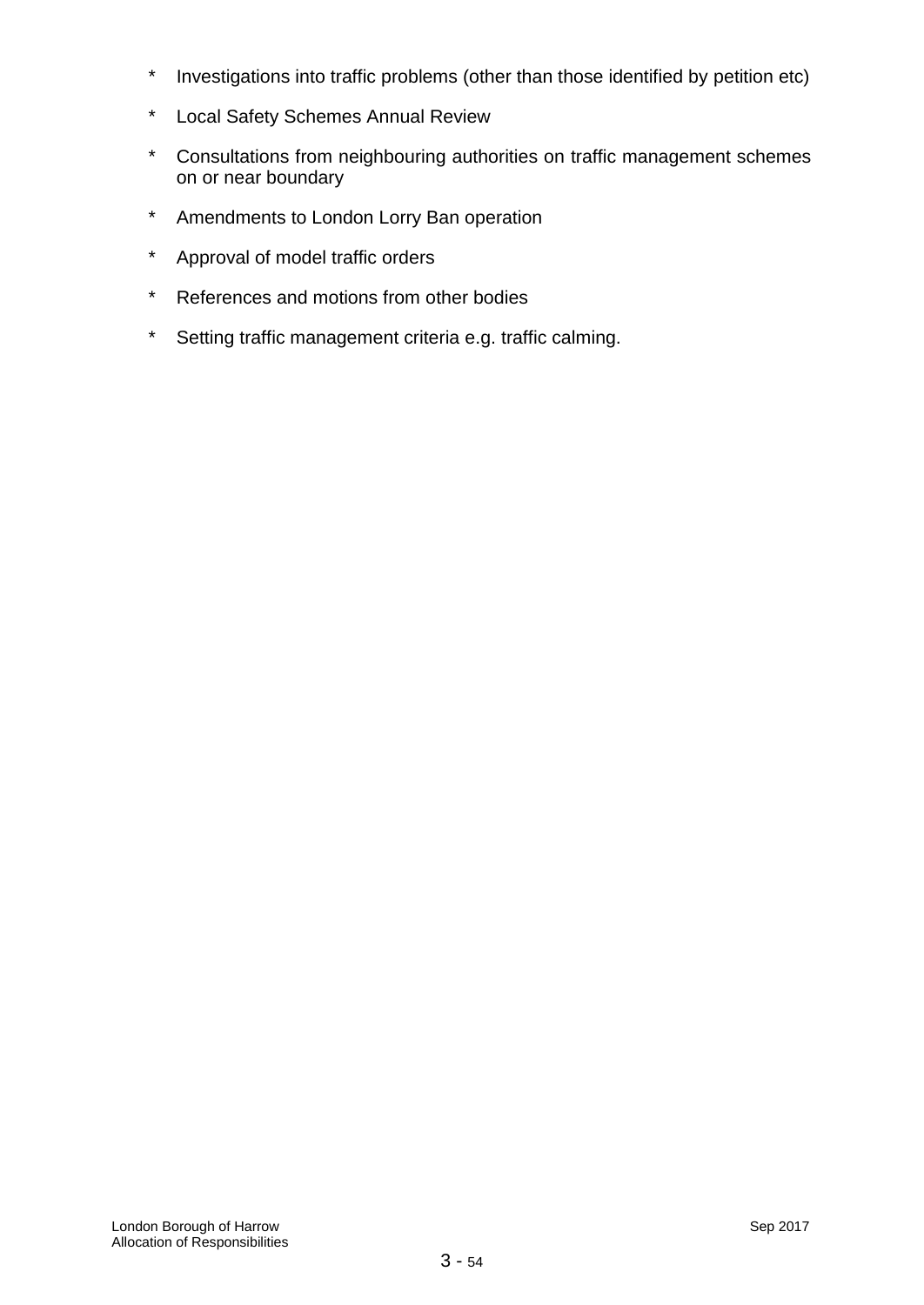- \* Investigations into traffic problems (other than those identified by petition etc)
- \* Local Safety Schemes Annual Review
- \* Consultations from neighbouring authorities on traffic management schemes on or near boundary
- \* Amendments to London Lorry Ban operation
- \* Approval of model traffic orders
- \* References and motions from other bodies
- \* Setting traffic management criteria e.g. traffic calming.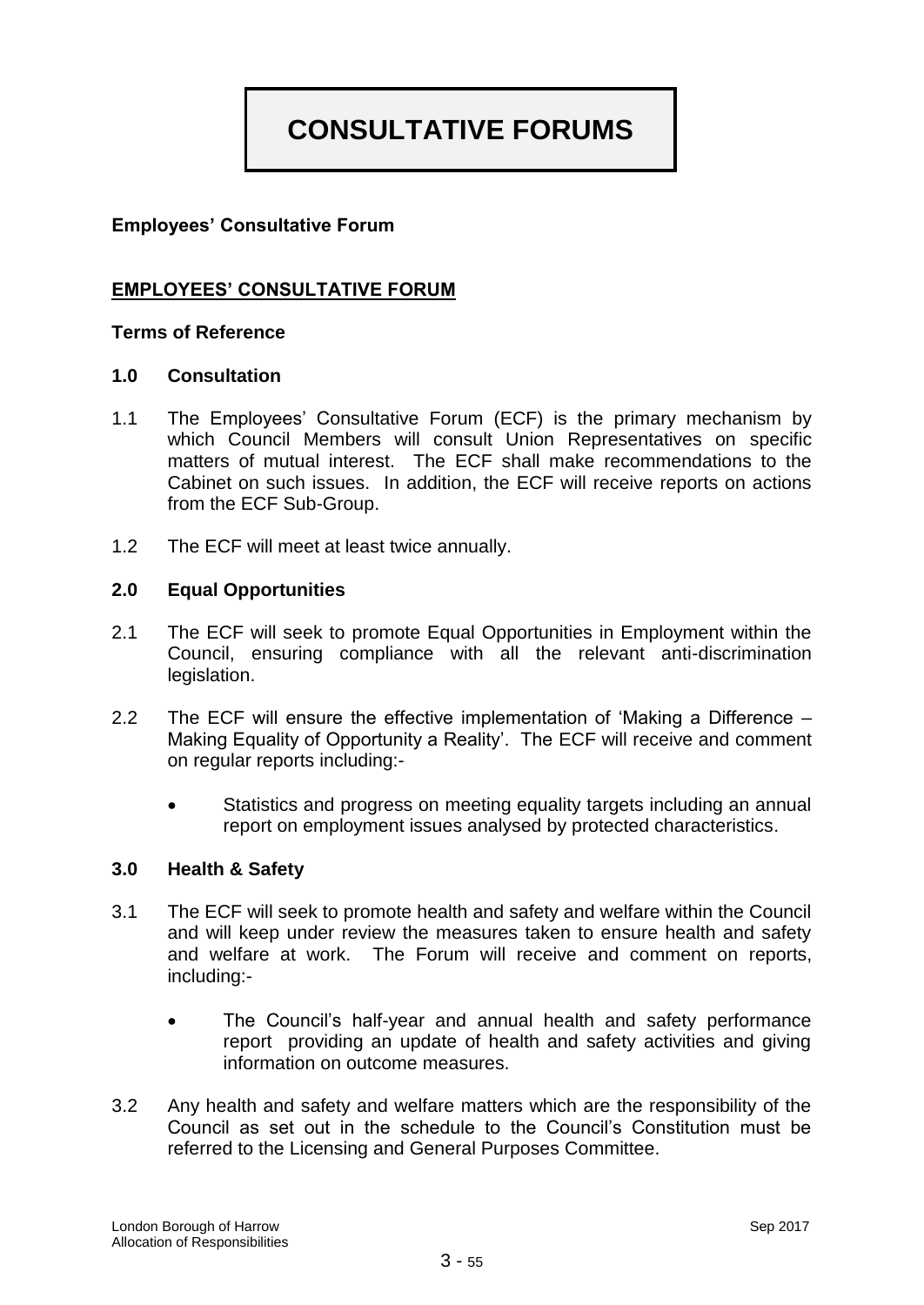# **CONSULTATIVE FORUMS**

## **Employees' Consultative Forum**

## **EMPLOYEES' CONSULTATIVE FORUM**

## **Terms of Reference**

#### **1.0 Consultation**

- 1.1 The Employees' Consultative Forum (ECF) is the primary mechanism by which Council Members will consult Union Representatives on specific matters of mutual interest. The ECF shall make recommendations to the Cabinet on such issues. In addition, the ECF will receive reports on actions from the ECF Sub-Group.
- 1.2 The ECF will meet at least twice annually.

#### **2.0 Equal Opportunities**

- 2.1 The ECF will seek to promote Equal Opportunities in Employment within the Council, ensuring compliance with all the relevant anti-discrimination legislation.
- 2.2 The ECF will ensure the effective implementation of 'Making a Difference Making Equality of Opportunity a Reality'. The ECF will receive and comment on regular reports including:-
	- Statistics and progress on meeting equality targets including an annual report on employment issues analysed by protected characteristics.

#### **3.0 Health & Safety**

- 3.1 The ECF will seek to promote health and safety and welfare within the Council and will keep under review the measures taken to ensure health and safety and welfare at work. The Forum will receive and comment on reports, including:-
	- The Council's half-year and annual health and safety performance report providing an update of health and safety activities and giving information on outcome measures.
- 3.2 Any health and safety and welfare matters which are the responsibility of the Council as set out in the schedule to the Council's Constitution must be referred to the Licensing and General Purposes Committee.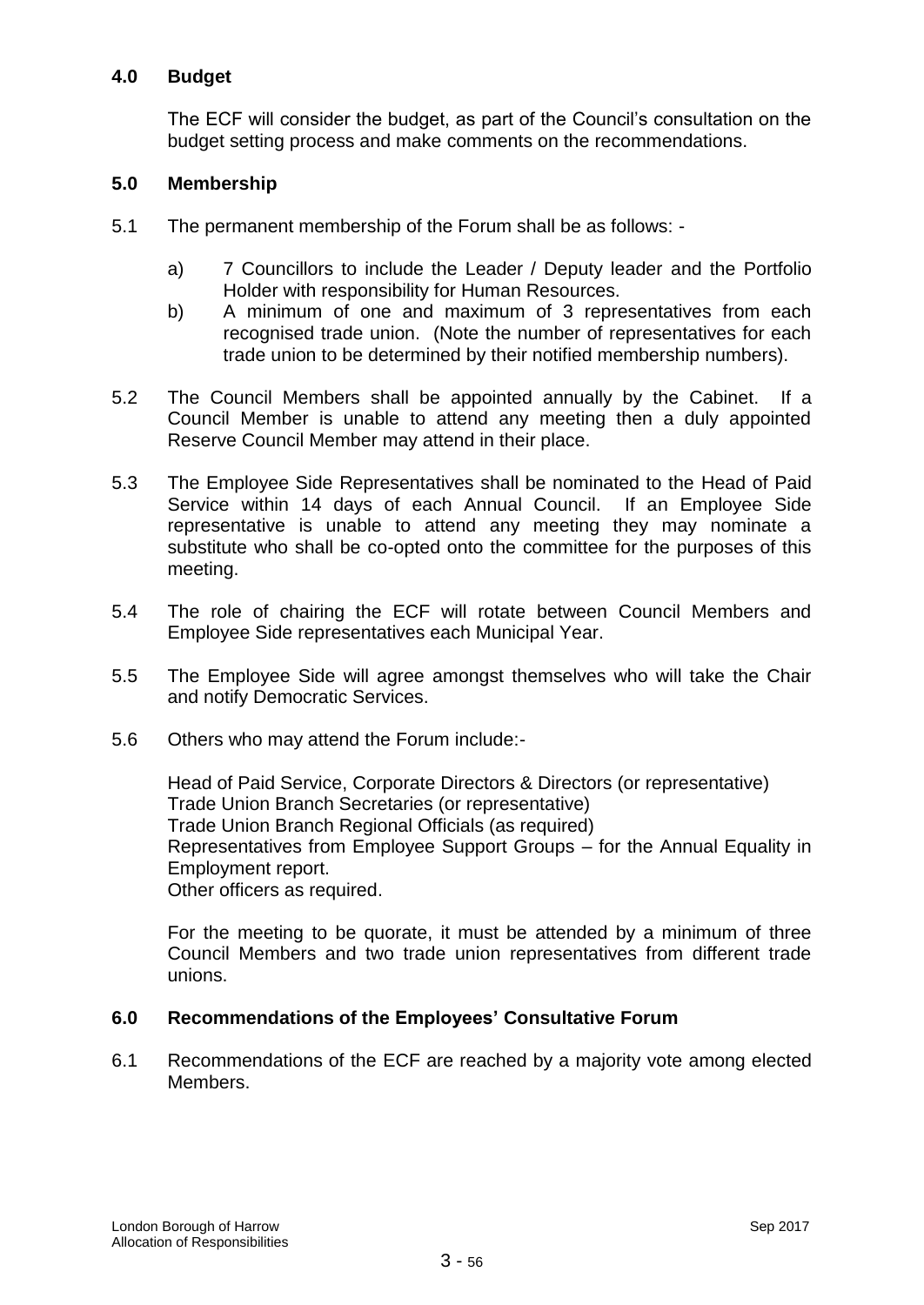## **4.0 Budget**

The ECF will consider the budget, as part of the Council's consultation on the budget setting process and make comments on the recommendations.

## **5.0 Membership**

- 5.1 The permanent membership of the Forum shall be as follows:
	- a) 7 Councillors to include the Leader / Deputy leader and the Portfolio Holder with responsibility for Human Resources.
	- b) A minimum of one and maximum of 3 representatives from each recognised trade union. (Note the number of representatives for each trade union to be determined by their notified membership numbers).
- 5.2 The Council Members shall be appointed annually by the Cabinet. If a Council Member is unable to attend any meeting then a duly appointed Reserve Council Member may attend in their place.
- 5.3 The Employee Side Representatives shall be nominated to the Head of Paid Service within 14 days of each Annual Council. If an Employee Side representative is unable to attend any meeting they may nominate a substitute who shall be co-opted onto the committee for the purposes of this meeting.
- 5.4 The role of chairing the ECF will rotate between Council Members and Employee Side representatives each Municipal Year.
- 5.5 The Employee Side will agree amongst themselves who will take the Chair and notify Democratic Services.
- 5.6 Others who may attend the Forum include:-

Head of Paid Service, Corporate Directors & Directors (or representative) Trade Union Branch Secretaries (or representative) Trade Union Branch Regional Officials (as required) Representatives from Employee Support Groups – for the Annual Equality in Employment report. Other officers as required.

For the meeting to be quorate, it must be attended by a minimum of three Council Members and two trade union representatives from different trade unions.

## **6.0 Recommendations of the Employees' Consultative Forum**

6.1 Recommendations of the ECF are reached by a majority vote among elected Members.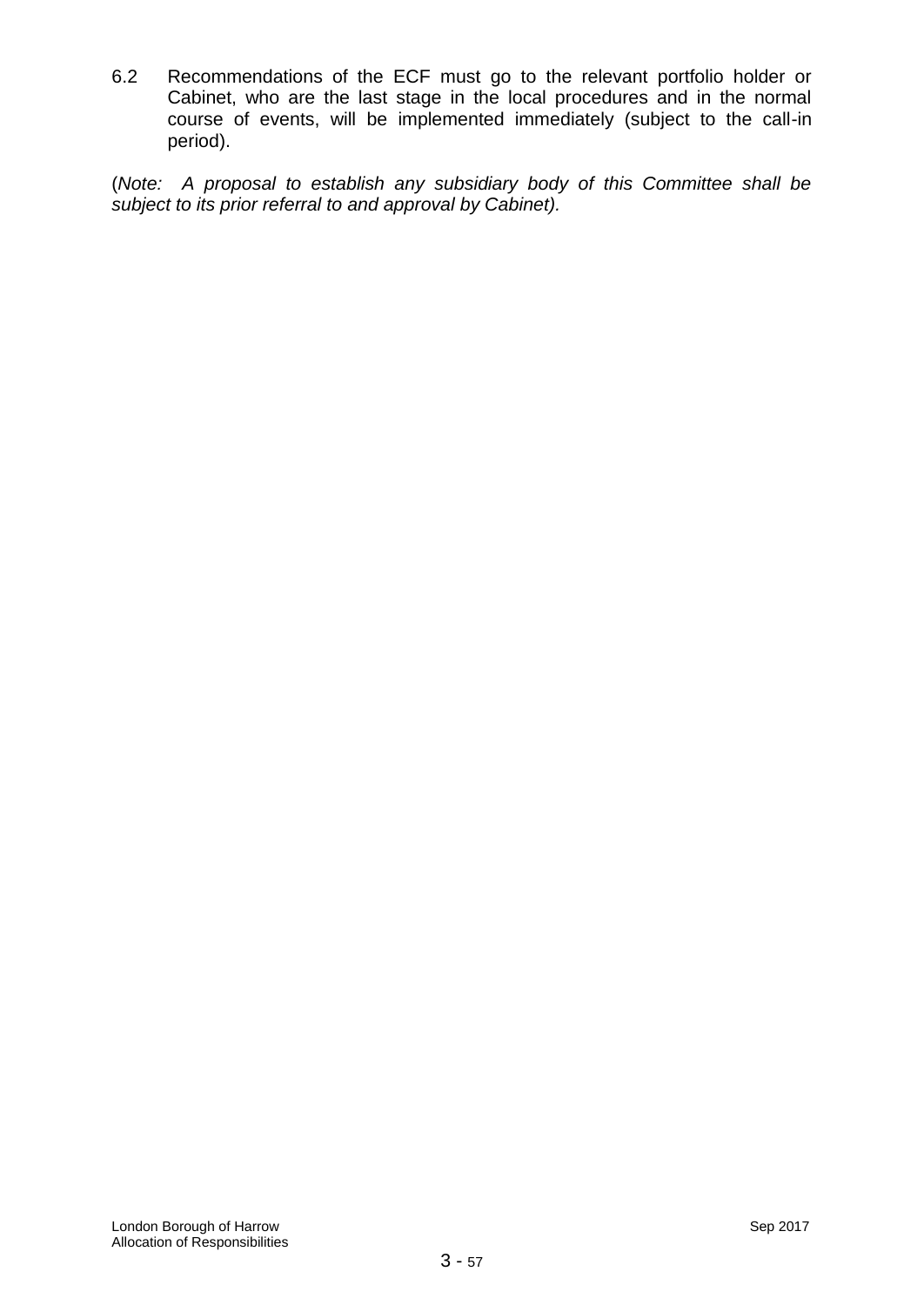6.2 Recommendations of the ECF must go to the relevant portfolio holder or Cabinet, who are the last stage in the local procedures and in the normal course of events, will be implemented immediately (subject to the call-in period).

(*Note: A proposal to establish any subsidiary body of this Committee shall be subject to its prior referral to and approval by Cabinet).*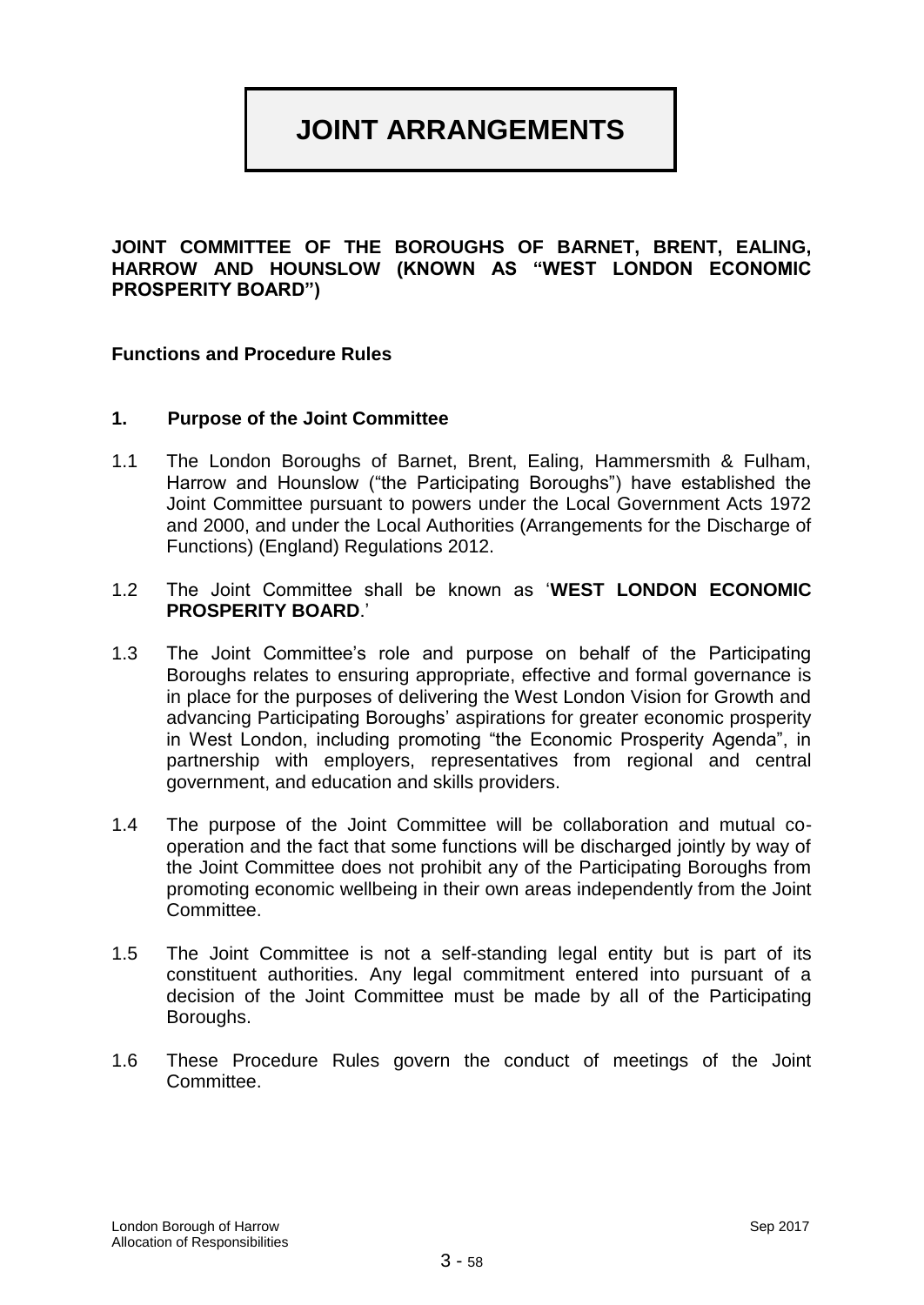# **JOINT ARRANGEMENTS**

**JOINT COMMITTEE OF THE BOROUGHS OF BARNET, BRENT, EALING, HARROW AND HOUNSLOW (KNOWN AS "WEST LONDON ECONOMIC PROSPERITY BOARD")**

#### **Functions and Procedure Rules**

#### **1. Purpose of the Joint Committee**

- 1.1 The London Boroughs of Barnet, Brent, Ealing, Hammersmith & Fulham, Harrow and Hounslow ("the Participating Boroughs") have established the Joint Committee pursuant to powers under the Local Government Acts 1972 and 2000, and under the Local Authorities (Arrangements for the Discharge of Functions) (England) Regulations 2012.
- 1.2 The Joint Committee shall be known as '**WEST LONDON ECONOMIC PROSPERITY BOARD**.'
- 1.3 The Joint Committee's role and purpose on behalf of the Participating Boroughs relates to ensuring appropriate, effective and formal governance is in place for the purposes of delivering the West London Vision for Growth and advancing Participating Boroughs' aspirations for greater economic prosperity in West London, including promoting "the Economic Prosperity Agenda", in partnership with employers, representatives from regional and central government, and education and skills providers.
- 1.4 The purpose of the Joint Committee will be collaboration and mutual cooperation and the fact that some functions will be discharged jointly by way of the Joint Committee does not prohibit any of the Participating Boroughs from promoting economic wellbeing in their own areas independently from the Joint Committee.
- 1.5 The Joint Committee is not a self-standing legal entity but is part of its constituent authorities. Any legal commitment entered into pursuant of a decision of the Joint Committee must be made by all of the Participating Boroughs.
- 1.6 These Procedure Rules govern the conduct of meetings of the Joint Committee.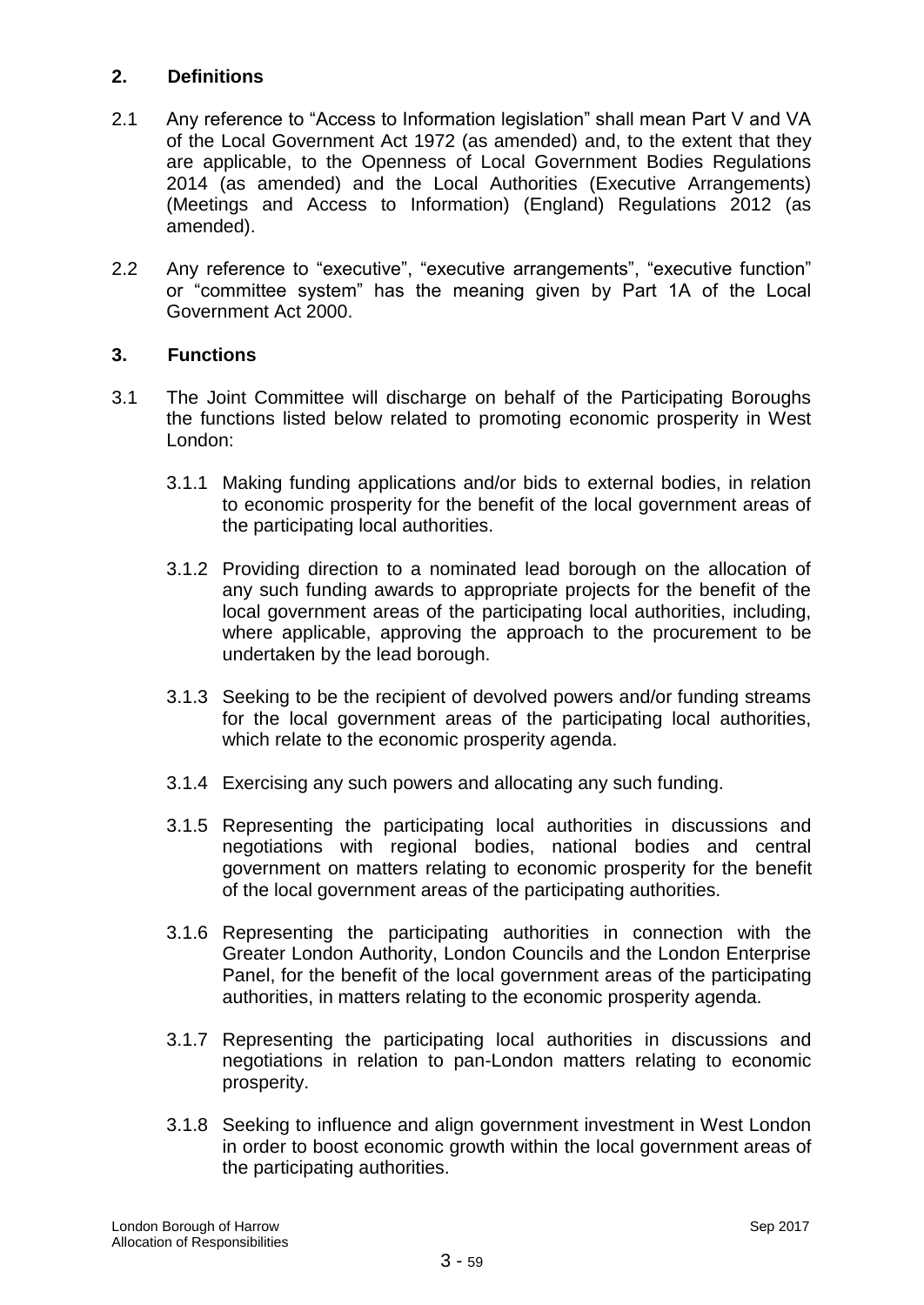## **2. Definitions**

- 2.1 Any reference to "Access to Information legislation" shall mean Part V and VA of the Local Government Act 1972 (as amended) and, to the extent that they are applicable, to the Openness of Local Government Bodies Regulations 2014 (as amended) and the Local Authorities (Executive Arrangements) (Meetings and Access to Information) (England) Regulations 2012 (as amended).
- 2.2 Any reference to "executive", "executive arrangements", "executive function" or "committee system" has the meaning given by Part 1A of the Local Government Act 2000.

## **3. Functions**

- 3.1 The Joint Committee will discharge on behalf of the Participating Boroughs the functions listed below related to promoting economic prosperity in West London:
	- 3.1.1 Making funding applications and/or bids to external bodies, in relation to economic prosperity for the benefit of the local government areas of the participating local authorities.
	- 3.1.2 Providing direction to a nominated lead borough on the allocation of any such funding awards to appropriate projects for the benefit of the local government areas of the participating local authorities, including, where applicable, approving the approach to the procurement to be undertaken by the lead borough.
	- 3.1.3 Seeking to be the recipient of devolved powers and/or funding streams for the local government areas of the participating local authorities, which relate to the economic prosperity agenda.
	- 3.1.4 Exercising any such powers and allocating any such funding.
	- 3.1.5 Representing the participating local authorities in discussions and negotiations with regional bodies, national bodies and central government on matters relating to economic prosperity for the benefit of the local government areas of the participating authorities.
	- 3.1.6 Representing the participating authorities in connection with the Greater London Authority, London Councils and the London Enterprise Panel, for the benefit of the local government areas of the participating authorities, in matters relating to the economic prosperity agenda.
	- 3.1.7 Representing the participating local authorities in discussions and negotiations in relation to pan-London matters relating to economic prosperity.
	- 3.1.8 Seeking to influence and align government investment in West London in order to boost economic growth within the local government areas of the participating authorities.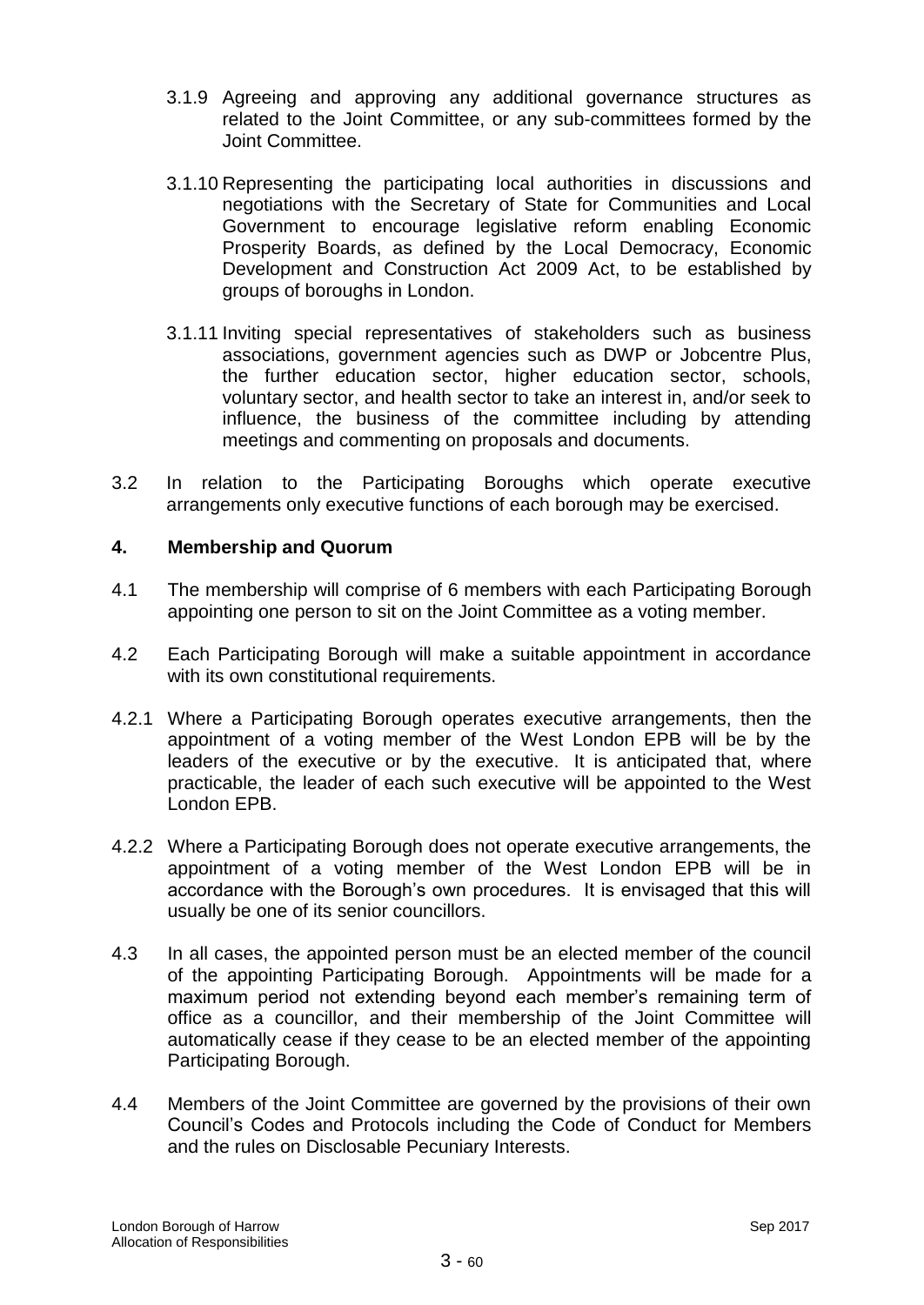- 3.1.9 Agreeing and approving any additional governance structures as related to the Joint Committee, or any sub-committees formed by the Joint Committee.
- 3.1.10 Representing the participating local authorities in discussions and negotiations with the Secretary of State for Communities and Local Government to encourage legislative reform enabling Economic Prosperity Boards, as defined by the Local Democracy, Economic Development and Construction Act 2009 Act, to be established by groups of boroughs in London.
- 3.1.11 Inviting special representatives of stakeholders such as business associations, government agencies such as DWP or Jobcentre Plus, the further education sector, higher education sector, schools, voluntary sector, and health sector to take an interest in, and/or seek to influence, the business of the committee including by attending meetings and commenting on proposals and documents.
- 3.2 In relation to the Participating Boroughs which operate executive arrangements only executive functions of each borough may be exercised.

## **4. Membership and Quorum**

- 4.1 The membership will comprise of 6 members with each Participating Borough appointing one person to sit on the Joint Committee as a voting member.
- 4.2 Each Participating Borough will make a suitable appointment in accordance with its own constitutional requirements.
- 4.2.1 Where a Participating Borough operates executive arrangements, then the appointment of a voting member of the West London EPB will be by the leaders of the executive or by the executive. It is anticipated that, where practicable, the leader of each such executive will be appointed to the West London EPB.
- 4.2.2 Where a Participating Borough does not operate executive arrangements, the appointment of a voting member of the West London EPB will be in accordance with the Borough's own procedures. It is envisaged that this will usually be one of its senior councillors.
- 4.3 In all cases, the appointed person must be an elected member of the council of the appointing Participating Borough. Appointments will be made for a maximum period not extending beyond each member's remaining term of office as a councillor, and their membership of the Joint Committee will automatically cease if they cease to be an elected member of the appointing Participating Borough.
- 4.4 Members of the Joint Committee are governed by the provisions of their own Council's Codes and Protocols including the Code of Conduct for Members and the rules on Disclosable Pecuniary Interests.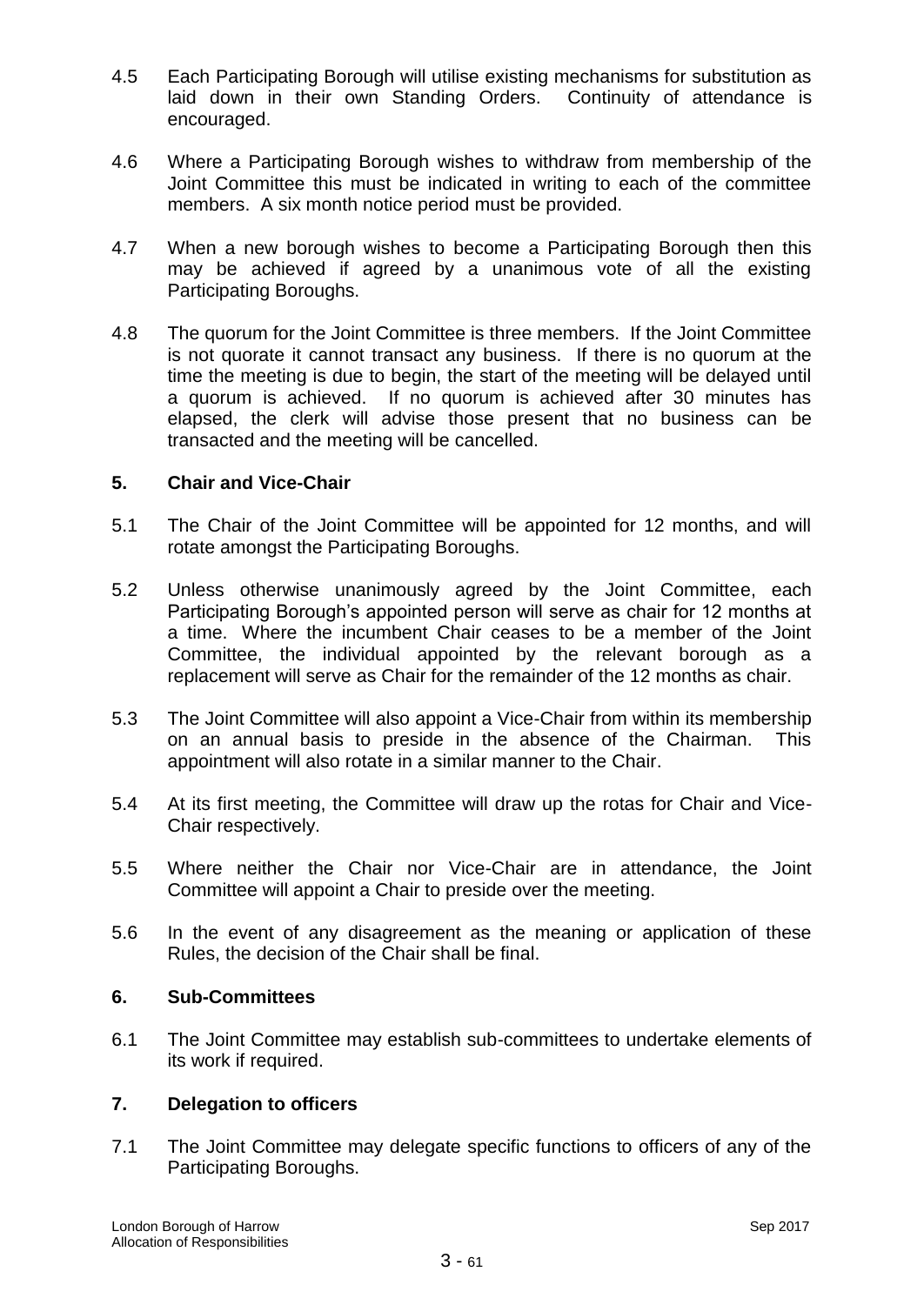- 4.5 Each Participating Borough will utilise existing mechanisms for substitution as laid down in their own Standing Orders. Continuity of attendance is encouraged.
- 4.6 Where a Participating Borough wishes to withdraw from membership of the Joint Committee this must be indicated in writing to each of the committee members. A six month notice period must be provided.
- 4.7 When a new borough wishes to become a Participating Borough then this may be achieved if agreed by a unanimous vote of all the existing Participating Boroughs.
- 4.8 The quorum for the Joint Committee is three members. If the Joint Committee is not quorate it cannot transact any business. If there is no quorum at the time the meeting is due to begin, the start of the meeting will be delayed until a quorum is achieved. If no quorum is achieved after 30 minutes has elapsed, the clerk will advise those present that no business can be transacted and the meeting will be cancelled.

## **5. Chair and Vice-Chair**

- 5.1 The Chair of the Joint Committee will be appointed for 12 months, and will rotate amongst the Participating Boroughs.
- 5.2 Unless otherwise unanimously agreed by the Joint Committee, each Participating Borough's appointed person will serve as chair for 12 months at a time. Where the incumbent Chair ceases to be a member of the Joint Committee, the individual appointed by the relevant borough as a replacement will serve as Chair for the remainder of the 12 months as chair.
- 5.3 The Joint Committee will also appoint a Vice-Chair from within its membership on an annual basis to preside in the absence of the Chairman. This appointment will also rotate in a similar manner to the Chair.
- 5.4 At its first meeting, the Committee will draw up the rotas for Chair and Vice-Chair respectively.
- 5.5 Where neither the Chair nor Vice-Chair are in attendance, the Joint Committee will appoint a Chair to preside over the meeting.
- 5.6 In the event of any disagreement as the meaning or application of these Rules, the decision of the Chair shall be final.

## **6. Sub-Committees**

6.1 The Joint Committee may establish sub-committees to undertake elements of its work if required.

## **7. Delegation to officers**

7.1 The Joint Committee may delegate specific functions to officers of any of the Participating Boroughs.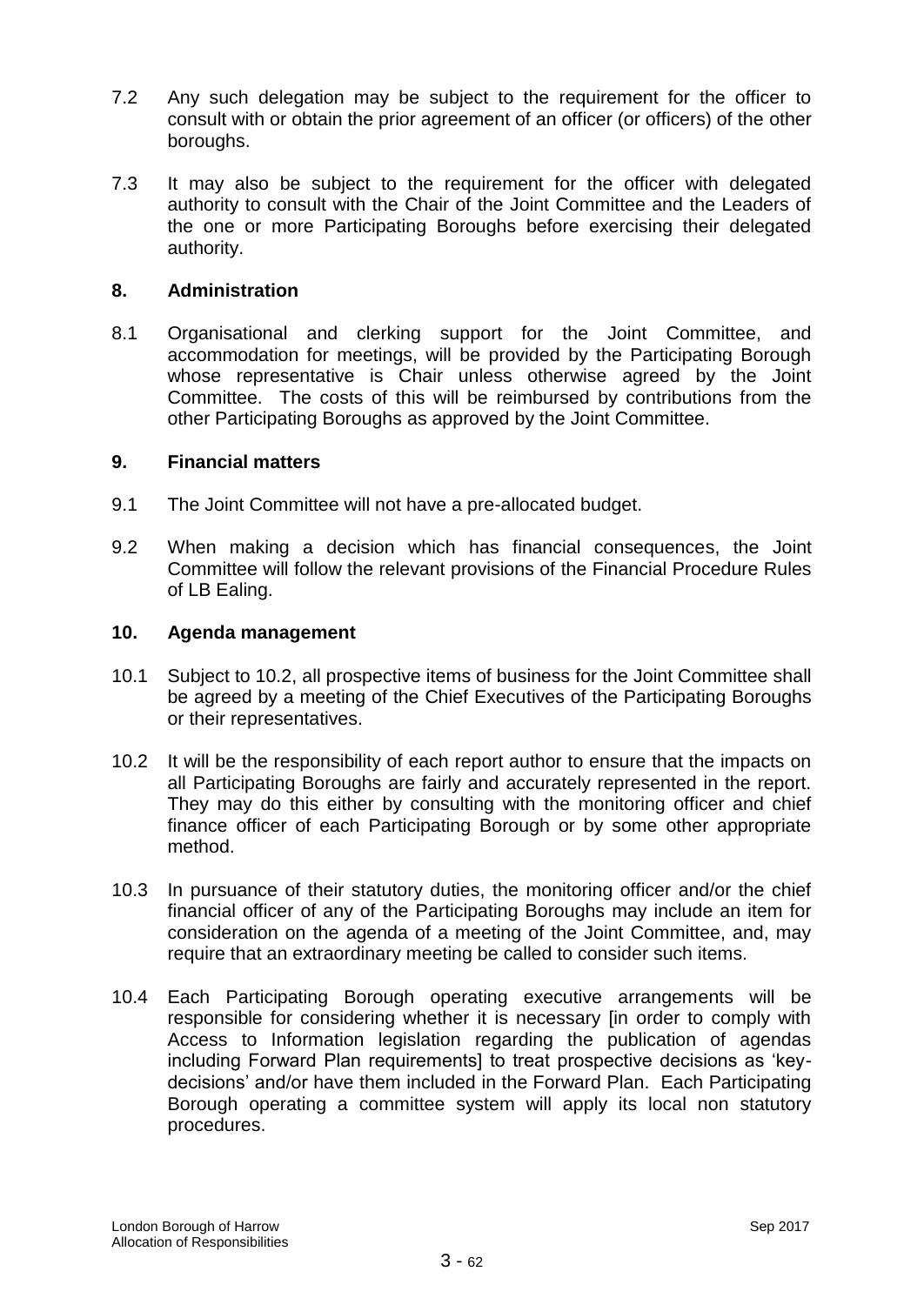- 7.2 Any such delegation may be subject to the requirement for the officer to consult with or obtain the prior agreement of an officer (or officers) of the other boroughs.
- 7.3 It may also be subject to the requirement for the officer with delegated authority to consult with the Chair of the Joint Committee and the Leaders of the one or more Participating Boroughs before exercising their delegated authority.

#### **8. Administration**

8.1 Organisational and clerking support for the Joint Committee, and accommodation for meetings, will be provided by the Participating Borough whose representative is Chair unless otherwise agreed by the Joint Committee. The costs of this will be reimbursed by contributions from the other Participating Boroughs as approved by the Joint Committee.

#### **9. Financial matters**

- 9.1 The Joint Committee will not have a pre-allocated budget.
- 9.2 When making a decision which has financial consequences, the Joint Committee will follow the relevant provisions of the Financial Procedure Rules of LB Ealing.

#### **10. Agenda management**

- 10.1 Subject to 10.2, all prospective items of business for the Joint Committee shall be agreed by a meeting of the Chief Executives of the Participating Boroughs or their representatives.
- 10.2 It will be the responsibility of each report author to ensure that the impacts on all Participating Boroughs are fairly and accurately represented in the report. They may do this either by consulting with the monitoring officer and chief finance officer of each Participating Borough or by some other appropriate method.
- 10.3 In pursuance of their statutory duties, the monitoring officer and/or the chief financial officer of any of the Participating Boroughs may include an item for consideration on the agenda of a meeting of the Joint Committee, and, may require that an extraordinary meeting be called to consider such items.
- 10.4 Each Participating Borough operating executive arrangements will be responsible for considering whether it is necessary [in order to comply with Access to Information legislation regarding the publication of agendas including Forward Plan requirements] to treat prospective decisions as 'keydecisions' and/or have them included in the Forward Plan. Each Participating Borough operating a committee system will apply its local non statutory procedures.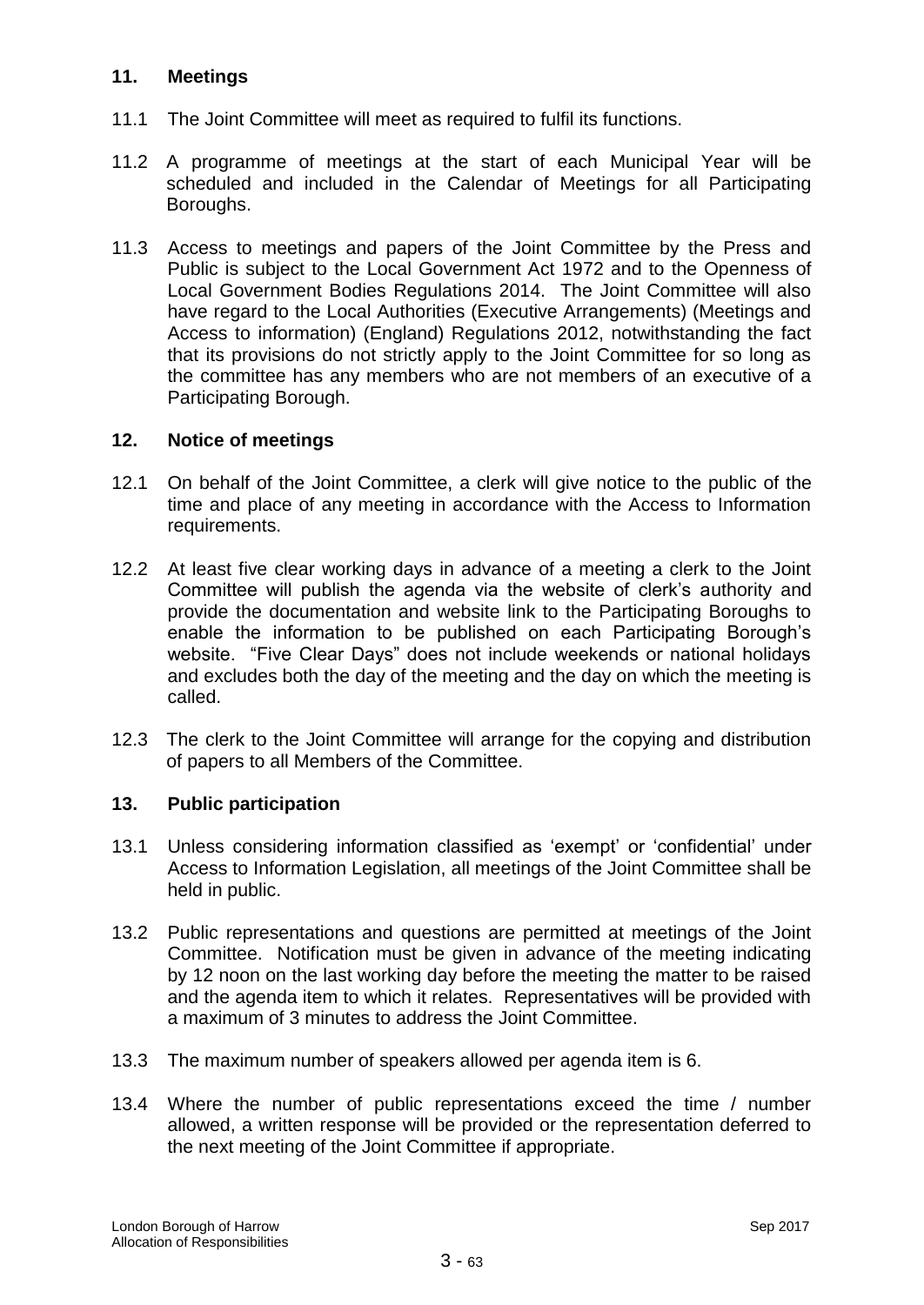## **11. Meetings**

- 11.1 The Joint Committee will meet as required to fulfil its functions.
- 11.2 A programme of meetings at the start of each Municipal Year will be scheduled and included in the Calendar of Meetings for all Participating Boroughs.
- 11.3 Access to meetings and papers of the Joint Committee by the Press and Public is subject to the Local Government Act 1972 and to the Openness of Local Government Bodies Regulations 2014. The Joint Committee will also have regard to the Local Authorities (Executive Arrangements) (Meetings and Access to information) (England) Regulations 2012, notwithstanding the fact that its provisions do not strictly apply to the Joint Committee for so long as the committee has any members who are not members of an executive of a Participating Borough.

## **12. Notice of meetings**

- 12.1 On behalf of the Joint Committee, a clerk will give notice to the public of the time and place of any meeting in accordance with the Access to Information requirements.
- 12.2 At least five clear working days in advance of a meeting a clerk to the Joint Committee will publish the agenda via the website of clerk's authority and provide the documentation and website link to the Participating Boroughs to enable the information to be published on each Participating Borough's website. "Five Clear Days" does not include weekends or national holidays and excludes both the day of the meeting and the day on which the meeting is called.
- 12.3 The clerk to the Joint Committee will arrange for the copying and distribution of papers to all Members of the Committee.

## **13. Public participation**

- 13.1 Unless considering information classified as 'exempt' or 'confidential' under Access to Information Legislation, all meetings of the Joint Committee shall be held in public.
- 13.2 Public representations and questions are permitted at meetings of the Joint Committee. Notification must be given in advance of the meeting indicating by 12 noon on the last working day before the meeting the matter to be raised and the agenda item to which it relates. Representatives will be provided with a maximum of 3 minutes to address the Joint Committee.
- 13.3 The maximum number of speakers allowed per agenda item is 6.
- 13.4 Where the number of public representations exceed the time / number allowed, a written response will be provided or the representation deferred to the next meeting of the Joint Committee if appropriate.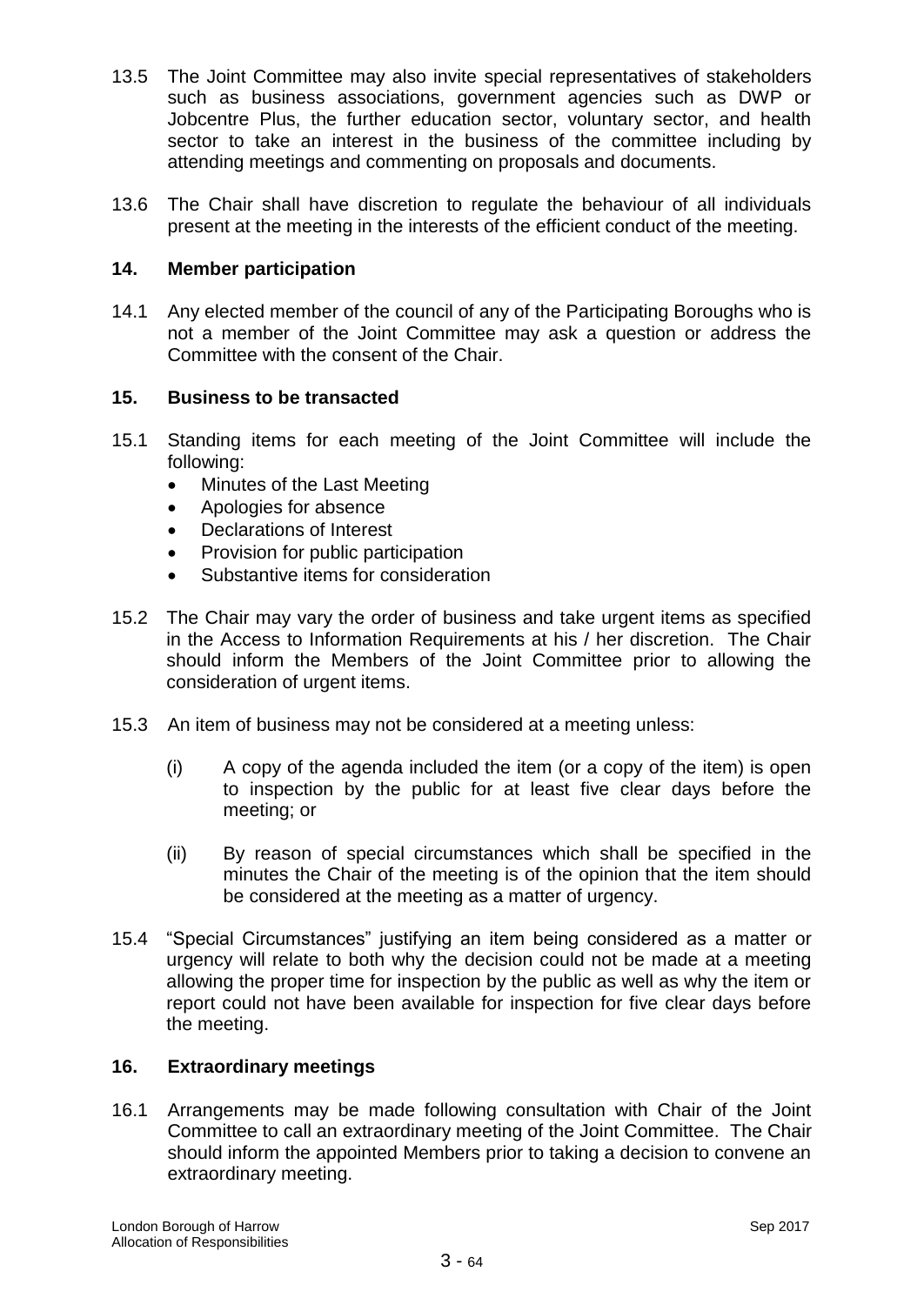- 13.5 The Joint Committee may also invite special representatives of stakeholders such as business associations, government agencies such as DWP or Jobcentre Plus, the further education sector, voluntary sector, and health sector to take an interest in the business of the committee including by attending meetings and commenting on proposals and documents.
- 13.6 The Chair shall have discretion to regulate the behaviour of all individuals present at the meeting in the interests of the efficient conduct of the meeting.

#### **14. Member participation**

14.1 Any elected member of the council of any of the Participating Boroughs who is not a member of the Joint Committee may ask a question or address the Committee with the consent of the Chair.

## **15. Business to be transacted**

- 15.1 Standing items for each meeting of the Joint Committee will include the following:
	- Minutes of the Last Meeting
	- Apologies for absence
	- Declarations of Interest
	- Provision for public participation
	- Substantive items for consideration
- 15.2 The Chair may vary the order of business and take urgent items as specified in the Access to Information Requirements at his / her discretion. The Chair should inform the Members of the Joint Committee prior to allowing the consideration of urgent items.
- 15.3 An item of business may not be considered at a meeting unless:
	- (i) A copy of the agenda included the item (or a copy of the item) is open to inspection by the public for at least five clear days before the meeting; or
	- (ii) By reason of special circumstances which shall be specified in the minutes the Chair of the meeting is of the opinion that the item should be considered at the meeting as a matter of urgency.
- 15.4 "Special Circumstances" justifying an item being considered as a matter or urgency will relate to both why the decision could not be made at a meeting allowing the proper time for inspection by the public as well as why the item or report could not have been available for inspection for five clear days before the meeting.

#### **16. Extraordinary meetings**

16.1 Arrangements may be made following consultation with Chair of the Joint Committee to call an extraordinary meeting of the Joint Committee. The Chair should inform the appointed Members prior to taking a decision to convene an extraordinary meeting.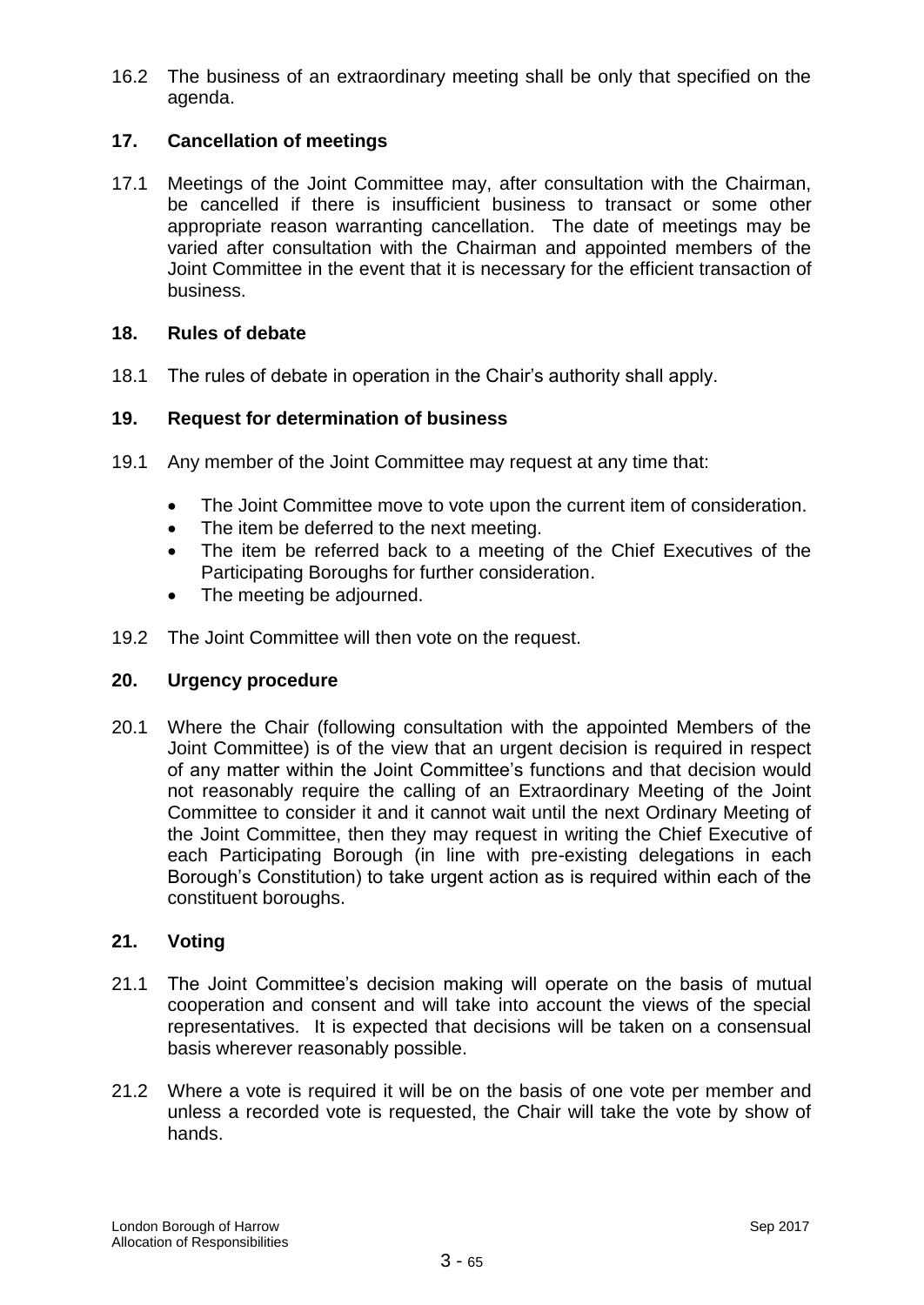16.2 The business of an extraordinary meeting shall be only that specified on the agenda.

## **17. Cancellation of meetings**

17.1 Meetings of the Joint Committee may, after consultation with the Chairman, be cancelled if there is insufficient business to transact or some other appropriate reason warranting cancellation. The date of meetings may be varied after consultation with the Chairman and appointed members of the Joint Committee in the event that it is necessary for the efficient transaction of business.

## **18. Rules of debate**

18.1 The rules of debate in operation in the Chair's authority shall apply.

#### **19. Request for determination of business**

- 19.1 Any member of the Joint Committee may request at any time that:
	- The Joint Committee move to vote upon the current item of consideration.
	- The item be deferred to the next meeting.
	- The item be referred back to a meeting of the Chief Executives of the Participating Boroughs for further consideration.
	- The meeting be adjourned.
- 19.2 The Joint Committee will then vote on the request.

#### **20. Urgency procedure**

20.1 Where the Chair (following consultation with the appointed Members of the Joint Committee) is of the view that an urgent decision is required in respect of any matter within the Joint Committee's functions and that decision would not reasonably require the calling of an Extraordinary Meeting of the Joint Committee to consider it and it cannot wait until the next Ordinary Meeting of the Joint Committee, then they may request in writing the Chief Executive of each Participating Borough (in line with pre-existing delegations in each Borough's Constitution) to take urgent action as is required within each of the constituent boroughs.

## **21. Voting**

- 21.1 The Joint Committee's decision making will operate on the basis of mutual cooperation and consent and will take into account the views of the special representatives. It is expected that decisions will be taken on a consensual basis wherever reasonably possible.
- 21.2 Where a vote is required it will be on the basis of one vote per member and unless a recorded vote is requested, the Chair will take the vote by show of hands.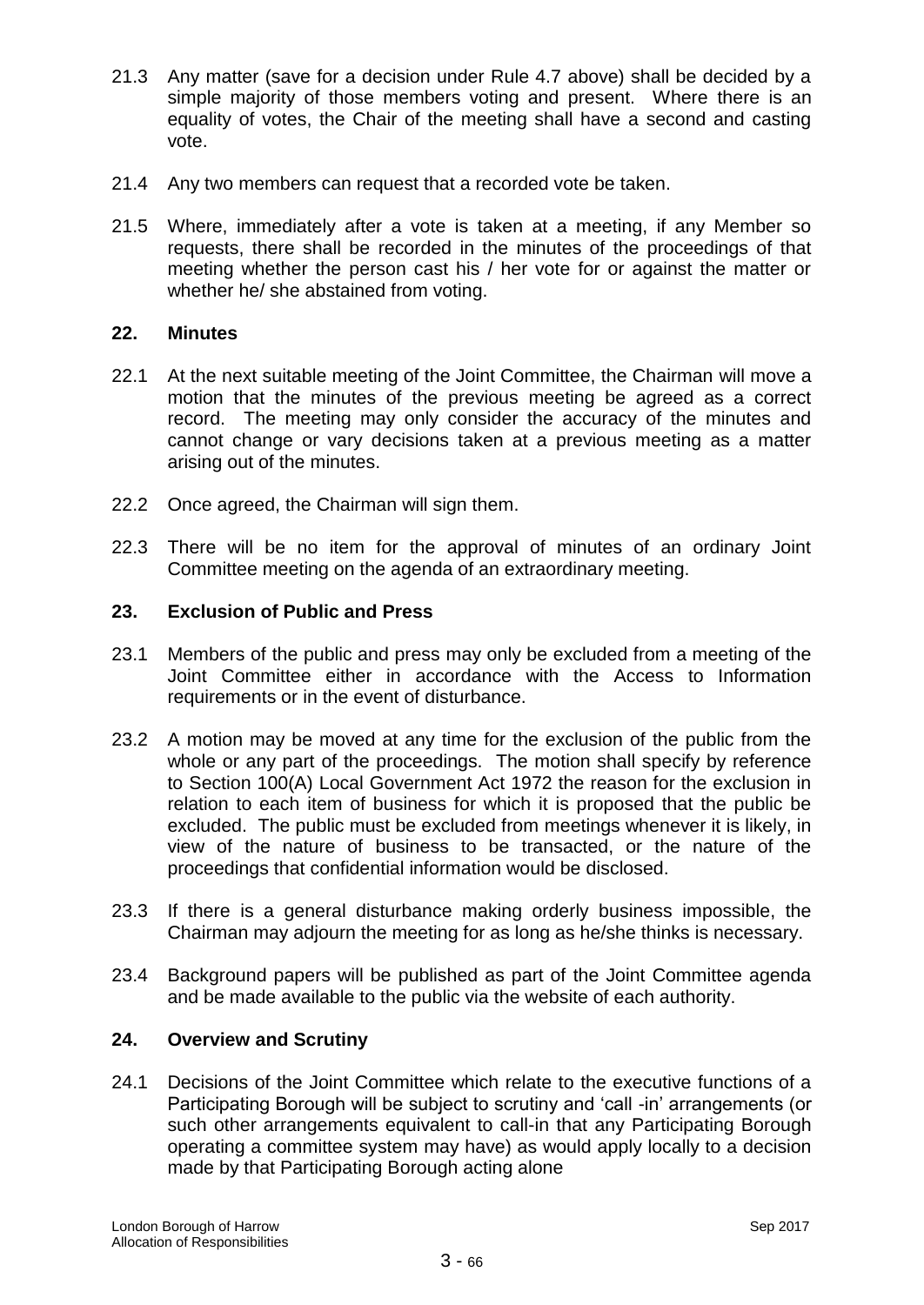- 21.3 Any matter (save for a decision under Rule 4.7 above) shall be decided by a simple majority of those members voting and present. Where there is an equality of votes, the Chair of the meeting shall have a second and casting vote.
- 21.4 Any two members can request that a recorded vote be taken.
- 21.5 Where, immediately after a vote is taken at a meeting, if any Member so requests, there shall be recorded in the minutes of the proceedings of that meeting whether the person cast his / her vote for or against the matter or whether he/ she abstained from voting.

## **22. Minutes**

- 22.1 At the next suitable meeting of the Joint Committee, the Chairman will move a motion that the minutes of the previous meeting be agreed as a correct record. The meeting may only consider the accuracy of the minutes and cannot change or vary decisions taken at a previous meeting as a matter arising out of the minutes.
- 22.2 Once agreed, the Chairman will sign them.
- 22.3 There will be no item for the approval of minutes of an ordinary Joint Committee meeting on the agenda of an extraordinary meeting.

#### **23. Exclusion of Public and Press**

- 23.1 Members of the public and press may only be excluded from a meeting of the Joint Committee either in accordance with the Access to Information requirements or in the event of disturbance.
- 23.2 A motion may be moved at any time for the exclusion of the public from the whole or any part of the proceedings. The motion shall specify by reference to Section 100(A) Local Government Act 1972 the reason for the exclusion in relation to each item of business for which it is proposed that the public be excluded. The public must be excluded from meetings whenever it is likely, in view of the nature of business to be transacted, or the nature of the proceedings that confidential information would be disclosed.
- 23.3 If there is a general disturbance making orderly business impossible, the Chairman may adjourn the meeting for as long as he/she thinks is necessary.
- 23.4 Background papers will be published as part of the Joint Committee agenda and be made available to the public via the website of each authority.

#### **24. Overview and Scrutiny**

24.1 Decisions of the Joint Committee which relate to the executive functions of a Participating Borough will be subject to scrutiny and 'call -in' arrangements (or such other arrangements equivalent to call-in that any Participating Borough operating a committee system may have) as would apply locally to a decision made by that Participating Borough acting alone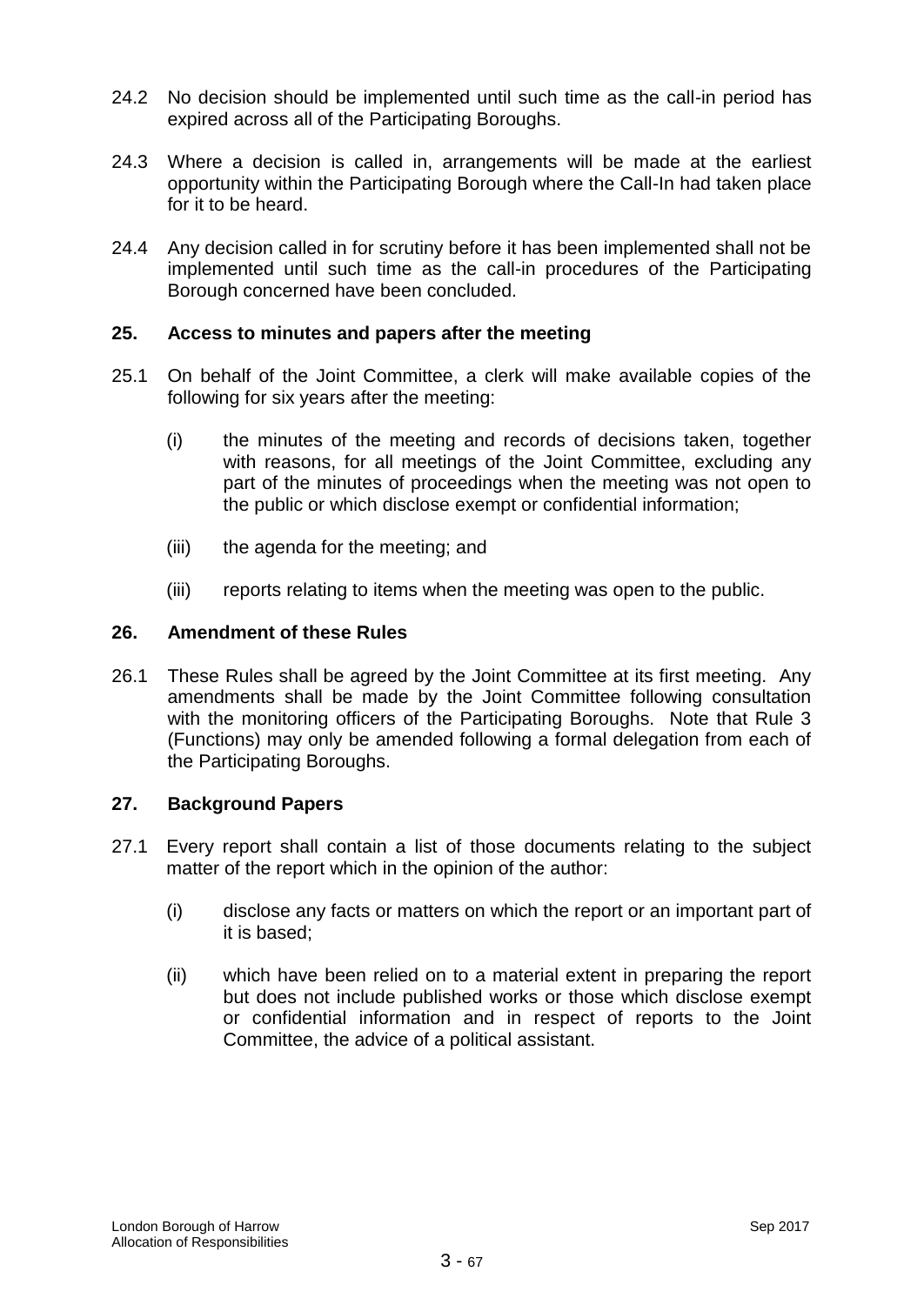- 24.2 No decision should be implemented until such time as the call-in period has expired across all of the Participating Boroughs.
- 24.3 Where a decision is called in, arrangements will be made at the earliest opportunity within the Participating Borough where the Call-In had taken place for it to be heard.
- 24.4 Any decision called in for scrutiny before it has been implemented shall not be implemented until such time as the call-in procedures of the Participating Borough concerned have been concluded.

## **25. Access to minutes and papers after the meeting**

- 25.1 On behalf of the Joint Committee, a clerk will make available copies of the following for six years after the meeting:
	- (i) the minutes of the meeting and records of decisions taken, together with reasons, for all meetings of the Joint Committee, excluding any part of the minutes of proceedings when the meeting was not open to the public or which disclose exempt or confidential information;
	- (iii) the agenda for the meeting; and
	- (iii) reports relating to items when the meeting was open to the public.

## **26. Amendment of these Rules**

26.1 These Rules shall be agreed by the Joint Committee at its first meeting. Any amendments shall be made by the Joint Committee following consultation with the monitoring officers of the Participating Boroughs. Note that Rule 3 (Functions) may only be amended following a formal delegation from each of the Participating Boroughs.

## **27. Background Papers**

- 27.1 Every report shall contain a list of those documents relating to the subject matter of the report which in the opinion of the author:
	- (i) disclose any facts or matters on which the report or an important part of it is based;
	- (ii) which have been relied on to a material extent in preparing the report but does not include published works or those which disclose exempt or confidential information and in respect of reports to the Joint Committee, the advice of a political assistant.